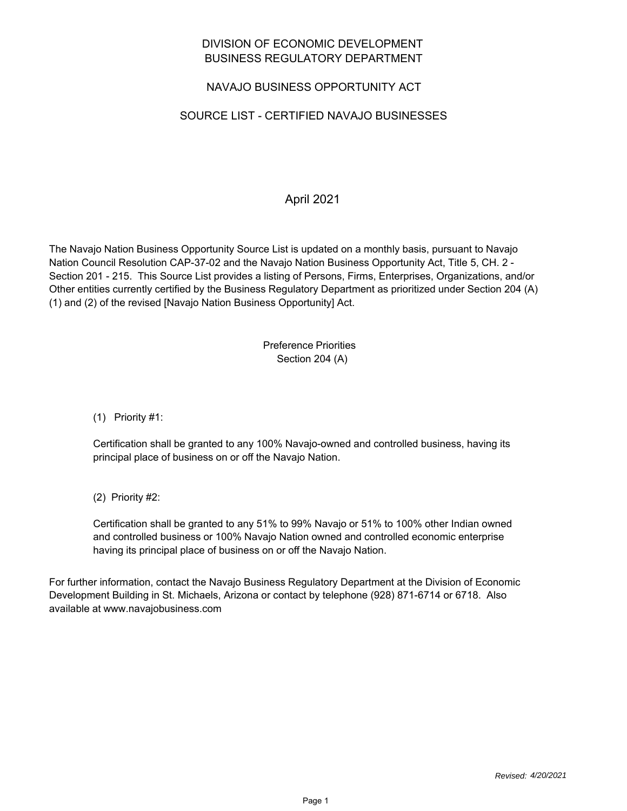### DIVISION OF ECONOMIC DEVELOPMENT BUSINESS REGULATORY DEPARTMENT

## NAVAJO BUSINESS OPPORTUNITY ACT

## SOURCE LIST - CERTIFIED NAVAJO BUSINESSES

## April 2021

The Navajo Nation Business Opportunity Source List is updated on a monthly basis, pursuant to Navajo Nation Council Resolution CAP-37-02 and the Navajo Nation Business Opportunity Act, Title 5, CH. 2 - Section 201 - 215. This Source List provides a listing of Persons, Firms, Enterprises, Organizations, and/or Other entities currently certified by the Business Regulatory Department as prioritized under Section 204 (A) (1) and (2) of the revised [Navajo Nation Business Opportunity] Act.

#### Preference Priorities Section 204 (A)

(1) Priority #1:

Certification shall be granted to any 100% Navajo-owned and controlled business, having its principal place of business on or off the Navajo Nation.

(2) Priority #2:

Certification shall be granted to any 51% to 99% Navajo or 51% to 100% other Indian owned and controlled business or 100% Navajo Nation owned and controlled economic enterprise having its principal place of business on or off the Navajo Nation.

For further information, contact the Navajo Business Regulatory Department at the Division of Economic Development Building in St. Michaels, Arizona or contact by telephone (928) 871-6714 or 6718. Also available at www.navajobusiness.com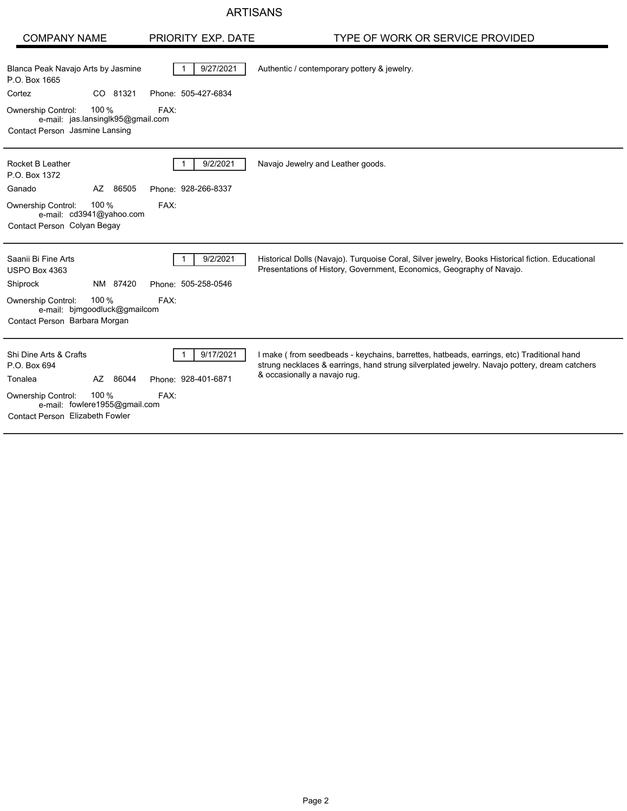#### ARTISANS

| <b>COMPANY NAME</b>                                                                                       | PRIORITY EXP. DATE               | TYPE OF WORK OR SERVICE PROVIDED                                                                                                                                                                                          |
|-----------------------------------------------------------------------------------------------------------|----------------------------------|---------------------------------------------------------------------------------------------------------------------------------------------------------------------------------------------------------------------------|
| Blanca Peak Navajo Arts by Jasmine<br>P.O. Box 1665                                                       | 9/27/2021                        | Authentic / contemporary pottery & jewelry.                                                                                                                                                                               |
| Cortez<br>CO 81321                                                                                        | Phone: 505-427-6834              |                                                                                                                                                                                                                           |
| 100 %<br><b>Ownership Control:</b><br>e-mail: jas.lansinglk95@gmail.com<br>Contact Person Jasmine Lansing | FAX:                             |                                                                                                                                                                                                                           |
| Rocket B Leather<br>P.O. Box 1372                                                                         | 9/2/2021                         | Navajo Jewelry and Leather goods.                                                                                                                                                                                         |
| AZ 86505<br>Ganado                                                                                        | Phone: 928-266-8337              |                                                                                                                                                                                                                           |
| 100 %<br>Ownership Control:<br>e-mail: cd3941@yahoo.com<br>Contact Person Colyan Begay                    | FAX:                             |                                                                                                                                                                                                                           |
| Saanii Bi Fine Arts<br>USPO Box 4363                                                                      | 9/2/2021                         | Historical Dolls (Navajo). Turquoise Coral, Silver jewelry, Books Historical fiction. Educational<br>Presentations of History, Government, Economics, Geography of Navajo.                                                |
| NM 87420<br>Shiprock                                                                                      | Phone: 505-258-0546              |                                                                                                                                                                                                                           |
| 100 %<br><b>Ownership Control:</b><br>e-mail: bimgoodluck@gmailcom<br>Contact Person Barbara Morgan       | FAX:                             |                                                                                                                                                                                                                           |
| Shi Dine Arts & Crafts<br>P.O. Box 694<br>AZ 86044<br>Tonalea                                             | 9/17/2021<br>Phone: 928-401-6871 | I make (from seedbeads - keychains, barrettes, hatbeads, earrings, etc) Traditional hand<br>strung necklaces & earrings, hand strung silverplated jewelry. Navajo pottery, dream catchers<br>& occasionally a navajo rug. |
| 100 %<br><b>Ownership Control:</b><br>e-mail: fowlere1955@gmail.com<br>Contact Person Elizabeth Fowler    | FAX:                             |                                                                                                                                                                                                                           |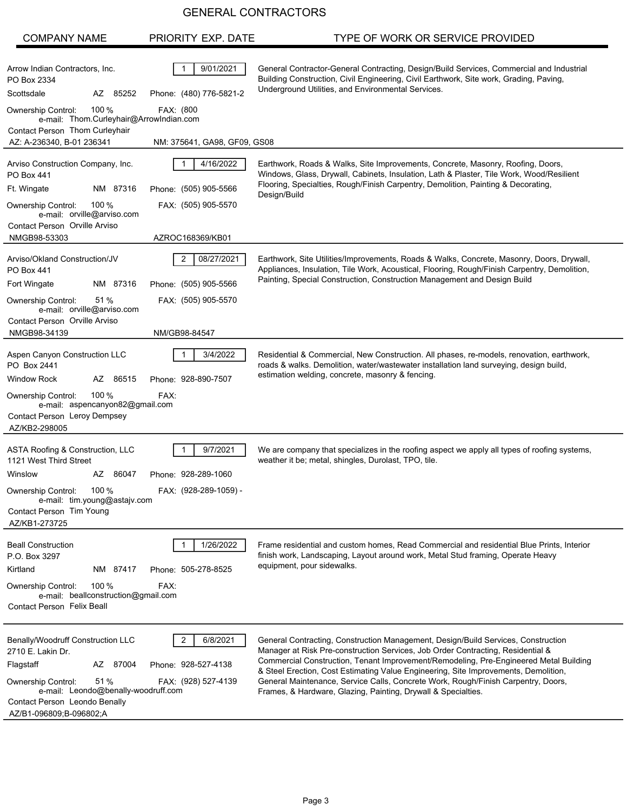| <b>COMPANY NAME</b>                                                                                                                                                                                                     | PRIORITY EXP. DATE                                                               | TYPE OF WORK OR SERVICE PROVIDED                                                                                                                                                                                                                                                                                                                                                                                                                                                                           |
|-------------------------------------------------------------------------------------------------------------------------------------------------------------------------------------------------------------------------|----------------------------------------------------------------------------------|------------------------------------------------------------------------------------------------------------------------------------------------------------------------------------------------------------------------------------------------------------------------------------------------------------------------------------------------------------------------------------------------------------------------------------------------------------------------------------------------------------|
| Arrow Indian Contractors, Inc.<br>PO Box 2334<br>Scottsdale<br>85252<br>AZ<br>100 %<br><b>Ownership Control:</b><br>e-mail: Thom.Curleyhair@ArrowIndian.com<br>Contact Person Thom Curleyhair                           | 9/01/2021<br>Phone: (480) 776-5821-2<br>FAX: (800                                | General Contractor-General Contracting, Design/Build Services, Commercial and Industrial<br>Building Construction, Civil Engineering, Civil Earthwork, Site work, Grading, Paving,<br>Underground Utilities, and Environmental Services.                                                                                                                                                                                                                                                                   |
| AZ: A-236340, B-01 236341                                                                                                                                                                                               | NM: 375641, GA98, GF09, GS08                                                     |                                                                                                                                                                                                                                                                                                                                                                                                                                                                                                            |
| Arviso Construction Company, Inc.<br><b>PO Box 441</b><br>Ft. Wingate<br>NM 87316<br>100 $%$<br>Ownership Control:<br>e-mail: orville@arviso.com<br>Contact Person Orville Arviso<br>NMGB98-53303                       | 4/16/2022<br>Phone: (505) 905-5566<br>FAX: (505) 905-5570<br>AZROC168369/KB01    | Earthwork, Roads & Walks, Site Improvements, Concrete, Masonry, Roofing, Doors,<br>Windows, Glass, Drywall, Cabinets, Insulation, Lath & Plaster, Tile Work, Wood/Resilient<br>Flooring, Specialties, Rough/Finish Carpentry, Demolition, Painting & Decorating,<br>Design/Build                                                                                                                                                                                                                           |
| Arviso/Okland Construction/JV<br><b>PO Box 441</b><br>Fort Wingate<br>NM 87316<br>51 %<br><b>Ownership Control:</b><br>e-mail: orville@arviso.com<br>Contact Person Orville Arviso<br>NMGB98-34139                      | 2<br>08/27/2021<br>Phone: (505) 905-5566<br>FAX: (505) 905-5570<br>NM/GB98-84547 | Earthwork, Site Utilities/Improvements, Roads & Walks, Concrete, Masonry, Doors, Drywall,<br>Appliances, Insulation, Tile Work, Acoustical, Flooring, Rough/Finish Carpentry, Demolition,<br>Painting, Special Construction, Construction Management and Design Build                                                                                                                                                                                                                                      |
| Aspen Canyon Construction LLC<br>PO Box 2441<br><b>Window Rock</b><br>AZ 86515<br>100 $%$<br>Ownership Control:<br>e-mail: aspencanyon82@gmail.com<br>Contact Person Leroy Dempsey<br>AZ/KB2-298005                     | 3/4/2022<br>Phone: 928-890-7507<br>FAX:                                          | Residential & Commercial, New Construction. All phases, re-models, renovation, earthwork,<br>roads & walks. Demolition, water/wastewater installation land surveying, design build,<br>estimation welding, concrete, masonry & fencing.                                                                                                                                                                                                                                                                    |
| ASTA Roofing & Construction, LLC<br>1121 West Third Street<br>AZ 86047<br>Winslow<br>Ownership Control:<br>100 %<br>e-mail: tim.young@astajv.com<br>Contact Person Tim Young<br>AZ/KB1-273725                           | 9/7/2021<br>Phone: 928-289-1060<br>FAX: (928-289-1059) -                         | We are company that specializes in the roofing aspect we apply all types of roofing systems,<br>weather it be; metal, shingles, Durolast, TPO, tile.                                                                                                                                                                                                                                                                                                                                                       |
| <b>Beall Construction</b><br>P.O. Box 3297<br>Kirtland<br>NM 87417<br>100 $%$<br><b>Ownership Control:</b><br>e-mail: beallconstruction@gmail.com<br><b>Contact Person Felix Beall</b>                                  | 1/26/2022<br>Phone: 505-278-8525<br>FAX:                                         | Frame residential and custom homes, Read Commercial and residential Blue Prints, Interior<br>finish work, Landscaping, Layout around work, Metal Stud framing, Operate Heavy<br>equipment, pour sidewalks.                                                                                                                                                                                                                                                                                                 |
| Benally/Woodruff Construction LLC<br>2710 E. Lakin Dr.<br>Flagstaff<br>AZ 87004<br>51 %<br><b>Ownership Control:</b><br>e-mail: Leondo@benally-woodruff.com<br>Contact Person Leondo Benally<br>AZ/B1-096809;B-096802;A | 6/8/2021<br>2<br>Phone: 928-527-4138<br>FAX: (928) 527-4139                      | General Contracting, Construction Management, Design/Build Services, Construction<br>Manager at Risk Pre-construction Services, Job Order Contracting, Residential &<br>Commercial Construction, Tenant Improvement/Remodeling, Pre-Engineered Metal Building<br>& Steel Erection, Cost Estimating Value Engineering, Site Improvements, Demolition,<br>General Maintenance, Service Calls, Concrete Work, Rough/Finish Carpentry, Doors,<br>Frames, & Hardware, Glazing, Painting, Drywall & Specialties. |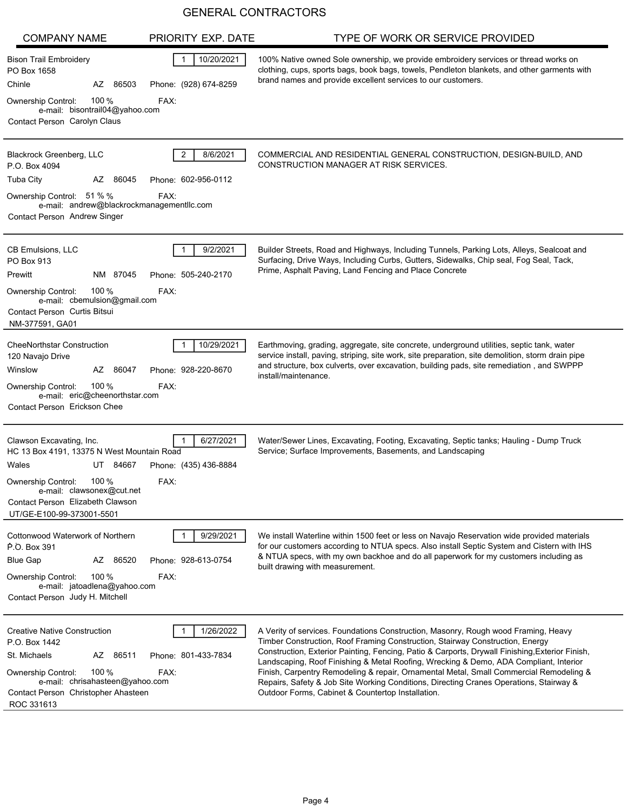| <b>COMPANY NAME</b>                                                                                                                                                                                                             | PRIORITY EXP. DATE                          | TYPE OF WORK OR SERVICE PROVIDED                                                                                                                                                                                                                                                                                                                                                                                                                                                                                                                                                                         |
|---------------------------------------------------------------------------------------------------------------------------------------------------------------------------------------------------------------------------------|---------------------------------------------|----------------------------------------------------------------------------------------------------------------------------------------------------------------------------------------------------------------------------------------------------------------------------------------------------------------------------------------------------------------------------------------------------------------------------------------------------------------------------------------------------------------------------------------------------------------------------------------------------------|
| Bison Trail Embroidery<br>PO Box 1658<br>Chinle<br>AZ 86503<br>100 $%$<br>Ownership Control:<br>e-mail: bisontrail04@yahoo.com                                                                                                  | 10/20/2021<br>Phone: (928) 674-8259<br>FAX: | 100% Native owned Sole ownership, we provide embroidery services or thread works on<br>clothing, cups, sports bags, book bags, towels, Pendleton blankets, and other garments with<br>brand names and provide excellent services to our customers.                                                                                                                                                                                                                                                                                                                                                       |
| Contact Person Carolyn Claus                                                                                                                                                                                                    |                                             |                                                                                                                                                                                                                                                                                                                                                                                                                                                                                                                                                                                                          |
| Blackrock Greenberg, LLC<br>P.O. Box 4094                                                                                                                                                                                       | 2<br>8/6/2021                               | COMMERCIAL AND RESIDENTIAL GENERAL CONSTRUCTION, DESIGN-BUILD, AND<br>CONSTRUCTION MANAGER AT RISK SERVICES.                                                                                                                                                                                                                                                                                                                                                                                                                                                                                             |
| <b>Tuba City</b><br>AZ 86045<br>Ownership Control: 51 % %<br>e-mail: andrew@blackrockmanagementllc.com<br>Contact Person Andrew Singer                                                                                          | Phone: 602-956-0112<br>FAX:                 |                                                                                                                                                                                                                                                                                                                                                                                                                                                                                                                                                                                                          |
| <b>CB Emulsions, LLC</b><br>PO Box 913<br>Prewitt<br>NM 87045<br>100 %<br><b>Ownership Control:</b><br>e-mail: cbemulsion@gmail.com                                                                                             | 9/2/2021<br>Phone: 505-240-2170<br>FAX:     | Builder Streets, Road and Highways, Including Tunnels, Parking Lots, Alleys, Sealcoat and<br>Surfacing, Drive Ways, Including Curbs, Gutters, Sidewalks, Chip seal, Fog Seal, Tack,<br>Prime, Asphalt Paving, Land Fencing and Place Concrete                                                                                                                                                                                                                                                                                                                                                            |
| <b>Contact Person Curtis Bitsui</b><br>NM-377591, GA01                                                                                                                                                                          |                                             |                                                                                                                                                                                                                                                                                                                                                                                                                                                                                                                                                                                                          |
| <b>CheeNorthstar Construction</b><br>120 Navajo Drive<br>Winslow<br>AZ 86047<br>100 $%$<br>Ownership Control:<br>e-mail: eric@cheenorthstar.com<br>Contact Person Erickson Chee                                                 | 10/29/2021<br>Phone: 928-220-8670<br>FAX:   | Earthmoving, grading, aggregate, site concrete, underground utilities, septic tank, water<br>service install, paving, striping, site work, site preparation, site demolition, storm drain pipe<br>and structure, box culverts, over excavation, building pads, site remediation, and SWPPP<br>install/maintenance.                                                                                                                                                                                                                                                                                       |
| Clawson Excavating, Inc.<br>HC 13 Box 4191, 13375 N West Mountain Road<br>Wales<br>UT 84667<br>100 %<br><b>Ownership Control:</b><br>e-mail: clawsonex@cut.net<br>Contact Person Elizabeth Clawson<br>UT/GE-E100-99-373001-5501 | 6/27/2021<br>Phone: (435) 436-8884<br>FAX:  | Water/Sewer Lines, Excavating, Footing, Excavating, Septic tanks; Hauling - Dump Truck<br>Service; Surface Improvements, Basements, and Landscaping                                                                                                                                                                                                                                                                                                                                                                                                                                                      |
| Cottonwood Waterwork of Northern<br>P.O. Box 391<br><b>Blue Gap</b><br>AZ 86520<br>100 $%$<br><b>Ownership Control:</b><br>e-mail: jatoadlena@yahoo.com<br>Contact Person Judy H. Mitchell                                      | 9/29/2021<br>Phone: 928-613-0754<br>FAX:    | We install Waterline within 1500 feet or less on Navajo Reservation wide provided materials<br>for our customers according to NTUA specs. Also install Septic System and Cistern with IHS<br>& NTUA specs, with my own backhoe and do all paperwork for my customers including as<br>built drawing with measurement.                                                                                                                                                                                                                                                                                     |
| <b>Creative Native Construction</b><br>P.O. Box 1442<br>St. Michaels<br>AZ 86511<br>100 $%$<br><b>Ownership Control:</b><br>e-mail: chrisahasteen@yahoo.com<br>Contact Person Christopher Ahasteen<br>ROC 331613                | 1/26/2022<br>Phone: 801-433-7834<br>FAX:    | A Verity of services. Foundations Construction, Masonry, Rough wood Framing, Heavy<br>Timber Construction, Roof Framing Construction, Stairway Construction, Energy<br>Construction, Exterior Painting, Fencing, Patio & Carports, Drywall Finishing, Exterior Finish,<br>Landscaping, Roof Finishing & Metal Roofing, Wrecking & Demo, ADA Compliant, Interior<br>Finish, Carpentry Remodeling & repair, Ornamental Metal, Small Commercial Remodeling &<br>Repairs, Safety & Job Site Working Conditions, Directing Cranes Operations, Stairway &<br>Outdoor Forms, Cabinet & Countertop Installation. |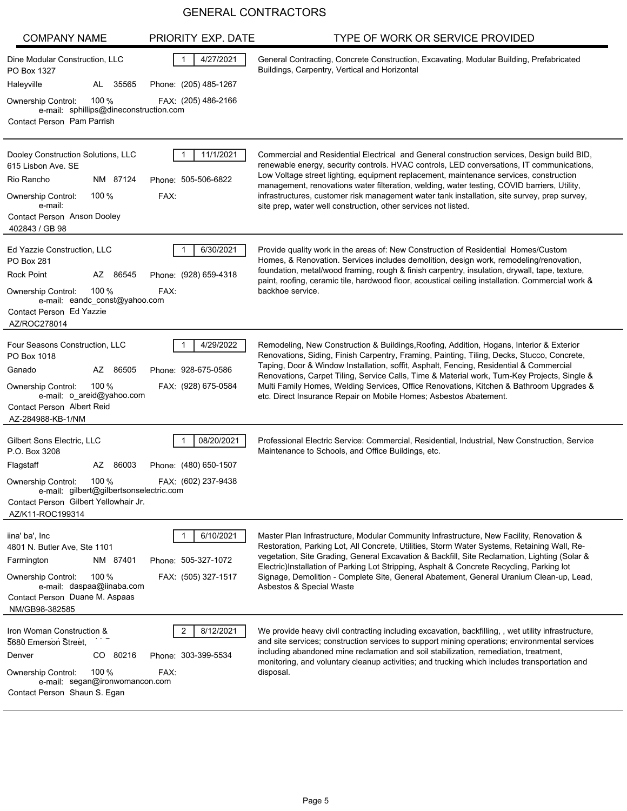| <b>COMPANY NAME</b>                                                              | PRIORITY EXP. DATE                                 | TYPE OF WORK OR SERVICE PROVIDED                                                                                                                                                                                                                                                  |
|----------------------------------------------------------------------------------|----------------------------------------------------|-----------------------------------------------------------------------------------------------------------------------------------------------------------------------------------------------------------------------------------------------------------------------------------|
| Dine Modular Construction, LLC<br>PO Box 1327<br>Haleyville<br>AL 35565          | 4/27/2021<br>$\mathbf{1}$<br>Phone: (205) 485-1267 | General Contracting, Concrete Construction, Excavating, Modular Building, Prefabricated<br>Buildings, Carpentry, Vertical and Horizontal                                                                                                                                          |
| 100 $%$<br><b>Ownership Control:</b>                                             | FAX: (205) 486-2166                                |                                                                                                                                                                                                                                                                                   |
| e-mail: sphillips@dineconstruction.com<br>Contact Person Pam Parrish             |                                                    |                                                                                                                                                                                                                                                                                   |
|                                                                                  |                                                    |                                                                                                                                                                                                                                                                                   |
| Dooley Construction Solutions, LLC<br>615 Lisbon Ave. SE                         | 11/1/2021                                          | Commercial and Residential Electrical and General construction services, Design build BID,<br>renewable energy, security controls. HVAC controls, LED conversations, IT communications,<br>Low Voltage street lighting, equipment replacement, maintenance services, construction |
| Rio Rancho<br>NM 87124                                                           | Phone: 505-506-6822                                | management, renovations water filteration, welding, water testing, COVID barriers, Utility,                                                                                                                                                                                       |
| 100 $%$<br><b>Ownership Control:</b><br>e-mail:                                  | FAX:                                               | infrastructures, customer risk management water tank installation, site survey, prep survey,<br>site prep, water well construction, other services not listed.                                                                                                                    |
| Contact Person Anson Dooley<br>402843 / GB 98                                    |                                                    |                                                                                                                                                                                                                                                                                   |
| Ed Yazzie Construction, LLC<br>PO Box 281                                        | 6/30/2021                                          | Provide quality work in the areas of: New Construction of Residential Homes/Custom<br>Homes, & Renovation. Services includes demolition, design work, remodeling/renovation,<br>foundation, metal/wood framing, rough & finish carpentry, insulation, drywall, tape, texture,     |
| Rock Point<br>AZ 86545                                                           | Phone: (928) 659-4318                              | paint, roofing, ceramic tile, hardwood floor, acoustical ceiling installation. Commercial work &                                                                                                                                                                                  |
| 100 $%$<br><b>Ownership Control:</b><br>e-mail: eandc const@yahoo.com            | FAX:                                               | backhoe service.                                                                                                                                                                                                                                                                  |
| Contact Person Ed Yazzie<br>AZ/ROC278014                                         |                                                    |                                                                                                                                                                                                                                                                                   |
| Four Seasons Construction, LLC<br>PO Box 1018                                    | 4/29/2022                                          | Remodeling, New Construction & Buildings, Roofing, Addition, Hogans, Interior & Exterior<br>Renovations, Siding, Finish Carpentry, Framing, Painting, Tiling, Decks, Stucco, Concrete,                                                                                            |
| 86505<br>Ganado<br>AZ                                                            | Phone: 928-675-0586                                | Taping, Door & Window Installation, soffit, Asphalt, Fencing, Residential & Commercial<br>Renovations, Carpet Tiling, Service Calls, Time & Material work, Turn-Key Projects, Single &                                                                                            |
| 100 $%$<br><b>Ownership Control:</b><br>e-mail: o_areid@yahoo.com                | FAX: (928) 675-0584                                | Multi Family Homes, Welding Services, Office Renovations, Kitchen & Bathroom Upgrades &<br>etc. Direct Insurance Repair on Mobile Homes; Asbestos Abatement.                                                                                                                      |
| <b>Contact Person Albert Reid</b><br>AZ-284988-KB-1/NM                           |                                                    |                                                                                                                                                                                                                                                                                   |
| Gilbert Sons Electric, LLC<br>P.O. Box 3208                                      | 08/20/2021                                         | Professional Electric Service: Commercial, Residential, Industrial, New Construction, Service<br>Maintenance to Schools, and Office Buildings, etc.                                                                                                                               |
| AZ 86003<br>Flagstaff                                                            | Phone: (480) 650-1507                              |                                                                                                                                                                                                                                                                                   |
| 100 $%$<br><b>Ownership Control:</b>                                             | FAX: (602) 237-9438                                |                                                                                                                                                                                                                                                                                   |
| e-mail: gilbert@gilbertsonselectric.com<br>Contact Person Gilbert Yellowhair Jr. |                                                    |                                                                                                                                                                                                                                                                                   |
| AZ/K11-ROC199314                                                                 |                                                    |                                                                                                                                                                                                                                                                                   |
| iina' ba', Inc<br>4801 N. Butler Ave, Ste 1101                                   | 6/10/2021                                          | Master Plan Infrastructure, Modular Community Infrastructure, New Facility, Renovation &<br>Restoration, Parking Lot, All Concrete, Utilities, Storm Water Systems, Retaining Wall, Re-                                                                                           |
| NM 87401<br>Farmington                                                           | Phone: 505-327-1072                                | vegetation, Site Grading, General Excavation & Backfill, Site Reclamation, Lighting (Solar &                                                                                                                                                                                      |
| 100 $%$<br><b>Ownership Control:</b>                                             | FAX: (505) 327-1517                                | Electric)Installation of Parking Lot Stripping, Asphalt & Concrete Recycling, Parking lot<br>Signage, Demolition - Complete Site, General Abatement, General Uranium Clean-up, Lead,                                                                                              |
| e-mail: daspaa@iinaba.com<br>Contact Person Duane M. Aspaas                      |                                                    | Asbestos & Special Waste                                                                                                                                                                                                                                                          |
| NM/GB98-382585                                                                   |                                                    |                                                                                                                                                                                                                                                                                   |
| Iron Woman Construction &<br>5680 Emerson Street.                                | 8/12/2021<br>2                                     | We provide heavy civil contracting including excavation, backfilling, , wet utility infrastructure,<br>and site services; construction services to support mining operations; environmental services                                                                              |
| CO 80216<br>Denver                                                               | Phone: 303-399-5534                                | including abandoned mine reclamation and soil stabilization, remediation, treatment,                                                                                                                                                                                              |
| 100 $%$<br><b>Ownership Control:</b>                                             | FAX:                                               | monitoring, and voluntary cleanup activities; and trucking which includes transportation and<br>disposal.                                                                                                                                                                         |
| e-mail: segan@ironwomancon.com<br>Contact Person Shaun S. Egan                   |                                                    |                                                                                                                                                                                                                                                                                   |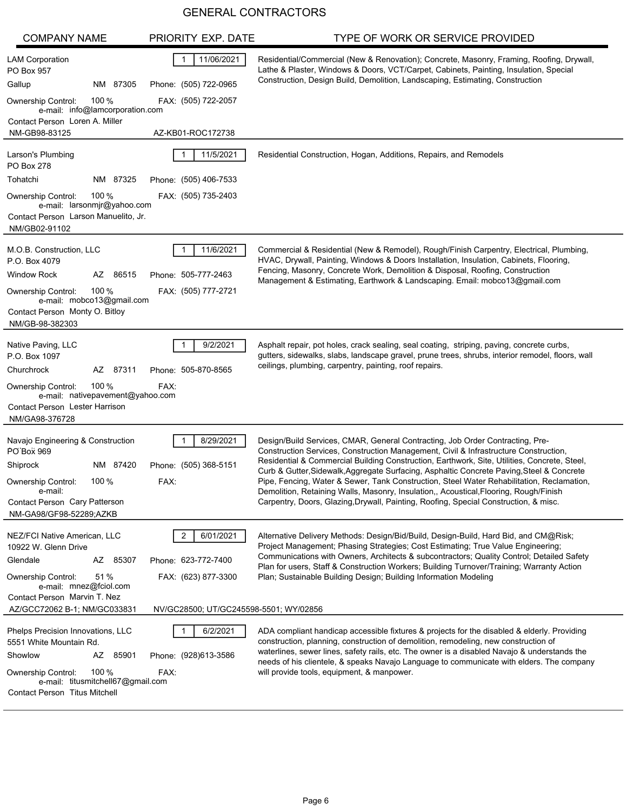| <b>COMPANY NAME</b>                                                                                                                                                                               | PRIORITY EXP. DATE                                           | TYPE OF WORK OR SERVICE PROVIDED                                                                                                                                                                                                                                                                                                                                                                                                                                                                                                                                                                                                                 |
|---------------------------------------------------------------------------------------------------------------------------------------------------------------------------------------------------|--------------------------------------------------------------|--------------------------------------------------------------------------------------------------------------------------------------------------------------------------------------------------------------------------------------------------------------------------------------------------------------------------------------------------------------------------------------------------------------------------------------------------------------------------------------------------------------------------------------------------------------------------------------------------------------------------------------------------|
| <b>LAM Corporation</b><br>PO Box 957<br>NM 87305<br>Gallup<br>100 $%$<br>Ownership Control:<br>e-mail: info@lamcorporation.com                                                                    | 11/06/2021<br>Phone: (505) 722-0965<br>FAX: (505) 722-2057   | Residential/Commercial (New & Renovation); Concrete, Masonry, Framing, Roofing, Drywall,<br>Lathe & Plaster, Windows & Doors, VCT/Carpet, Cabinets, Painting, Insulation, Special<br>Construction, Design Build, Demolition, Landscaping, Estimating, Construction                                                                                                                                                                                                                                                                                                                                                                               |
| Contact Person Loren A. Miller<br>NM-GB98-83125                                                                                                                                                   | AZ-KB01-ROC172738                                            |                                                                                                                                                                                                                                                                                                                                                                                                                                                                                                                                                                                                                                                  |
| Larson's Plumbing<br><b>PO Box 278</b>                                                                                                                                                            | 11/5/2021                                                    | Residential Construction, Hogan, Additions, Repairs, and Remodels                                                                                                                                                                                                                                                                                                                                                                                                                                                                                                                                                                                |
| Tohatchi<br>NM 87325                                                                                                                                                                              | Phone: (505) 406-7533                                        |                                                                                                                                                                                                                                                                                                                                                                                                                                                                                                                                                                                                                                                  |
| 100 $%$<br>Ownership Control:<br>e-mail: larsonmir@yahoo.com<br>Contact Person Larson Manuelito, Jr.<br>NM/GB02-91102                                                                             | FAX: (505) 735-2403                                          |                                                                                                                                                                                                                                                                                                                                                                                                                                                                                                                                                                                                                                                  |
| M.O.B. Construction, LLC<br>P.O. Box 4079<br><b>Window Rock</b><br>AZ 86515<br>100 $%$<br>Ownership Control:<br>e-mail: mobco13@gmail.com<br>Contact Person Monty O. Bitloy<br>NM/GB-98-382303    | 11/6/2021<br>Phone: 505-777-2463<br>FAX: (505) 777-2721      | Commercial & Residential (New & Remodel), Rough/Finish Carpentry, Electrical, Plumbing,<br>HVAC, Drywall, Painting, Windows & Doors Installation, Insulation, Cabinets, Flooring,<br>Fencing, Masonry, Concrete Work, Demolition & Disposal, Roofing, Construction<br>Management & Estimating, Earthwork & Landscaping. Email: mobco13@gmail.com                                                                                                                                                                                                                                                                                                 |
| Native Paving, LLC<br>P.O. Box 1097<br>Churchrock<br>AZ 87311<br>100 $%$<br>Ownership Control:<br>e-mail: nativepavement@yahoo.com<br>Contact Person Lester Harrison<br>NM/GA98-376728            | 9/2/2021<br>Phone: 505-870-8565<br>FAX:                      | Asphalt repair, pot holes, crack sealing, seal coating, striping, paving, concrete curbs,<br>gutters, sidewalks, slabs, landscape gravel, prune trees, shrubs, interior remodel, floors, wall<br>ceilings, plumbing, carpentry, painting, roof repairs.                                                                                                                                                                                                                                                                                                                                                                                          |
| Navajo Engineering & Construction<br>PO Box 969<br>Shiprock<br>NM 87420<br>$100\%$<br><b>Ownership Control:</b><br>e-mail:<br>Contact Person Cary Patterson<br>NM-GA98/GF98-52289;AZKB            | 8/29/2021<br>Phone: (505) 368-5151<br>FAX:                   | Design/Build Services, CMAR, General Contracting, Job Order Contracting, Pre-<br>Construction Services, Construction Management, Civil & Infrastructure Construction,<br>Residential & Commercial Building Construction, Earthwork, Site, Utilities, Concrete, Steel,<br>Curb & Gutter, Sidewalk, Aggregate Surfacing, Asphaltic Concrete Paving, Steel & Concrete<br>Pipe, Fencing, Water & Sewer, Tank Construction, Steel Water Rehabilitation, Reclamation,<br>Demolition, Retaining Walls, Masonry, Insulation,, Acoustical, Flooring, Rough/Finish<br>Carpentry, Doors, Glazing, Drywall, Painting, Roofing, Special Construction, & misc. |
| NEZ/FCI Native American, LLC<br>10922 W. Glenn Drive<br>Glendale<br>AZ 85307<br>51 %<br><b>Ownership Control:</b><br>e-mail: mnez@fciol.com<br>Contact Person Marvin T. Nez                       | 6/01/2021<br>2<br>Phone: 623-772-7400<br>FAX: (623) 877-3300 | Alternative Delivery Methods: Design/Bid/Build, Design-Build, Hard Bid, and CM@Risk;<br>Project Management; Phasing Strategies; Cost Estimating; True Value Engineering;<br>Communications with Owners, Architects & subcontractors; Quality Control; Detailed Safety<br>Plan for users, Staff & Construction Workers; Building Turnover/Training; Warranty Action<br>Plan; Sustainable Building Design; Building Information Modeling                                                                                                                                                                                                           |
| AZ/GCC72062 B-1; NM/GC033831                                                                                                                                                                      | NV/GC28500; UT/GC245598-5501; WY/02856                       |                                                                                                                                                                                                                                                                                                                                                                                                                                                                                                                                                                                                                                                  |
| Phelps Precision Innovations, LLC<br>5551 White Mountain Rd.<br>Showlow<br>AZ 85901<br>100 $%$<br>Ownership Control:<br>e-mail: titusmitchell67@gmail.com<br><b>Contact Person Titus Mitchell</b> | 6/2/2021<br>Phone: (928)613-3586<br>FAX:                     | ADA compliant handicap accessible fixtures & projects for the disabled & elderly. Providing<br>construction, planning, construction of demolition, remodeling, new construction of<br>waterlines, sewer lines, safety rails, etc. The owner is a disabled Navajo & understands the<br>needs of his clientele, & speaks Navajo Language to communicate with elders. The company<br>will provide tools, equipment, & manpower.                                                                                                                                                                                                                     |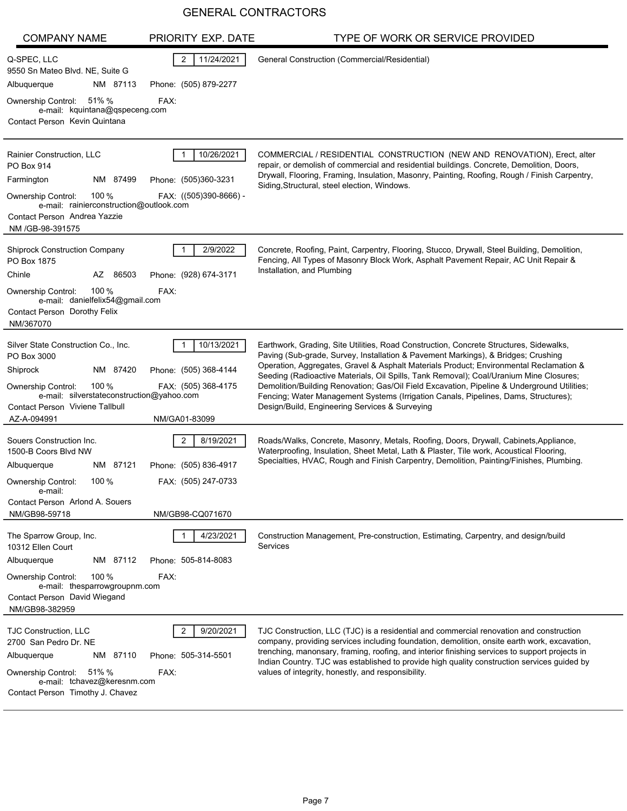| <b>COMPANY NAME</b>                                                                                                                                                                                                       | PRIORITY EXP. DATE                                                                 | TYPE OF WORK OR SERVICE PROVIDED                                                                                                                                                                                                                                                                                                                                                                                                                                                                                                                                                                        |
|---------------------------------------------------------------------------------------------------------------------------------------------------------------------------------------------------------------------------|------------------------------------------------------------------------------------|---------------------------------------------------------------------------------------------------------------------------------------------------------------------------------------------------------------------------------------------------------------------------------------------------------------------------------------------------------------------------------------------------------------------------------------------------------------------------------------------------------------------------------------------------------------------------------------------------------|
| Q-SPEC, LLC<br>9550 Sn Mateo Blvd. NE, Suite G<br>Albuquerque<br>NM 87113<br>Ownership Control: 51% %<br>e-mail: kquintana@qspeceng.com                                                                                   | 11/24/2021<br>2<br>Phone: (505) 879-2277<br>FAX:                                   | General Construction (Commercial/Residential)                                                                                                                                                                                                                                                                                                                                                                                                                                                                                                                                                           |
| Contact Person Kevin Quintana                                                                                                                                                                                             |                                                                                    |                                                                                                                                                                                                                                                                                                                                                                                                                                                                                                                                                                                                         |
| Rainier Construction, LLC<br>PO Box 914<br>NM 87499<br>Farmington<br>100%<br><b>Ownership Control:</b><br>e-mail: rainierconstruction@outlook.com<br>Contact Person Andrea Yazzie                                         | 10/26/2021<br>Phone: (505)360-3231<br>FAX: ((505)390-8666) -                       | COMMERCIAL / RESIDENTIAL CONSTRUCTION (NEW AND RENOVATION), Erect, alter<br>repair, or demolish of commercial and residential buildings. Concrete, Demolition, Doors,<br>Drywall, Flooring, Framing, Insulation, Masonry, Painting, Roofing, Rough / Finish Carpentry,<br>Siding, Structural, steel election, Windows.                                                                                                                                                                                                                                                                                  |
| NM /GB-98-391575<br><b>Shiprock Construction Company</b><br>PO Box 1875<br>AZ 86503<br>Chinle<br>100%<br><b>Ownership Control:</b><br>e-mail: danielfelix54@gmail.com<br><b>Contact Person Dorothy Felix</b><br>NM/367070 | 2/9/2022<br>Phone: (928) 674-3171<br>FAX:                                          | Concrete, Roofing, Paint, Carpentry, Flooring, Stucco, Drywall, Steel Building, Demolition,<br>Fencing, All Types of Masonry Block Work, Asphalt Pavement Repair, AC Unit Repair &<br>Installation, and Plumbing                                                                                                                                                                                                                                                                                                                                                                                        |
| Silver State Construction Co., Inc.<br>PO Box 3000<br>Shiprock<br>NM 87420<br>100 $%$<br>Ownership Control:<br>e-mail: silverstateconstruction@yahoo.com<br>Contact Person Viviene Tallbull<br>AZ-A-094991                | 10/13/2021<br>Phone: (505) 368-4144<br>FAX: (505) 368-4175<br>NM/GA01-83099        | Earthwork, Grading, Site Utilities, Road Construction, Concrete Structures, Sidewalks,<br>Paving (Sub-grade, Survey, Installation & Pavement Markings), & Bridges; Crushing<br>Operation, Aggregates, Gravel & Asphalt Materials Product; Environmental Reclamation &<br>Seeding (Radioactive Materials, Oil Spills, Tank Removal); Coal/Uranium Mine Closures;<br>Demolition/Building Renovation; Gas/Oil Field Excavation, Pipeline & Underground Utilities;<br>Fencing; Water Management Systems (Irrigation Canals, Pipelines, Dams, Structures);<br>Design/Build, Engineering Services & Surveying |
| Souers Construction Inc.<br>1500-B Coors Blvd NW<br>NM 87121<br>Albuquerque<br>100 $%$<br><b>Ownership Control:</b><br>e-mail:<br>Contact Person Arlond A. Souers<br>NM/GB98-59718                                        | 8/19/2021<br>2<br>Phone: (505) 836-4917<br>FAX: (505) 247-0733<br>NM/GB98-CQ071670 | Roads/Walks, Concrete, Masonry, Metals, Roofing, Doors, Drywall, Cabinets, Appliance,<br>Waterproofing, Insulation, Sheet Metal, Lath & Plaster, Tile work, Acoustical Flooring,<br>Specialties, HVAC, Rough and Finish Carpentry, Demolition, Painting/Finishes, Plumbing.                                                                                                                                                                                                                                                                                                                             |
| The Sparrow Group, Inc.<br>10312 Ellen Court<br>Albuquerque<br>NM 87112<br>100 $%$<br><b>Ownership Control:</b><br>e-mail: thesparrowgroupnm.com<br>Contact Person David Wiegand<br>NM/GB98-382959                        | 4/23/2021<br>Phone: 505-814-8083<br>FAX:                                           | Construction Management, Pre-construction, Estimating, Carpentry, and design/build<br>Services                                                                                                                                                                                                                                                                                                                                                                                                                                                                                                          |
| <b>TJC Construction, LLC</b><br>2700 San Pedro Dr. NE<br>NM 87110<br>Albuquerque<br>51% %<br><b>Ownership Control:</b><br>e-mail: tchavez@keresnm.com<br>Contact Person Timothy J. Chavez                                 | 9/20/2021<br>Phone: 505-314-5501<br>FAX:                                           | TJC Construction, LLC (TJC) is a residential and commercial renovation and construction<br>company, providing services including foundation, demolition, onsite earth work, excavation,<br>trenching, manonsary, framing, roofing, and interior finishing services to support projects in<br>Indian Country. TJC was established to provide high quality construction services guided by<br>values of integrity, honestly, and responsibility.                                                                                                                                                          |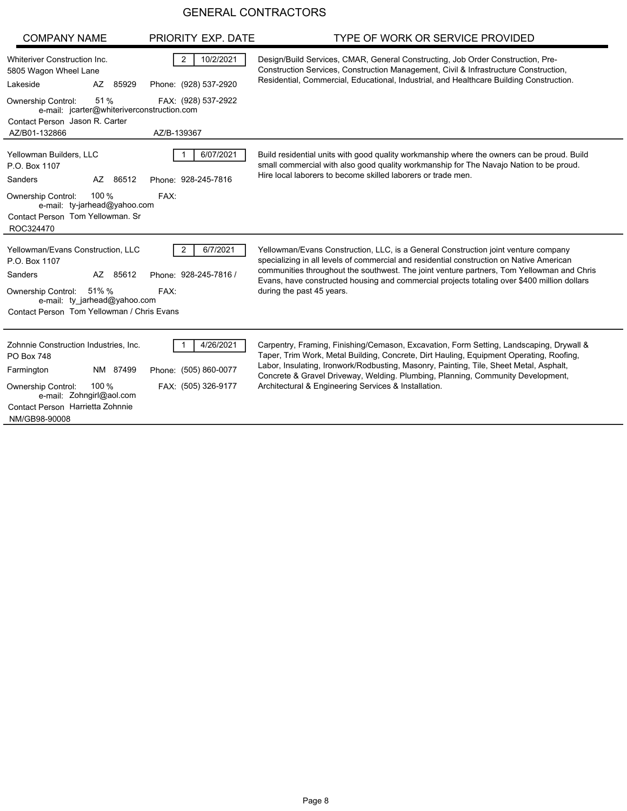| <b>COMPANY NAME</b>                                                                                                 | PRIORITY EXP. DATE                                   | TYPE OF WORK OR SERVICE PROVIDED                                                                                                                                                                                                                                                                                                                                                                        |
|---------------------------------------------------------------------------------------------------------------------|------------------------------------------------------|---------------------------------------------------------------------------------------------------------------------------------------------------------------------------------------------------------------------------------------------------------------------------------------------------------------------------------------------------------------------------------------------------------|
| Whiteriver Construction Inc.<br>5805 Wagon Wheel Lane<br>Lakeside<br>AZ<br>85929                                    | $\overline{2}$<br>10/2/2021<br>Phone: (928) 537-2920 | Design/Build Services, CMAR, General Constructing, Job Order Construction, Pre-<br>Construction Services, Construction Management, Civil & Infrastructure Construction,<br>Residential, Commercial, Educational, Industrial, and Healthcare Building Construction.                                                                                                                                      |
| 51%<br><b>Ownership Control:</b><br>e-mail: jcarter@whiteriverconstruction.com<br>Contact Person Jason R. Carter    | FAX: (928) 537-2922                                  |                                                                                                                                                                                                                                                                                                                                                                                                         |
| AZ/B01-132866                                                                                                       | AZ/B-139367                                          |                                                                                                                                                                                                                                                                                                                                                                                                         |
| Yellowman Builders, LLC<br>P.O. Box 1107<br>Sanders<br>AZ<br>86512                                                  | 6/07/2021<br>Phone: 928-245-7816                     | Build residential units with good quality workmanship where the owners can be proud. Build<br>small commercial with also good quality workmanship for The Navajo Nation to be proud.<br>Hire local laborers to become skilled laborers or trade men.                                                                                                                                                    |
| 100 %<br>Ownership Control:<br>e-mail: ty-jarhead@yahoo.com<br>Contact Person Tom Yellowman, Sr<br>ROC324470        | FAX:                                                 |                                                                                                                                                                                                                                                                                                                                                                                                         |
| Yellowman/Evans Construction, LLC<br>P.O. Box 1107<br>Sanders<br>AZ 85612<br>Ownership Control: 51% %               | 6/7/2021<br>2<br>Phone: 928-245-7816 /<br>FAX:       | Yellowman/Evans Construction, LLC, is a General Construction joint venture company<br>specializing in all levels of commercial and residential construction on Native American<br>communities throughout the southwest. The joint venture partners, Tom Yellowman and Chris<br>Evans, have constructed housing and commercial projects totaling over \$400 million dollars<br>during the past 45 years. |
| e-mail: ty jarhead@yahoo.com                                                                                        |                                                      |                                                                                                                                                                                                                                                                                                                                                                                                         |
| Contact Person Tom Yellowman / Chris Evans                                                                          |                                                      |                                                                                                                                                                                                                                                                                                                                                                                                         |
| Zohnnie Construction Industries, Inc.<br><b>PO Box 748</b><br>NM 87499<br>Farmington                                | 4/26/2021<br>Phone: (505) 860-0077                   | Carpentry, Framing, Finishing/Cemason, Excavation, Form Setting, Landscaping, Drywall &<br>Taper, Trim Work, Metal Building, Concrete, Dirt Hauling, Equipment Operating, Roofing,<br>Labor, Insulating, Ironwork/Rodbusting, Masonry, Painting, Tile, Sheet Metal, Asphalt,<br>Concrete & Gravel Driveway, Welding, Plumbing, Planning, Community Development,                                         |
| 100 %<br><b>Ownership Control:</b><br>e-mail: Zohngirl@aol.com<br>Contact Person Harrietta Zohnnie<br>NM/GB98-90008 | FAX: (505) 326-9177                                  | Architectural & Engineering Services & Installation.                                                                                                                                                                                                                                                                                                                                                    |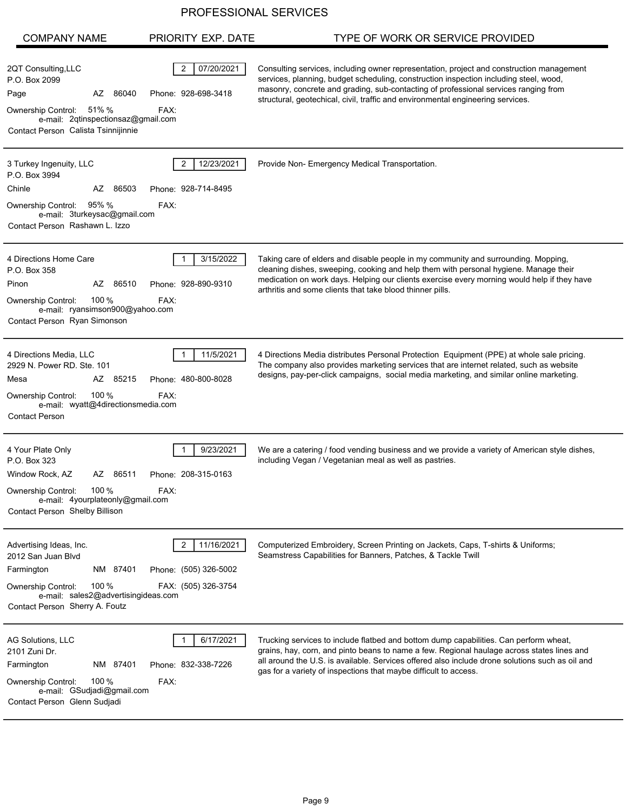| <b>COMPANY NAME</b>                                                                                                                                                                      | PRIORITY EXP. DATE                                              | TYPE OF WORK OR SERVICE PROVIDED                                                                                                                                                                                                                                                                                                                            |
|------------------------------------------------------------------------------------------------------------------------------------------------------------------------------------------|-----------------------------------------------------------------|-------------------------------------------------------------------------------------------------------------------------------------------------------------------------------------------------------------------------------------------------------------------------------------------------------------------------------------------------------------|
| 2QT Consulting, LLC<br>P.O. Box 2099<br>AZ 86040<br>Page<br>Ownership Control: 51% %<br>e-mail: 2qtinspectionsaz@gmail.com<br>Contact Person Calista Tsinnijinnie                        | 07/20/2021<br>2<br>Phone: 928-698-3418<br>FAX:                  | Consulting services, including owner representation, project and construction management<br>services, planning, budget scheduling, construction inspection including steel, wood,<br>masonry, concrete and grading, sub-contacting of professional services ranging from<br>structural, geotechical, civil, traffic and environmental engineering services. |
| 3 Turkey Ingenuity, LLC<br>P.O. Box 3994<br>Chinle<br>AZ 86503<br>Ownership Control: 95% %<br>e-mail: 3turkeysac@gmail.com<br>Contact Person Rashawn L. Izzo                             | 12/23/2021<br>2<br>Phone: 928-714-8495<br>FAX:                  | Provide Non- Emergency Medical Transportation.                                                                                                                                                                                                                                                                                                              |
| 4 Directions Home Care<br>P.O. Box 358<br>AZ 86510<br>Pinon<br>100 %<br>Ownership Control:<br>e-mail: ryansimson900@yahoo.com<br>Contact Person Ryan Simonson                            | 3/15/2022<br>Phone: 928-890-9310<br>FAX:                        | Taking care of elders and disable people in my community and surrounding. Mopping,<br>cleaning dishes, sweeping, cooking and help them with personal hygiene. Manage their<br>medication on work days. Helping our clients exercise every morning would help if they have<br>arthritis and some clients that take blood thinner pills.                      |
| 4 Directions Media, LLC<br>2929 N. Power RD. Ste. 101<br>Mesa<br>AZ 85215<br>100%<br><b>Ownership Control:</b><br>e-mail: wyatt@4directionsmedia.com<br><b>Contact Person</b>            | 11/5/2021<br>Phone: 480-800-8028<br>FAX:                        | 4 Directions Media distributes Personal Protection Equipment (PPE) at whole sale pricing.<br>The company also provides marketing services that are internet related, such as website<br>designs, pay-per-click campaigns, social media marketing, and similar online marketing.                                                                             |
| 4 Your Plate Only<br>P.O. Box 323<br>Window Rock, AZ<br>AZ 86511<br>100%<br>Ownership Control:<br>e-mail: 4yourplateonly@gmail.com<br>Contact Person Shelby Billison                     | 9/23/2021<br>Phone: 208-315-0163<br>FAX:                        | We are a catering / food vending business and we provide a variety of American style dishes,<br>including Vegan / Vegetanian meal as well as pastries.                                                                                                                                                                                                      |
| Advertising Ideas, Inc.<br>2012 San Juan Blvd<br>Farmington<br>NM 87401<br>100 $%$<br><b>Ownership Control:</b><br>e-mail: sales2@advertisingideas.com<br>Contact Person Sherry A. Foutz | 11/16/2021<br>2<br>Phone: (505) 326-5002<br>FAX: (505) 326-3754 | Computerized Embroidery, Screen Printing on Jackets, Caps, T-shirts & Uniforms;<br>Seamstress Capabilities for Banners, Patches, & Tackle Twill                                                                                                                                                                                                             |
| AG Solutions, LLC<br>2101 Zuni Dr.<br>NM 87401<br>Farmington<br>100 $%$<br>Ownership Control:<br>e-mail: GSudjadi@gmail.com<br>Contact Person Glenn Sudjadi                              | 6/17/2021<br>Phone: 832-338-7226<br>FAX:                        | Trucking services to include flatbed and bottom dump capabilities. Can perform wheat,<br>grains, hay, corn, and pinto beans to name a few. Regional haulage across states lines and<br>all around the U.S. is available. Services offered also include drone solutions such as oil and<br>gas for a variety of inspections that maybe difficult to access.  |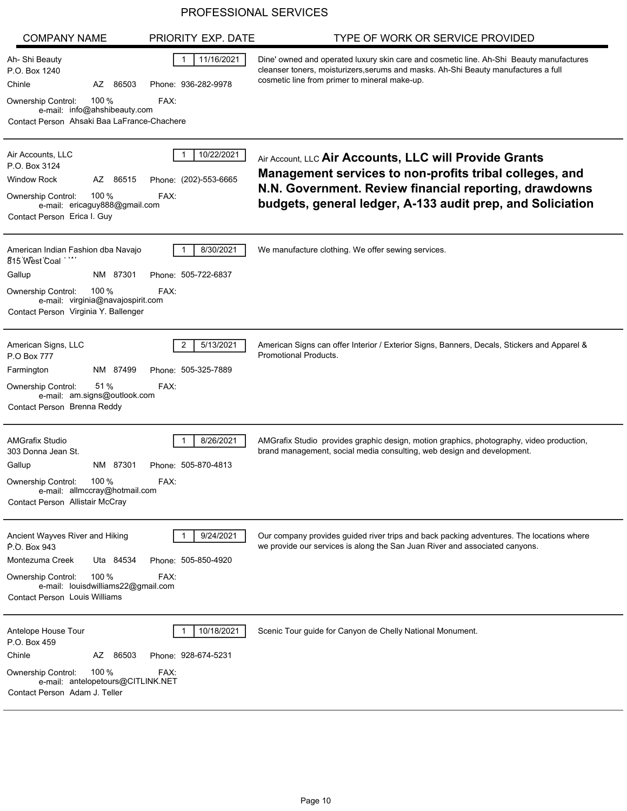|                                                                                                                                                                                         | PROFESSIONAL SERVICES                         |                                                                                                                                                                                                                                           |
|-----------------------------------------------------------------------------------------------------------------------------------------------------------------------------------------|-----------------------------------------------|-------------------------------------------------------------------------------------------------------------------------------------------------------------------------------------------------------------------------------------------|
| <b>COMPANY NAME</b>                                                                                                                                                                     | PRIORITY EXP. DATE                            | TYPE OF WORK OR SERVICE PROVIDED                                                                                                                                                                                                          |
| Ah- Shi Beauty<br>P.O. Box 1240<br>Chinle<br>AZ<br>86503<br>100 $%$<br>Ownership Control:<br>e-mail: info@ahshibeauty.com<br>Contact Person Ahsaki Baa LaFrance-Chachere                | 11/16/2021<br>Phone: 936-282-9978<br>FAX:     | Dine' owned and operated luxury skin care and cosmetic line. Ah-Shi Beauty manufactures<br>cleanser toners, moisturizers, serums and masks. Ah-Shi Beauty manufactures a full<br>cosmetic line from primer to mineral make-up.            |
| Air Accounts, LLC<br>P.O. Box 3124<br>Window Rock<br>86515<br>AZ<br>100 $%$<br><b>Ownership Control:</b><br>e-mail: ericaguy888@gmail.com<br>Contact Person Erica I. Guy                | 10/22/2021<br>Phone: (202)-553-6665<br>FAX:   | Air Account, LLC Air Accounts, LLC will Provide Grants<br>Management services to non-profits tribal colleges, and<br>N.N. Government. Review financial reporting, drawdowns<br>budgets, general ledger, A-133 audit prep, and Soliciation |
| American Indian Fashion dba Navajo<br>815 West Coal<br>Gallup<br>NM 87301<br>100 $%$<br>Ownership Control:<br>e-mail: virginia@navajospirit.com<br>Contact Person Virginia Y. Ballenger | 8/30/2021<br>Phone: 505-722-6837<br>FAX:      | We manufacture clothing. We offer sewing services.                                                                                                                                                                                        |
| American Signs, LLC<br>P.O Box 777<br>Farmington<br>NM<br>87499<br>Ownership Control:<br>51 %<br>e-mail: am.signs@outlook.com<br>Contact Person Brenna Reddy                            | 5/13/2021<br>2<br>Phone: 505-325-7889<br>FAX: | American Signs can offer Interior / Exterior Signs, Banners, Decals, Stickers and Apparel &<br><b>Promotional Products.</b>                                                                                                               |
| <b>AMGrafix Studio</b><br>303 Donna Jean St.<br>Gallup<br>NM 87301<br>Ownership Control:<br>100%<br>e-mail: allmccray@hotmail.com<br>Contact Person Allistair McCray                    | 8/26/2021<br>Phone: 505-870-4813<br>FAX:      | AMGrafix Studio provides graphic design, motion graphics, photography, video production,<br>brand management, social media consulting, web design and development.                                                                        |
| Ancient Wayves River and Hiking<br>P.O. Box 943<br>Montezuma Creek<br>Uta 84534<br>Ownership Control:<br>100 $%$<br>e-mail: louisdwilliams22@gmail.com<br>Contact Person Louis Williams | 9/24/2021<br>Phone: 505-850-4920<br>FAX:      | Our company provides guided river trips and back packing adventures. The locations where<br>we provide our services is along the San Juan River and associated canyons.                                                                   |
| Antelope House Tour<br>P.O. Box 459<br>Chinle<br>86503<br>AZ<br>100 $%$<br>Ownership Control:<br>e-mail: antelopetours@CITLINK.NET<br>Contact Person Adam J. Teller                     | 10/18/2021<br>Phone: 928-674-5231<br>FAX:     | Scenic Tour guide for Canyon de Chelly National Monument.                                                                                                                                                                                 |

÷,

L,

L,

L,

 $\overline{a}$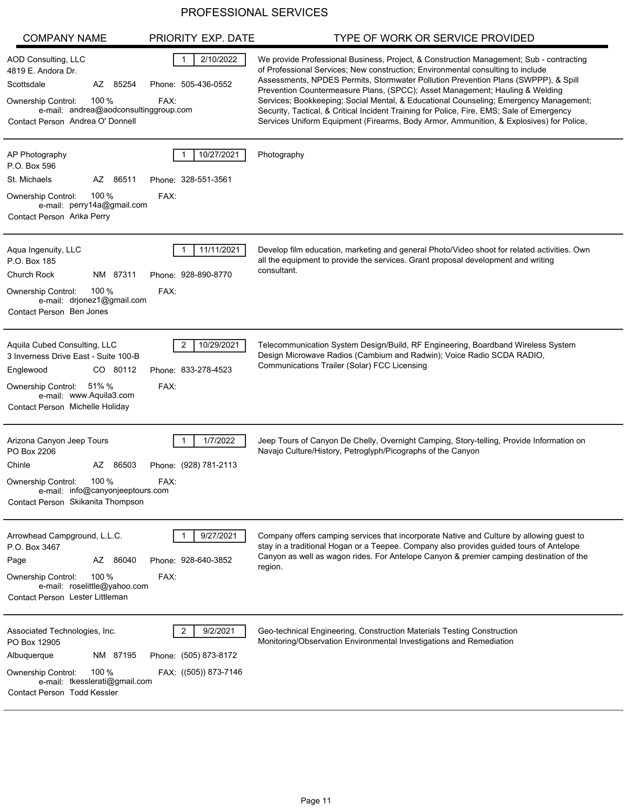| <b>COMPANY NAME</b>                                                                                                                                                                     | PRIORITY EXP. DATE                                                           | TYPE OF WORK OR SERVICE PROVIDED                                                                                                                                                                                                                                                                                                                                                                                                                                                                                                                                                                                                  |
|-----------------------------------------------------------------------------------------------------------------------------------------------------------------------------------------|------------------------------------------------------------------------------|-----------------------------------------------------------------------------------------------------------------------------------------------------------------------------------------------------------------------------------------------------------------------------------------------------------------------------------------------------------------------------------------------------------------------------------------------------------------------------------------------------------------------------------------------------------------------------------------------------------------------------------|
| AOD Consulting, LLC<br>4819 E. Andora Dr.<br>Scottsdale<br>AZ 85254<br>100 %<br>Ownership Control:<br>e-mail: andrea@aodconsultinggroup.com<br>Contact Person Andrea O' Donnell         | 2/10/2022<br>Phone: 505-436-0552<br>FAX:                                     | We provide Professional Business, Project, & Construction Management; Sub - contracting<br>of Professional Services; New construction; Environmental consulting to include<br>Assessments, NPDES Permits, Stormwater Pollution Prevention Plans (SWPPP), & Spill<br>Prevention Countermeasure Plans, (SPCC); Asset Management; Hauling & Welding<br>Services; Bookkeeping; Social Mental, & Educational Counseling; Emergency Management;<br>Security, Tactical, & Critical Incident Training for Police, Fire, EMS; Sale of Emergency<br>Services Uniform Equipment (Firearms, Body Armor, Ammunition, & Explosives) for Police, |
| AP Photography<br>P.O. Box 596                                                                                                                                                          | 10/27/2021                                                                   | Photography                                                                                                                                                                                                                                                                                                                                                                                                                                                                                                                                                                                                                       |
| St. Michaels<br>AZ 86511<br>100 $%$<br><b>Ownership Control:</b><br>e-mail: perry14a@gmail.com<br>Contact Person Arika Perry                                                            | Phone: 328-551-3561<br>FAX:                                                  |                                                                                                                                                                                                                                                                                                                                                                                                                                                                                                                                                                                                                                   |
| Aqua Ingenuity, LLC<br>P.O. Box 185<br>Church Rock<br>NM 87311<br>100%<br><b>Ownership Control:</b><br>e-mail: drjonez1@gmail.com<br>Contact Person Ben Jones                           | 11/11/2021<br>Phone: 928-890-8770<br>FAX:                                    | Develop film education, marketing and general Photo/Video shoot for related activities. Own<br>all the equipment to provide the services. Grant proposal development and writing<br>consultant.                                                                                                                                                                                                                                                                                                                                                                                                                                   |
| Aquila Cubed Consulting, LLC<br>3 Inverness Drive East - Suite 100-B<br>Englewood<br>CO 80112<br>Ownership Control: 51% %<br>e-mail: www.Aquila3.com<br>Contact Person Michelle Holiday | 10/29/2021<br>2<br>Phone: 833-278-4523<br>FAX:                               | Telecommunication System Design/Build, RF Engineering, Boardband Wireless System<br>Design Microwave Radios (Cambium and Radwin); Voice Radio SCDA RADIO,<br>Communications Trailer (Solar) FCC Licensing                                                                                                                                                                                                                                                                                                                                                                                                                         |
| Arizona Canyon Jeep Tours<br>PO Box 2206<br>Chinle<br>86503<br>AZ<br>100%<br>Ownership Control:<br>e-mail: info@canyonjeeptours.com<br>Contact Person Skikanita Thompson                | 1/7/2022<br>Phone: (928) 781-2113<br>FAX:                                    | Jeep Tours of Canyon De Chelly, Overnight Camping, Story-telling, Provide Information on<br>Navajo Culture/History, Petroglyph/Picographs of the Canyon                                                                                                                                                                                                                                                                                                                                                                                                                                                                           |
| Arrowhead Campground, L.L.C.<br>P.O. Box 3467<br>AZ 86040<br>Page<br>100 $%$<br><b>Ownership Control:</b><br>e-mail: roselittle@yahoo.com<br>Contact Person Lester Littleman            | 9/27/2021<br>Phone: 928-640-3852<br>FAX:                                     | Company offers camping services that incorporate Native and Culture by allowing guest to<br>stay in a traditional Hogan or a Teepee. Company also provides guided tours of Antelope<br>Canyon as well as wagon rides. For Antelope Canyon & premier camping destination of the<br>region.                                                                                                                                                                                                                                                                                                                                         |
| Associated Technologies, Inc.<br>PO Box 12905<br>NM 87195<br>Albuquerque<br>100 $%$<br>Ownership Control:<br>e-mail: tkesslerati@gmail.com<br>Contact Person Todd Kessler               | $\overline{2}$<br>9/2/2021<br>Phone: (505) 873-8172<br>FAX: ((505)) 873-7146 | Geo-technical Engineering, Construction Materials Testing Construction<br>Monitoring/Observation Environmental Investigations and Remediation                                                                                                                                                                                                                                                                                                                                                                                                                                                                                     |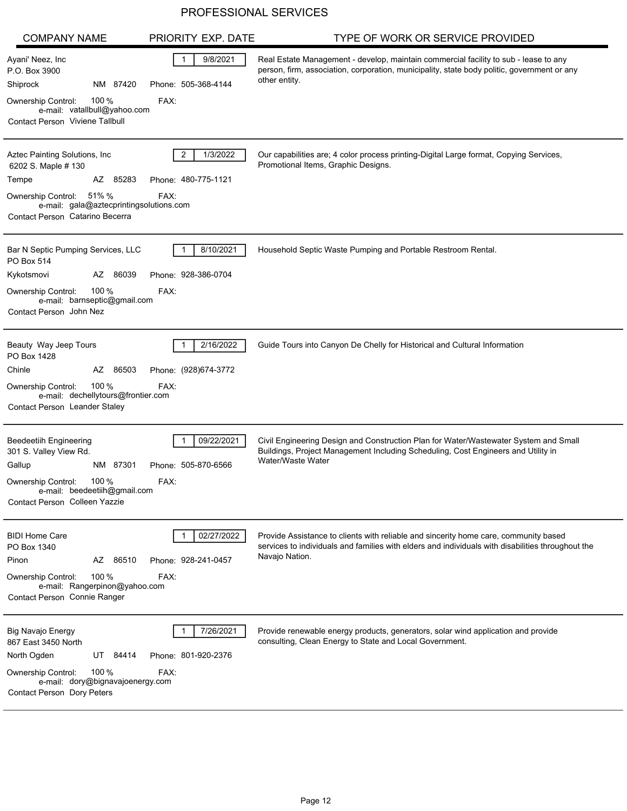| <b>COMPANY NAME</b>                                                                                                                                                                           | PRIORITY EXP. DATE                                        | TYPE OF WORK OR SERVICE PROVIDED                                                                                                                                                                            |
|-----------------------------------------------------------------------------------------------------------------------------------------------------------------------------------------------|-----------------------------------------------------------|-------------------------------------------------------------------------------------------------------------------------------------------------------------------------------------------------------------|
| Ayani' Neez, Inc<br>P.O. Box 3900<br>Shiprock<br>NM 87420<br>100 $%$<br>Ownership Control:<br>e-mail: vatallbull@yahoo.com<br><b>Contact Person Viviene Tallbull</b>                          | 9/8/2021<br>Phone: 505-368-4144<br>FAX:                   | Real Estate Management - develop, maintain commercial facility to sub - lease to any<br>person, firm, association, corporation, municipality, state body politic, government or any<br>other entity.        |
| Aztec Painting Solutions, Inc<br>6202 S. Maple # 130<br>Tempe<br>AZ 85283<br>51% %<br><b>Ownership Control:</b><br>e-mail: gala@aztecprintingsolutions.com<br>Contact Person Catarino Becerra | $\overline{2}$<br>1/3/2022<br>Phone: 480-775-1121<br>FAX: | Our capabilities are; 4 color process printing-Digital Large format, Copying Services,<br>Promotional Items, Graphic Designs.                                                                               |
| Bar N Septic Pumping Services, LLC<br>PO Box 514<br>AZ 86039<br>Kykotsmovi<br>100 %<br><b>Ownership Control:</b><br>e-mail: barnseptic@gmail.com<br>Contact Person John Nez                   | 8/10/2021<br>Phone: 928-386-0704<br>FAX:                  | Household Septic Waste Pumping and Portable Restroom Rental.                                                                                                                                                |
| Beauty Way Jeep Tours<br>PO Box 1428<br>Chinle<br>AZ<br>86503<br>100 $%$<br><b>Ownership Control:</b><br>e-mail: dechellytours@frontier.com<br>Contact Person Leander Staley                  | 2/16/2022<br>Phone: (928)674-3772<br>FAX:                 | Guide Tours into Canyon De Chelly for Historical and Cultural Information                                                                                                                                   |
| <b>Beedeetiih Engineering</b><br>301 S. Valley View Rd.<br>NM 87301<br>Gallup<br>100 %<br>Ownership Control:<br>e-mail: beedeetiih@gmail.com<br>Contact Person Colleen Yazzie                 | 09/22/2021<br>Phone: 505-870-6566<br>FAX:                 | Civil Engineering Design and Construction Plan for Water/Wastewater System and Small<br>Buildings, Project Management Including Scheduling, Cost Engineers and Utility in<br>Water/Waste Water              |
| <b>BIDI Home Care</b><br>PO Box 1340<br>AZ 86510<br>Pinon<br>100 $%$<br><b>Ownership Control:</b><br>e-mail: Rangerpinon@yahoo.com<br>Contact Person Connie Ranger                            | 02/27/2022<br>Phone: 928-241-0457<br>FAX:                 | Provide Assistance to clients with reliable and sincerity home care, community based<br>services to individuals and families with elders and individuals with disabilities throughout the<br>Navajo Nation. |
| <b>Big Navajo Energy</b><br>867 East 3450 North<br>North Ogden<br>UT 84414<br>100 %<br><b>Ownership Control:</b><br>e-mail: dory@bignavajoenergy.com<br>Contact Person Dory Peters            | 7/26/2021<br>Phone: 801-920-2376<br>FAX:                  | Provide renewable energy products, generators, solar wind application and provide<br>consulting, Clean Energy to State and Local Government.                                                                |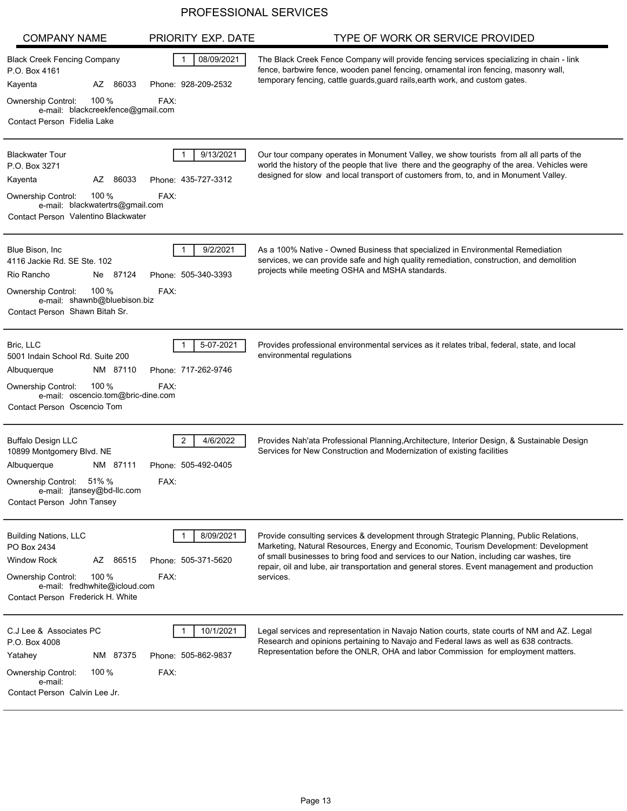| <b>COMPANY NAME</b>                                                                                                                                                                         | PRIORITY EXP. DATE                           | TYPE OF WORK OR SERVICE PROVIDED                                                                                                                                                                                                                                                                                                                                                        |
|---------------------------------------------------------------------------------------------------------------------------------------------------------------------------------------------|----------------------------------------------|-----------------------------------------------------------------------------------------------------------------------------------------------------------------------------------------------------------------------------------------------------------------------------------------------------------------------------------------------------------------------------------------|
| <b>Black Creek Fencing Company</b><br>P.O. Box 4161<br>AZ 86033<br>Kayenta<br>100 %<br>Ownership Control:<br>e-mail: blackcreekfence@gmail.com<br>Contact Person Fidelia Lake               | 08/09/2021<br>Phone: 928-209-2532<br>FAX:    | The Black Creek Fence Company will provide fencing services specializing in chain - link<br>fence, barbwire fence, wooden panel fencing, ornamental iron fencing, masonry wall,<br>temporary fencing, cattle guards, guard rails, earth work, and custom gates.                                                                                                                         |
| <b>Blackwater Tour</b><br>P.O. Box 3271<br>AZ 86033<br>Kayenta<br>100 $%$<br><b>Ownership Control:</b><br>e-mail: blackwatertrs@gmail.com<br>Contact Person Valentino Blackwater            | 9/13/2021<br>Phone: 435-727-3312<br>FAX:     | Our tour company operates in Monument Valley, we show tourists from all all parts of the<br>world the history of the people that live there and the geography of the area. Vehicles were<br>designed for slow and local transport of customers from, to, and in Monument Valley.                                                                                                        |
| Blue Bison, Inc.<br>4116 Jackie Rd. SE Ste. 102<br>Rio Rancho<br>Ne 87124<br>100 $%$<br><b>Ownership Control:</b><br>e-mail: shawnb@bluebison.biz<br>Contact Person Shawn Bitah Sr.         | 9/2/2021<br>Phone: 505-340-3393<br>FAX:      | As a 100% Native - Owned Business that specialized in Environmental Remediation<br>services, we can provide safe and high quality remediation, construction, and demolition<br>projects while meeting OSHA and MSHA standards.                                                                                                                                                          |
| Bric, LLC<br>5001 Indain School Rd. Suite 200<br>Albuquerque<br>NM 87110<br>100 %<br>Ownership Control:<br>e-mail: oscencio.tom@bric-dine.com<br>Contact Person Oscencio Tom                | 5-07-2021<br>Phone: 717-262-9746<br>FAX:     | Provides professional environmental services as it relates tribal, federal, state, and local<br>environmental regulations                                                                                                                                                                                                                                                               |
| <b>Buffalo Design LLC</b><br>10899 Montgomery Blvd. NE<br>NM 87111<br>Albuquerque<br>Ownership Control:<br>51% %<br>e-mail: jtansey@bd-llc.com<br>Contact Person John Tansey                | 2<br>4/6/2022<br>Phone: 505-492-0405<br>FAX: | Provides Nah'ata Professional Planning, Architecture, Interior Design, & Sustainable Design<br>Services for New Construction and Modernization of existing facilities                                                                                                                                                                                                                   |
| <b>Building Nations, LLC</b><br>PO Box 2434<br><b>Window Rock</b><br>AZ 86515<br>100 $%$<br><b>Ownership Control:</b><br>e-mail: fredhwhite@icloud.com<br>Contact Person Frederick H. White | 8/09/2021<br>Phone: 505-371-5620<br>FAX:     | Provide consulting services & development through Strategic Planning, Public Relations,<br>Marketing, Natural Resources, Energy and Economic, Tourism Development: Development<br>of small businesses to bring food and services to our Nation, including car washes, tire<br>repair, oil and lube, air transportation and general stores. Event management and production<br>services. |
| C.J Lee & Associates PC<br>P.O. Box 4008<br>Yatahey<br>NM 87375<br>100 $%$<br>Ownership Control:<br>e-mail:<br>Contact Person Calvin Lee Jr.                                                | 10/1/2021<br>Phone: 505-862-9837<br>FAX:     | Legal services and representation in Navajo Nation courts, state courts of NM and AZ. Legal<br>Research and opinions pertaining to Navajo and Federal laws as well as 638 contracts.<br>Representation before the ONLR, OHA and labor Commission for employment matters.                                                                                                                |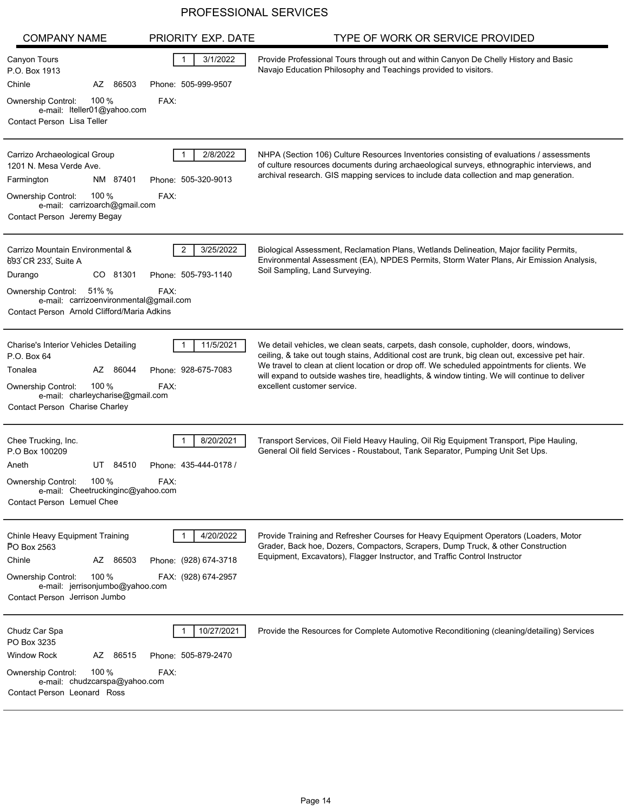| <b>COMPANY NAME</b>                                                                                                                                                                                           | PRIORITY EXP. DATE                                         | TYPE OF WORK OR SERVICE PROVIDED                                                                                                                                                                                                                                                                                                                                                                                         |
|---------------------------------------------------------------------------------------------------------------------------------------------------------------------------------------------------------------|------------------------------------------------------------|--------------------------------------------------------------------------------------------------------------------------------------------------------------------------------------------------------------------------------------------------------------------------------------------------------------------------------------------------------------------------------------------------------------------------|
| Canyon Tours<br>P.O. Box 1913<br>Chinle<br>AZ 86503<br>100 $%$<br>Ownership Control:<br>e-mail: lteller01@yahoo.com<br>Contact Person Lisa Teller                                                             | 3/1/2022<br>Phone: 505-999-9507<br>FAX:                    | Provide Professional Tours through out and within Canyon De Chelly History and Basic<br>Navajo Education Philosophy and Teachings provided to visitors.                                                                                                                                                                                                                                                                  |
| Carrizo Archaeological Group<br>1201 N. Mesa Verde Ave.<br>NM 87401<br>Farmington<br>100 %<br><b>Ownership Control:</b><br>e-mail: carrizoarch@gmail.com<br>Contact Person Jeremy Begay                       | 2/8/2022<br>Phone: 505-320-9013<br>FAX:                    | NHPA (Section 106) Culture Resources Inventories consisting of evaluations / assessments<br>of culture resources documents during archaeological surveys, ethnographic interviews, and<br>archival research. GIS mapping services to include data collection and map generation.                                                                                                                                         |
| Carrizo Mountain Environmental &<br>693 CR 233, Suite A<br>Durango<br>CO 81301<br>51% %<br><b>Ownership Control:</b><br>e-mail: carrizoenvironmental@gmail.com<br>Contact Person Arnold Clifford/Maria Adkins | $\overline{2}$<br>3/25/2022<br>Phone: 505-793-1140<br>FAX: | Biological Assessment, Reclamation Plans, Wetlands Delineation, Major facility Permits,<br>Environmental Assessment (EA), NPDES Permits, Storm Water Plans, Air Emission Analysis,<br>Soil Sampling, Land Surveying.                                                                                                                                                                                                     |
| Charise's Interior Vehicles Detailing<br>P.O. Box 64<br>Tonalea<br>AZ 86044<br>100 $%$<br>Ownership Control:<br>e-mail: charleycharise@gmail.com<br>Contact Person Charise Charley                            | 11/5/2021<br>Phone: 928-675-7083<br>FAX:                   | We detail vehicles, we clean seats, carpets, dash console, cupholder, doors, windows,<br>ceiling, & take out tough stains, Additional cost are trunk, big clean out, excessive pet hair.<br>We travel to clean at client location or drop off. We scheduled appointments for clients. We<br>will expand to outside washes tire, headlights, & window tinting. We will continue to deliver<br>excellent customer service. |
| Chee Trucking, Inc.<br>P.O Box 100209<br>Aneth<br>UT 84510<br>100 %<br><b>Ownership Control:</b><br>e-mail: Cheetruckinginc@yahoo.com<br>Contact Person Lemuel Chee                                           | 8/20/2021<br>Phone: 435-444-0178 /<br>FAX:                 | Transport Services, Oil Field Heavy Hauling, Oil Rig Equipment Transport, Pipe Hauling,<br>General Oil field Services - Roustabout, Tank Separator, Pumping Unit Set Ups.                                                                                                                                                                                                                                                |
| Chinle Heavy Equipment Training<br>PO Box 2563<br>Chinle<br>AZ 86503<br>100 $%$<br><b>Ownership Control:</b><br>e-mail: jerrisonjumbo@yahoo.com<br>Contact Person Jerrison Jumbo                              | 4/20/2022<br>Phone: (928) 674-3718<br>FAX: (928) 674-2957  | Provide Training and Refresher Courses for Heavy Equipment Operators (Loaders, Motor<br>Grader, Back hoe, Dozers, Compactors, Scrapers, Dump Truck, & other Construction<br>Equipment, Excavators), Flagger Instructor, and Traffic Control Instructor                                                                                                                                                                   |
| Chudz Car Spa<br>PO Box 3235<br><b>Window Rock</b><br>AZ 86515<br>100 $%$<br>Ownership Control:<br>e-mail: chudzcarspa@yahoo.com<br>Contact Person Leonard Ross                                               | 10/27/2021<br>Phone: 505-879-2470<br>FAX:                  | Provide the Resources for Complete Automotive Reconditioning (cleaning/detailing) Services                                                                                                                                                                                                                                                                                                                               |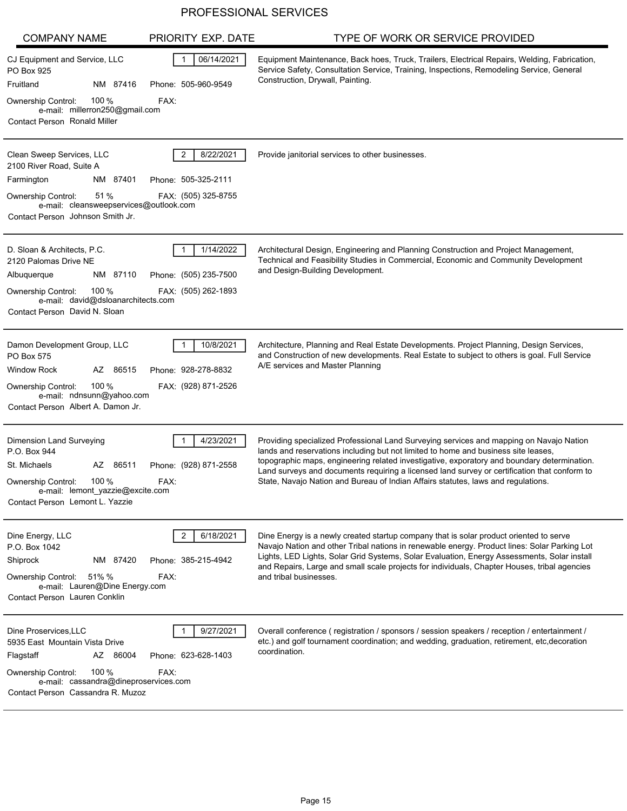| <b>COMPANY NAME</b>                                                                                                                                                                             | PRIORITY EXP. DATE                                      | TYPE OF WORK OR SERVICE PROVIDED                                                                                                                                                                                                                                                                                                                                                                                                                                  |
|-------------------------------------------------------------------------------------------------------------------------------------------------------------------------------------------------|---------------------------------------------------------|-------------------------------------------------------------------------------------------------------------------------------------------------------------------------------------------------------------------------------------------------------------------------------------------------------------------------------------------------------------------------------------------------------------------------------------------------------------------|
| CJ Equipment and Service, LLC<br>PO Box 925<br>Fruitland<br>NM 87416                                                                                                                            | 06/14/2021<br>1<br>Phone: 505-960-9549                  | Equipment Maintenance, Back hoes, Truck, Trailers, Electrical Repairs, Welding, Fabrication,<br>Service Safety, Consultation Service, Training, Inspections, Remodeling Service, General<br>Construction, Drywall, Painting.                                                                                                                                                                                                                                      |
| 100 %<br>Ownership Control:<br>e-mail: millerron250@gmail.com<br><b>Contact Person Ronald Miller</b>                                                                                            | FAX:                                                    |                                                                                                                                                                                                                                                                                                                                                                                                                                                                   |
| Clean Sweep Services, LLC<br>2100 River Road, Suite A                                                                                                                                           | 8/22/2021<br>2                                          | Provide janitorial services to other businesses.                                                                                                                                                                                                                                                                                                                                                                                                                  |
| Farmington<br>NM 87401                                                                                                                                                                          | Phone: 505-325-2111                                     |                                                                                                                                                                                                                                                                                                                                                                                                                                                                   |
| 51%<br><b>Ownership Control:</b><br>e-mail: cleansweepservices@outlook.com<br>Contact Person Johnson Smith Jr.                                                                                  | FAX: (505) 325-8755                                     |                                                                                                                                                                                                                                                                                                                                                                                                                                                                   |
| D. Sloan & Architects, P.C.<br>2120 Palomas Drive NE<br>Albuquerque<br>NM 87110                                                                                                                 | 1/14/2022<br>Phone: (505) 235-7500                      | Architectural Design, Engineering and Planning Construction and Project Management,<br>Technical and Feasibility Studies in Commercial, Economic and Community Development<br>and Design-Building Development.                                                                                                                                                                                                                                                    |
| 100%<br>Ownership Control:<br>e-mail: david@dsloanarchitects.com<br>Contact Person David N. Sloan                                                                                               | FAX: (505) 262-1893                                     |                                                                                                                                                                                                                                                                                                                                                                                                                                                                   |
| Damon Development Group, LLC<br>PO Box 575<br><b>Window Rock</b><br>AZ 86515<br><b>Ownership Control:</b><br>100 $%$<br>e-mail: ndnsunn@yahoo.com<br>Contact Person Albert A. Damon Jr.         | 10/8/2021<br>Phone: 928-278-8832<br>FAX: (928) 871-2526 | Architecture, Planning and Real Estate Developments. Project Planning, Design Services,<br>and Construction of new developments. Real Estate to subject to others is goal. Full Service<br>A/E services and Master Planning                                                                                                                                                                                                                                       |
| Dimension Land Surveying<br>P.O. Box 944<br>St. Michaels<br>AZ 86511<br>100 %<br><b>Ownership Control:</b><br>e-mail: lemont_yazzie@excite.com<br>Contact Person Lemont L. Yazzie               | 4/23/2021<br>Phone: (928) 871-2558<br>FAX:              | Providing specialized Professional Land Surveying services and mapping on Navajo Nation<br>lands and reservations including but not limited to home and business site leases,<br>topographic maps, engineering related investigative, exporatory and boundary determination.<br>Land surveys and documents requiring a licensed land survey or certification that conform to<br>State, Navajo Nation and Bureau of Indian Affairs statutes, laws and regulations. |
| Dine Energy, LLC<br>P.O. Box 1042<br>Shiprock<br>NM 87420<br>Ownership Control: 51% %<br>e-mail: Lauren@Dine Energy.com<br>Contact Person Lauren Conklin                                        | 6/18/2021<br>2<br>Phone: 385-215-4942<br>FAX:           | Dine Energy is a newly created startup company that is solar product oriented to serve<br>Navajo Nation and other Tribal nations in renewable energy. Product lines: Solar Parking Lot<br>Lights, LED Lights, Solar Grid Systems, Solar Evaluation, Energy Assessments, Solar install<br>and Repairs, Large and small scale projects for individuals, Chapter Houses, tribal agencies<br>and tribal businesses.                                                   |
| Dine Proservices, LLC<br>5935 East Mountain Vista Drive<br>Flagstaff<br>AZ 86004<br>100 $%$<br>Ownership Control:<br>e-mail: cassandra@dineproservices.com<br>Contact Person Cassandra R. Muzoz | 9/27/2021<br>Phone: 623-628-1403<br>FAX:                | Overall conference (registration / sponsors / session speakers / reception / entertainment /<br>etc.) and golf tournament coordination; and wedding, graduation, retirement, etc, decoration<br>coordination.                                                                                                                                                                                                                                                     |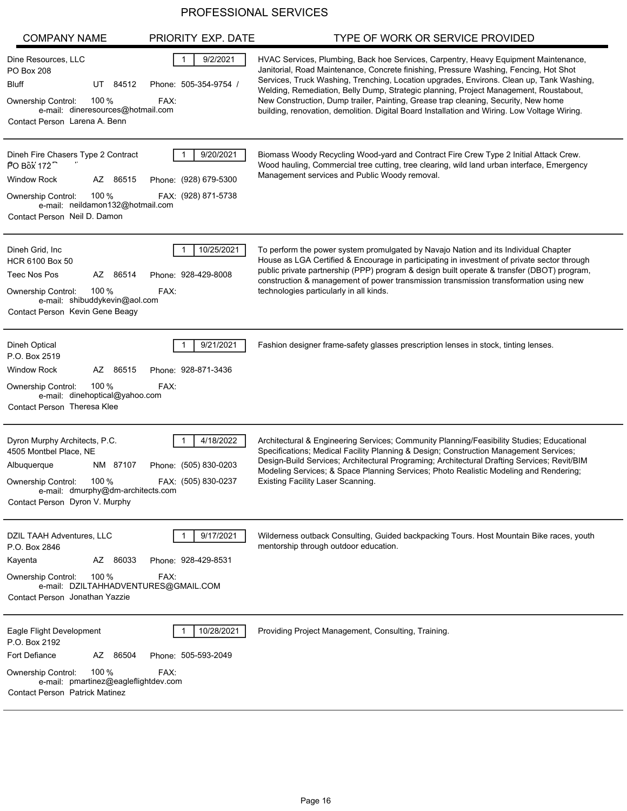| <b>COMPANY NAME</b>                                                                                                                                                                         | PRIORITY EXP. DATE                                        | TYPE OF WORK OR SERVICE PROVIDED                                                                                                                                                                                                                                                                                                                                                                                                                                                                                                                        |
|---------------------------------------------------------------------------------------------------------------------------------------------------------------------------------------------|-----------------------------------------------------------|---------------------------------------------------------------------------------------------------------------------------------------------------------------------------------------------------------------------------------------------------------------------------------------------------------------------------------------------------------------------------------------------------------------------------------------------------------------------------------------------------------------------------------------------------------|
| Dine Resources, LLC<br><b>PO Box 208</b><br>UT 84512<br>Bluff<br>Ownership Control:<br>$100\%$<br>e-mail: dineresources@hotmail.com<br>Contact Person Larena A. Benn                        | 9/2/2021<br>Phone: 505-354-9754 /<br>FAX:                 | HVAC Services, Plumbing, Back hoe Services, Carpentry, Heavy Equipment Maintenance,<br>Janitorial, Road Maintenance, Concrete finishing, Pressure Washing, Fencing, Hot Shot<br>Services, Truck Washing, Trenching, Location upgrades, Environs. Clean up, Tank Washing,<br>Welding, Remediation, Belly Dump, Strategic planning, Project Management, Roustabout,<br>New Construction, Dump trailer, Painting, Grease trap cleaning, Security, New home<br>building, renovation, demolition. Digital Board Installation and Wiring. Low Voltage Wiring. |
| Dineh Fire Chasers Type 2 Contract<br>PO Box 172<br><b>Window Rock</b><br>AZ 86515<br>100%<br><b>Ownership Control:</b><br>e-mail: neildamon132@hotmail.com<br>Contact Person Neil D. Damon | 9/20/2021<br>Phone: (928) 679-5300<br>FAX: (928) 871-5738 | Biomass Woody Recycling Wood-yard and Contract Fire Crew Type 2 Initial Attack Crew.<br>Wood hauling, Commercial tree cutting, tree clearing, wild land urban interface, Emergency<br>Management services and Public Woody removal.                                                                                                                                                                                                                                                                                                                     |
| Dineh Grid, Inc.<br>HCR 6100 Box 50<br>Teec Nos Pos<br>86514<br>AZ<br>100 $%$<br><b>Ownership Control:</b><br>e-mail: shibuddykevin@aol.com<br>Contact Person Kevin Gene Beagy              | 10/25/2021<br>Phone: 928-429-8008<br>FAX:                 | To perform the power system promulgated by Navajo Nation and its Individual Chapter<br>House as LGA Certified & Encourage in participating in investment of private sector through<br>public private partnership (PPP) program & design built operate & transfer (DBOT) program,<br>construction & management of power transmission transmission transformation using new<br>technologies particularly in all kinds.                                                                                                                                    |
| Dineh Optical<br>P.O. Box 2519<br><b>Window Rock</b><br>AZ<br>86515<br>100 $%$<br><b>Ownership Control:</b><br>e-mail: dinehoptical@yahoo.com<br>Contact Person Theresa Klee                | 9/21/2021<br>Phone: 928-871-3436<br>FAX:                  | Fashion designer frame-safety glasses prescription lenses in stock, tinting lenses.                                                                                                                                                                                                                                                                                                                                                                                                                                                                     |
| Dyron Murphy Architects, P.C.<br>4505 Montbel Place, NE<br>Albuquerque<br>NM 87107<br>100 %<br>Ownership Control:<br>e-mail: dmurphy@dm-architects.com<br>Contact Person Dyron V. Murphy    | 4/18/2022<br>Phone: (505) 830-0203<br>FAX: (505) 830-0237 | Architectural & Engineering Services; Community Planning/Feasibility Studies; Educational<br>Specifications; Medical Facility Planning & Design; Construction Management Services;<br>Design-Build Services; Architectural Programing; Architectural Drafting Services; Revit/BIM<br>Modeling Services; & Space Planning Services; Photo Realistic Modeling and Rendering;<br><b>Existing Facility Laser Scanning.</b>                                                                                                                                  |
| DZIL TAAH Adventures, LLC<br>P.O. Box 2846<br>AZ 86033<br>Kayenta<br>100 $%$<br>Ownership Control:<br>e-mail: DZILTAHHADVENTURES@GMAIL.COM<br>Contact Person Jonathan Yazzie                | 9/17/2021<br>Phone: 928-429-8531<br>FAX:                  | Wilderness outback Consulting, Guided backpacking Tours. Host Mountain Bike races, youth<br>mentorship through outdoor education.                                                                                                                                                                                                                                                                                                                                                                                                                       |
| Eagle Flight Development<br>P.O. Box 2192<br>Fort Defiance<br>AZ 86504<br>100 %<br>Ownership Control:<br>e-mail: pmartinez@eagleflightdev.com<br><b>Contact Person Patrick Matinez</b>      | 10/28/2021<br>Phone: 505-593-2049<br>FAX:                 | Providing Project Management, Consulting, Training.                                                                                                                                                                                                                                                                                                                                                                                                                                                                                                     |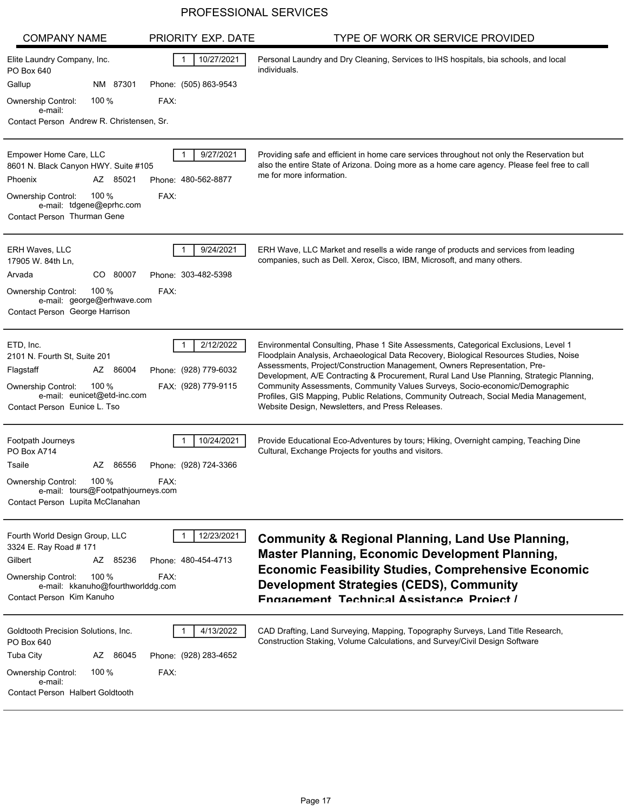| <b>COMPANY NAME</b>                                                                                                                                                                     | PRIORITY EXP. DATE                                        | TYPE OF WORK OR SERVICE PROVIDED                                                                                                                                                                                                                                                                                                                                                                                                                                                                                                                                                   |
|-----------------------------------------------------------------------------------------------------------------------------------------------------------------------------------------|-----------------------------------------------------------|------------------------------------------------------------------------------------------------------------------------------------------------------------------------------------------------------------------------------------------------------------------------------------------------------------------------------------------------------------------------------------------------------------------------------------------------------------------------------------------------------------------------------------------------------------------------------------|
| Elite Laundry Company, Inc.<br>PO Box 640                                                                                                                                               | 10/27/2021                                                | Personal Laundry and Dry Cleaning, Services to IHS hospitals, bia schools, and local<br>individuals.                                                                                                                                                                                                                                                                                                                                                                                                                                                                               |
| Gallup<br>NM 87301                                                                                                                                                                      | Phone: (505) 863-9543                                     |                                                                                                                                                                                                                                                                                                                                                                                                                                                                                                                                                                                    |
| 100 $%$<br>Ownership Control:<br>e-mail:                                                                                                                                                | FAX:                                                      |                                                                                                                                                                                                                                                                                                                                                                                                                                                                                                                                                                                    |
| Contact Person Andrew R. Christensen, Sr.                                                                                                                                               |                                                           |                                                                                                                                                                                                                                                                                                                                                                                                                                                                                                                                                                                    |
| Empower Home Care, LLC<br>8601 N. Black Canyon HWY. Suite #105<br>AZ 85021<br>Phoenix<br>100 $%$<br>Ownership Control:<br>e-mail: tdgene@eprhc.com<br>Contact Person Thurman Gene       | 9/27/2021<br>Phone: 480-562-8877<br>FAX:                  | Providing safe and efficient in home care services throughout not only the Reservation but<br>also the entire State of Arizona. Doing more as a home care agency. Please feel free to call<br>me for more information.                                                                                                                                                                                                                                                                                                                                                             |
| <b>ERH Waves, LLC</b><br>17905 W. 84th Ln,<br>CO 80007<br>Arvada<br>100 $%$<br><b>Ownership Control:</b><br>e-mail: george@erhwave.com<br>Contact Person George Harrison                | 9/24/2021<br>Phone: 303-482-5398<br>FAX:                  | ERH Wave, LLC Market and resells a wide range of products and services from leading<br>companies, such as Dell. Xerox, Cisco, IBM, Microsoft, and many others.                                                                                                                                                                                                                                                                                                                                                                                                                     |
| ETD, Inc.<br>2101 N. Fourth St, Suite 201<br>Flagstaff<br>86004<br>AZ<br>100 $%$<br>Ownership Control:<br>e-mail: eunicet@etd-inc.com<br>Contact Person Eunice L. Tso                   | 2/12/2022<br>Phone: (928) 779-6032<br>FAX: (928) 779-9115 | Environmental Consulting, Phase 1 Site Assessments, Categorical Exclusions, Level 1<br>Floodplain Analysis, Archaeological Data Recovery, Biological Resources Studies, Noise<br>Assessments, Project/Construction Management, Owners Representation, Pre-<br>Development, A/E Contracting & Procurement, Rural Land Use Planning, Strategic Planning,<br>Community Assessments, Community Values Surveys, Socio-economic/Demographic<br>Profiles, GIS Mapping, Public Relations, Community Outreach, Social Media Management,<br>Website Design, Newsletters, and Press Releases. |
| Footpath Journeys<br>PO Box A714<br>Tsaile<br>AZ 86556<br>100 $%$<br><b>Ownership Control:</b><br>e-mail: tours@Footpathjourneys.com<br>Contact Person Lupita McClanahan                | 10/24/2021<br>Phone: (928) 724-3366<br>FAX:               | Provide Educational Eco-Adventures by tours; Hiking, Overnight camping, Teaching Dine<br>Cultural, Exchange Projects for youths and visitors.                                                                                                                                                                                                                                                                                                                                                                                                                                      |
| Fourth World Design Group, LLC<br>3324 E. Ray Road # 171<br>Gilbert<br>AZ 85236<br>100 %<br><b>Ownership Control:</b><br>e-mail: kkanuho@fourthworlddg.com<br>Contact Person Kim Kanuho | 12/23/2021<br>Phone: 480-454-4713<br>FAX:                 | <b>Community &amp; Regional Planning, Land Use Planning,</b><br><b>Master Planning, Economic Development Planning,</b><br><b>Economic Feasibility Studies, Comprehensive Economic</b><br><b>Development Strategies (CEDS), Community</b><br>Engagement Technical Assistance Project /                                                                                                                                                                                                                                                                                              |
| Goldtooth Precision Solutions, Inc.<br>PO Box 640<br><b>Tuba City</b><br>AZ 86045<br>100 $%$<br>Ownership Control:<br>e-mail:<br>Contact Person Halbert Goldtooth                       | 4/13/2022<br>Phone: (928) 283-4652<br>FAX:                | CAD Drafting, Land Surveying, Mapping, Topography Surveys, Land Title Research,<br>Construction Staking, Volume Calculations, and Survey/Civil Design Software                                                                                                                                                                                                                                                                                                                                                                                                                     |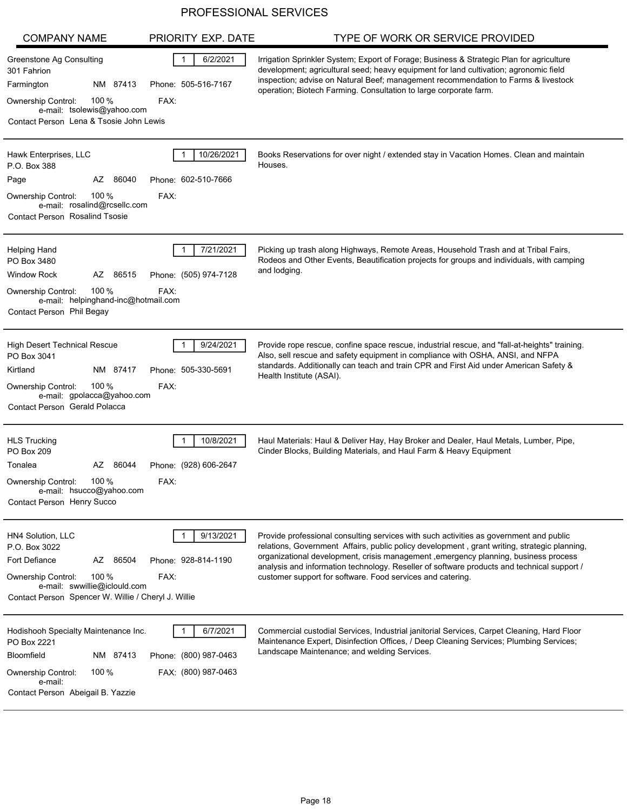| <b>COMPANY NAME</b>                                                                                                                                                                            | PRIORITY EXP. DATE                                       | TYPE OF WORK OR SERVICE PROVIDED                                                                                                                                                                                                                                                                                                                                                                                                           |
|------------------------------------------------------------------------------------------------------------------------------------------------------------------------------------------------|----------------------------------------------------------|--------------------------------------------------------------------------------------------------------------------------------------------------------------------------------------------------------------------------------------------------------------------------------------------------------------------------------------------------------------------------------------------------------------------------------------------|
| <b>Greenstone Ag Consulting</b><br>301 Fahrion<br>NM 87413<br>Farmington<br>100 $%$<br>Ownership Control:<br>e-mail: tsolewis@yahoo.com<br>Contact Person Lena & Tsosie John Lewis             | 6/2/2021<br>Phone: 505-516-7167<br>FAX:                  | Irrigation Sprinkler System; Export of Forage; Business & Strategic Plan for agriculture<br>development; agricultural seed; heavy equipment for land cultivation; agronomic field<br>inspection; advise on Natural Beef; management recommendation to Farms & livestock<br>operation; Biotech Farming. Consultation to large corporate farm.                                                                                               |
| Hawk Enterprises, LLC<br>P.O. Box 388<br>86040<br>AZ<br>Page<br>100 $%$<br><b>Ownership Control:</b><br>e-mail: rosalind@rcsellc.com<br><b>Contact Person Rosalind Tsosie</b>                  | 10/26/2021<br>Phone: 602-510-7666<br>FAX:                | Books Reservations for over night / extended stay in Vacation Homes. Clean and maintain<br>Houses.                                                                                                                                                                                                                                                                                                                                         |
| <b>Helping Hand</b><br>PO Box 3480<br><b>Window Rock</b><br>86515<br>AZ<br>100 $%$<br>Ownership Control:<br>e-mail: helpinghand-inc@hotmail.com<br>Contact Person Phil Begay                   | 7/21/2021<br>Phone: (505) 974-7128<br>FAX:               | Picking up trash along Highways, Remote Areas, Household Trash and at Tribal Fairs,<br>Rodeos and Other Events, Beautification projects for groups and individuals, with camping<br>and lodging.                                                                                                                                                                                                                                           |
| High Desert Technical Rescue<br>PO Box 3041<br>Kirtland<br>NM 87417<br>Ownership Control:<br>100 $%$<br>e-mail: gpolacca@yahoo.com<br>Contact Person Gerald Polacca                            | 9/24/2021<br>Phone: 505-330-5691<br>FAX:                 | Provide rope rescue, confine space rescue, industrial rescue, and "fall-at-heights" training.<br>Also, sell rescue and safety equipment in compliance with OSHA, ANSI, and NFPA<br>standards. Additionally can teach and train CPR and First Aid under American Safety &<br>Health Institute (ASAI).                                                                                                                                       |
| <b>HLS Trucking</b><br>PO Box 209<br>Tonalea<br>86044<br>AZ<br>100 %<br>Ownership Control:<br>e-mail: hsucco@yahoo.com<br>Contact Person Henry Succo                                           | 10/8/2021<br>Phone: (928) 606-2647<br>FAX:               | Haul Materials: Haul & Deliver Hay, Hay Broker and Dealer, Haul Metals, Lumber, Pipe,<br>Cinder Blocks, Building Materials, and Haul Farm & Heavy Equipment                                                                                                                                                                                                                                                                                |
| HN4 Solution, LLC<br>P.O. Box 3022<br>Fort Defiance<br>AZ 86504<br>100 $%$<br><b>Ownership Control:</b><br>e-mail: swwillie@iclould.com<br>Contact Person Spencer W. Willie / Cheryl J. Willie | 9/13/2021<br>Phone: 928-814-1190<br>FAX:                 | Provide professional consulting services with such activities as government and public<br>relations, Government Affairs, public policy development, grant writing, strategic planning,<br>organizational development, crisis management , emergency planning, business process<br>analysis and information technology. Reseller of software products and technical support /<br>customer support for software. Food services and catering. |
| Hodishooh Specialty Maintenance Inc.<br>PO Box 2221<br><b>Bloomfield</b><br>NM 87413<br>100 $%$<br>Ownership Control:<br>e-mail:<br>Contact Person Abeigail B. Yazzie                          | 6/7/2021<br>Phone: (800) 987-0463<br>FAX: (800) 987-0463 | Commercial custodial Services, Industrial janitorial Services, Carpet Cleaning, Hard Floor<br>Maintenance Expert, Disinfection Offices, / Deep Cleaning Services; Plumbing Services;<br>Landscape Maintenance; and welding Services.                                                                                                                                                                                                       |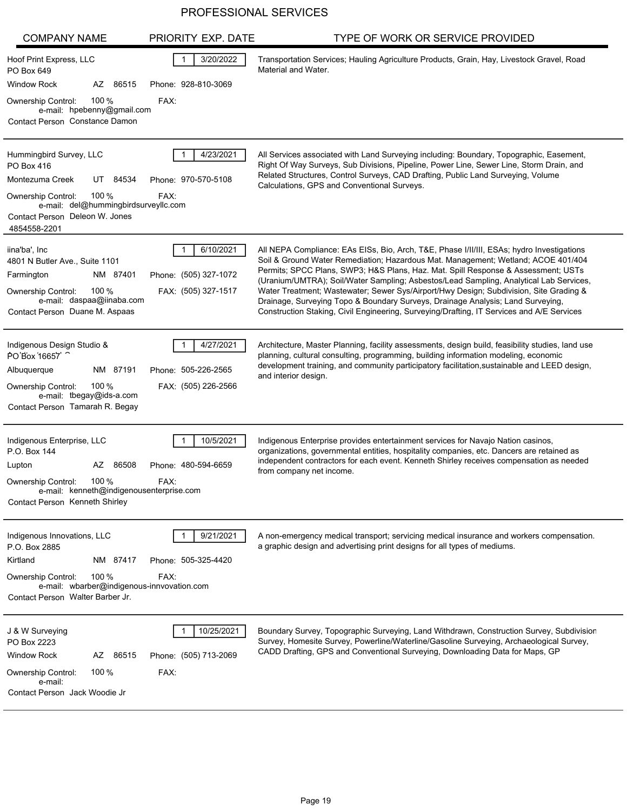| <b>COMPANY NAME</b>                                                                                                                                                                                    | PRIORITY EXP. DATE                                        | TYPE OF WORK OR SERVICE PROVIDED                                                                                                                                                                                                                                                                                                                                                                                                                                                                                                                                                                                                        |
|--------------------------------------------------------------------------------------------------------------------------------------------------------------------------------------------------------|-----------------------------------------------------------|-----------------------------------------------------------------------------------------------------------------------------------------------------------------------------------------------------------------------------------------------------------------------------------------------------------------------------------------------------------------------------------------------------------------------------------------------------------------------------------------------------------------------------------------------------------------------------------------------------------------------------------------|
| Hoof Print Express, LLC<br>PO Box 649                                                                                                                                                                  | 3/20/2022                                                 | Transportation Services; Hauling Agriculture Products, Grain, Hay, Livestock Gravel, Road<br>Material and Water.                                                                                                                                                                                                                                                                                                                                                                                                                                                                                                                        |
| <b>Window Rock</b><br>AZ 86515                                                                                                                                                                         | Phone: 928-810-3069                                       |                                                                                                                                                                                                                                                                                                                                                                                                                                                                                                                                                                                                                                         |
| 100 $%$<br><b>Ownership Control:</b><br>e-mail: hpebenny@gmail.com<br>Contact Person Constance Damon                                                                                                   | FAX:                                                      |                                                                                                                                                                                                                                                                                                                                                                                                                                                                                                                                                                                                                                         |
| Hummingbird Survey, LLC<br>PO Box 416<br>Montezuma Creek<br>UT 84534<br>100 $%$<br><b>Ownership Control:</b><br>e-mail: del@hummingbirdsurveyllc.com<br>Contact Person Deleon W. Jones<br>4854558-2201 | 4/23/2021<br>Phone: 970-570-5108<br>FAX:                  | All Services associated with Land Surveying including: Boundary, Topographic, Easement,<br>Right Of Way Surveys, Sub Divisions, Pipeline, Power Line, Sewer Line, Storm Drain, and<br>Related Structures, Control Surveys, CAD Drafting, Public Land Surveying, Volume<br>Calculations, GPS and Conventional Surveys.                                                                                                                                                                                                                                                                                                                   |
| iina'ba', Inc<br>4801 N Butler Ave., Suite 1101<br>Farmington<br>NM 87401<br>100 $%$<br><b>Ownership Control:</b><br>e-mail: daspaa@iinaba.com<br>Contact Person Duane M. Aspaas                       | 6/10/2021<br>Phone: (505) 327-1072<br>FAX: (505) 327-1517 | All NEPA Compliance: EAs EISs, Bio, Arch, T&E, Phase I/II/III, ESAs; hydro Investigations<br>Soil & Ground Water Remediation; Hazardous Mat. Management; Wetland; ACOE 401/404<br>Permits; SPCC Plans, SWP3; H&S Plans, Haz. Mat. Spill Response & Assessment; USTs<br>(Uranium/UMTRA); Soil/Water Sampling; Asbestos/Lead Sampling, Analytical Lab Services,<br>Water Treatment; Wastewater; Sewer Sys/Airport/Hwy Design; Subdivision, Site Grading &<br>Drainage, Surveying Topo & Boundary Surveys, Drainage Analysis; Land Surveying,<br>Construction Staking, Civil Engineering, Surveying/Drafting, IT Services and A/E Services |
| Indigenous Design Studio &<br>PO Box 16657<br>NM 87191<br>Albuquerque<br>100 $%$<br><b>Ownership Control:</b><br>e-mail: tbegay@ids-a.com<br>Contact Person Tamarah R. Begay                           | 4/27/2021<br>Phone: 505-226-2565<br>FAX: (505) 226-2566   | Architecture, Master Planning, facility assessments, design build, feasibility studies, land use<br>planning, cultural consulting, programming, building information modeling, economic<br>development training, and community participatory facilitation, sustainable and LEED design,<br>and interior design.                                                                                                                                                                                                                                                                                                                         |
| Indigenous Enterprise, LLC<br>P.O. Box 144<br>AZ 86508<br>Lupton<br>100 %<br><b>Ownership Control:</b><br>e-mail: kenneth@indigenousenterprise.com<br>Contact Person Kenneth Shirley                   | 10/5/2021<br>Phone: 480-594-6659<br>FAX:                  | Indigenous Enterprise provides entertainment services for Navajo Nation casinos,<br>organizations, governmental entities, hospitality companies, etc. Dancers are retained as<br>independent contractors for each event. Kenneth Shirley receives compensation as needed<br>from company net income.                                                                                                                                                                                                                                                                                                                                    |
| Indigenous Innovations, LLC<br>P.O. Box 2885<br>NM 87417<br>Kirtland<br>100 %<br><b>Ownership Control:</b><br>e-mail: wbarber@indigenous-innvovation.com<br>Contact Person Walter Barber Jr.           | 9/21/2021<br>Phone: 505-325-4420<br>FAX:                  | A non-emergency medical transport; servicing medical insurance and workers compensation.<br>a graphic design and advertising print designs for all types of mediums.                                                                                                                                                                                                                                                                                                                                                                                                                                                                    |
| J & W Surveying<br>PO Box 2223<br><b>Window Rock</b><br>AZ 86515<br>100 $%$<br>Ownership Control:<br>e-mail:<br>Contact Person Jack Woodie Jr                                                          | 10/25/2021<br>Phone: (505) 713-2069<br>FAX:               | Boundary Survey, Topographic Surveying, Land Withdrawn, Construction Survey, Subdivisior<br>Survey, Homesite Survey, Powerline/Waterline/Gasoline Surveying, Archaeological Survey,<br>CADD Drafting, GPS and Conventional Surveying, Downloading Data for Maps, GP                                                                                                                                                                                                                                                                                                                                                                     |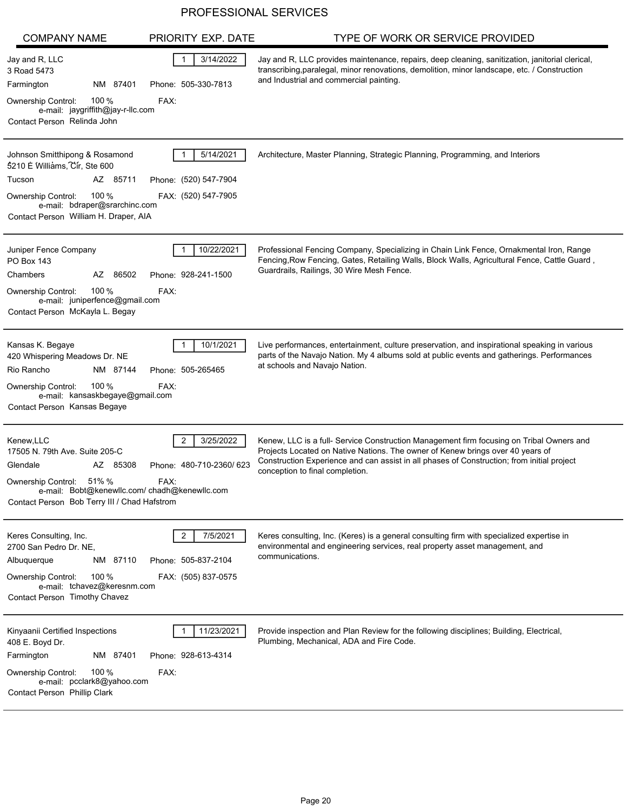| <b>COMPANY NAME</b>                                                                                                                                                                                | PRIORITY EXP. DATE                                          | TYPE OF WORK OR SERVICE PROVIDED                                                                                                                                                                                                                                                                            |
|----------------------------------------------------------------------------------------------------------------------------------------------------------------------------------------------------|-------------------------------------------------------------|-------------------------------------------------------------------------------------------------------------------------------------------------------------------------------------------------------------------------------------------------------------------------------------------------------------|
| Jay and R, LLC<br>3 Road 5473<br>NM 87401<br>Farmington                                                                                                                                            | 3/14/2022<br>Phone: 505-330-7813                            | Jay and R, LLC provides maintenance, repairs, deep cleaning, sanitization, janitorial clerical,<br>transcribing, paralegal, minor renovations, demolition, minor landscape, etc. / Construction<br>and Industrial and commercial painting.                                                                  |
| 100 $%$<br>Ownership Control:<br>e-mail: jaygriffith@jay-r-llc.com<br>Contact Person Relinda John                                                                                                  | FAX:                                                        |                                                                                                                                                                                                                                                                                                             |
| Johnson Smitthipong & Rosamond<br>5210 E Williams, Cir, Ste 600<br>Tucson<br>AZ 85711<br>100 %<br>Ownership Control:<br>e-mail: bdraper@srarchinc.com<br>Contact Person William H. Draper, AIA     | 5/14/2021<br>Phone: (520) 547-7904<br>FAX: (520) 547-7905   | Architecture, Master Planning, Strategic Planning, Programming, and Interiors                                                                                                                                                                                                                               |
| Juniper Fence Company<br><b>PO Box 143</b><br>Chambers<br>AZ<br>86502<br>100 $%$<br>Ownership Control:<br>e-mail: juniperfence@gmail.com<br>Contact Person McKayla L. Begay                        | 10/22/2021<br>Phone: 928-241-1500<br>FAX:                   | Professional Fencing Company, Specializing in Chain Link Fence, Ornakmental Iron, Range<br>Fencing, Row Fencing, Gates, Retailing Walls, Block Walls, Agricultural Fence, Cattle Guard,<br>Guardrails, Railings, 30 Wire Mesh Fence.                                                                        |
| Kansas K. Begaye<br>420 Whispering Meadows Dr. NE<br>Rio Rancho<br>NM 87144<br>100%<br>Ownership Control:<br>e-mail: kansaskbegaye@gmail.com<br>Contact Person Kansas Begaye                       | 10/1/2021<br>Phone: 505-265465<br>FAX:                      | Live performances, entertainment, culture preservation, and inspirational speaking in various<br>parts of the Navajo Nation. My 4 albums sold at public events and gatherings. Performances<br>at schools and Navajo Nation.                                                                                |
| Kenew, LLC<br>17505 N. 79th Ave. Suite 205-C<br>Glendale<br>AZ 85308<br>51%%<br>Ownership Control:<br>e-mail: Bobt@kenewllc.com/chadh@kenewllc.com<br>Contact Person Bob Terry III / Chad Hafstrom | 3/25/2022<br>Phone: 480-710-2360/623<br>FAX:                | Kenew, LLC is a full- Service Construction Management firm focusing on Tribal Owners and<br>Projects Located on Native Nations. The owner of Kenew brings over 40 years of<br>Construction Experience and can assist in all phases of Construction; from initial project<br>conception to final completion. |
| Keres Consulting, Inc.<br>2700 San Pedro Dr. NE,<br>Albuquerque<br>NM 87110<br>100 %<br>Ownership Control:<br>e-mail: tchavez@keresnm.com<br>Contact Person Timothy Chavez                         | 7/5/2021<br>2<br>Phone: 505-837-2104<br>FAX: (505) 837-0575 | Keres consulting, Inc. (Keres) is a general consulting firm with specialized expertise in<br>environmental and engineering services, real property asset management, and<br>communications.                                                                                                                 |
| Kinyaanii Certified Inspections<br>408 E. Boyd Dr.<br>Farmington<br>NM 87401<br>100 $%$<br>Ownership Control:<br>e-mail: pcclark8@yahoo.com<br>Contact Person Phillip Clark                        | 11/23/2021<br>Phone: 928-613-4314<br>FAX:                   | Provide inspection and Plan Review for the following disciplines; Building, Electrical,<br>Plumbing, Mechanical, ADA and Fire Code.                                                                                                                                                                         |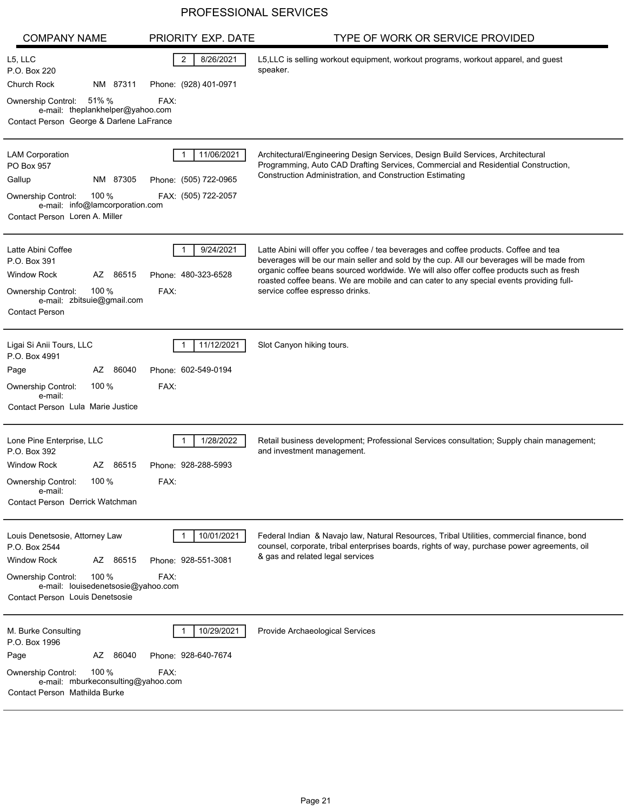| <b>COMPANY NAME</b>                                                                                                                                                                         | PRIORITY EXP. DATE                                         | TYPE OF WORK OR SERVICE PROVIDED                                                                                                                                                                                                                                                                                                                                                                              |
|---------------------------------------------------------------------------------------------------------------------------------------------------------------------------------------------|------------------------------------------------------------|---------------------------------------------------------------------------------------------------------------------------------------------------------------------------------------------------------------------------------------------------------------------------------------------------------------------------------------------------------------------------------------------------------------|
| L5, LLC<br>P.O. Box 220<br>Church Rock<br>NM 87311                                                                                                                                          | 2<br>8/26/2021<br>Phone: (928) 401-0971                    | L5, LLC is selling workout equipment, workout programs, workout apparel, and guest<br>speaker.                                                                                                                                                                                                                                                                                                                |
| 51% %<br>Ownership Control:<br>e-mail: theplankhelper@yahoo.com<br>Contact Person George & Darlene LaFrance                                                                                 | FAX:                                                       |                                                                                                                                                                                                                                                                                                                                                                                                               |
| <b>LAM Corporation</b><br>PO Box 957<br>Gallup<br>NM 87305<br>100 $%$<br><b>Ownership Control:</b><br>e-mail: info@lamcorporation.com<br>Contact Person Loren A. Miller                     | 11/06/2021<br>Phone: (505) 722-0965<br>FAX: (505) 722-2057 | Architectural/Engineering Design Services, Design Build Services, Architectural<br>Programming, Auto CAD Drafting Services, Commercial and Residential Construction,<br><b>Construction Administration, and Construction Estimating</b>                                                                                                                                                                       |
| Latte Abini Coffee<br>P.O. Box 391<br><b>Window Rock</b><br>AZ 86515<br>100 $%$<br>Ownership Control:<br>e-mail: zbitsuie@gmail.com<br><b>Contact Person</b>                                | 9/24/2021<br>Phone: 480-323-6528<br>FAX:                   | Latte Abini will offer you coffee / tea beverages and coffee products. Coffee and tea<br>beverages will be our main seller and sold by the cup. All our beverages will be made from<br>organic coffee beans sourced worldwide. We will also offer coffee products such as fresh<br>roasted coffee beans. We are mobile and can cater to any special events providing full-<br>service coffee espresso drinks. |
| Ligai Si Anii Tours, LLC<br>P.O. Box 4991<br>86040<br>Page<br>AZ<br>100 $%$<br><b>Ownership Control:</b><br>e-mail:<br>Contact Person Lula Marie Justice                                    | 11/12/2021<br>Phone: 602-549-0194<br>FAX:                  | Slot Canyon hiking tours.                                                                                                                                                                                                                                                                                                                                                                                     |
| Lone Pine Enterprise, LLC<br>P.O. Box 392<br>Window Rock<br>AZ 86515<br>100 $%$<br>Ownership Control:<br>e-mail:<br>Contact Person Derrick Watchman                                         | 1/28/2022<br>Phone: 928-288-5993<br>FAX:                   | Retail business development; Professional Services consultation; Supply chain management;<br>and investment management.                                                                                                                                                                                                                                                                                       |
| Louis Denetsosie, Attorney Law<br>P.O. Box 2544<br>AZ 86515<br>Window Rock<br>100 $%$<br><b>Ownership Control:</b><br>e-mail: louisedenetsosie@yahoo.com<br>Contact Person Louis Denetsosie | 10/01/2021<br>Phone: 928-551-3081<br>FAX:                  | Federal Indian & Navajo law, Natural Resources, Tribal Utilities, commercial finance, bond<br>counsel, corporate, tribal enterprises boards, rights of way, purchase power agreements, oil<br>& gas and related legal services                                                                                                                                                                                |
| M. Burke Consulting<br>P.O. Box 1996<br>86040<br>Page<br>AZ –<br>100 $%$<br>Ownership Control:<br>e-mail: mburkeconsulting@yahoo.com<br>Contact Person Mathilda Burke                       | 10/29/2021<br>Phone: 928-640-7674<br>FAX:                  | Provide Archaeological Services                                                                                                                                                                                                                                                                                                                                                                               |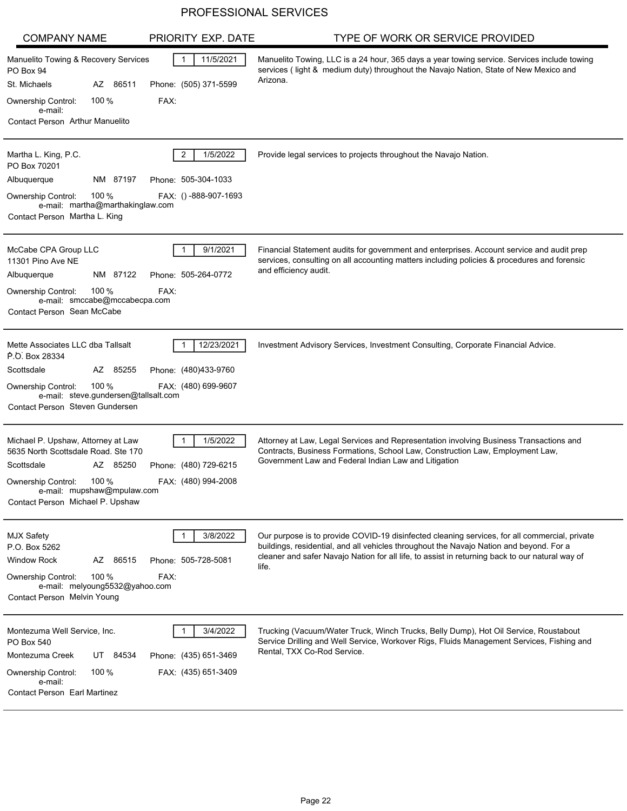| <b>COMPANY NAME</b>                                                                                                                                                                                 | PRIORITY EXP. DATE                                       | TYPE OF WORK OR SERVICE PROVIDED                                                                                                                                                                                                                                                                     |
|-----------------------------------------------------------------------------------------------------------------------------------------------------------------------------------------------------|----------------------------------------------------------|------------------------------------------------------------------------------------------------------------------------------------------------------------------------------------------------------------------------------------------------------------------------------------------------------|
| Manuelito Towing & Recovery Services<br>PO Box 94                                                                                                                                                   | 11/5/2021<br>-1                                          | Manuelito Towing, LLC is a 24 hour, 365 days a year towing service. Services include towing<br>services (light & medium duty) throughout the Navajo Nation, State of New Mexico and                                                                                                                  |
| St. Michaels<br>AZ 86511                                                                                                                                                                            | Phone: (505) 371-5599                                    | Arizona.                                                                                                                                                                                                                                                                                             |
| 100%<br>Ownership Control:<br>e-mail:                                                                                                                                                               | FAX:                                                     |                                                                                                                                                                                                                                                                                                      |
| <b>Contact Person Arthur Manuelito</b>                                                                                                                                                              |                                                          |                                                                                                                                                                                                                                                                                                      |
| Martha L. King, P.C.<br>PO Box 70201                                                                                                                                                                | 1/5/2022<br>2                                            | Provide legal services to projects throughout the Navajo Nation.                                                                                                                                                                                                                                     |
| NM 87197<br>Albuquerque                                                                                                                                                                             | Phone: 505-304-1033                                      |                                                                                                                                                                                                                                                                                                      |
| 100 $%$<br><b>Ownership Control:</b><br>e-mail: martha@marthakinglaw.com<br>Contact Person Martha L. King                                                                                           | FAX: ()-888-907-1693                                     |                                                                                                                                                                                                                                                                                                      |
| McCabe CPA Group LLC<br>11301 Pino Ave NE<br>NM 87122<br>Albuquerque<br>100 $%$<br>Ownership Control:<br>e-mail: smccabe@mccabecpa.com                                                              | 9/1/2021<br>Phone: 505-264-0772<br>FAX:                  | Financial Statement audits for government and enterprises. Account service and audit prep<br>services, consulting on all accounting matters including policies & procedures and forensic<br>and efficiency audit.                                                                                    |
| Contact Person Sean McCabe                                                                                                                                                                          |                                                          |                                                                                                                                                                                                                                                                                                      |
| Mette Associates LLC dba Tallsalt<br>P.O. Box 28334<br>Scottsdale<br>AZ 85255                                                                                                                       | 12/23/2021<br>Phone: (480)433-9760                       | Investment Advisory Services, Investment Consulting, Corporate Financial Advice.                                                                                                                                                                                                                     |
| 100 $%$<br><b>Ownership Control:</b><br>e-mail: steve.gundersen@tallsalt.com<br>Contact Person Steven Gundersen                                                                                     | FAX: (480) 699-9607                                      |                                                                                                                                                                                                                                                                                                      |
| Michael P. Upshaw, Attorney at Law<br>5635 North Scottsdale Road. Ste 170<br>Scottsdale<br>AZ 85250<br>100%<br>Ownership Control:<br>e-mail: mupshaw@mpulaw.com<br>Contact Person Michael P. Upshaw | 1/5/2022<br>Phone: (480) 729-6215<br>FAX: (480) 994-2008 | Attorney at Law, Legal Services and Representation involving Business Transactions and<br>Contracts, Business Formations, School Law, Construction Law, Employment Law,<br>Government Law and Federal Indian Law and Litigation                                                                      |
| <b>MJX Safety</b><br>P.O. Box 5262<br><b>Window Rock</b><br>AZ 86515<br>100 $%$<br>Ownership Control:<br>e-mail: melyoung5532@yahoo.com<br>Contact Person Melvin Young                              | 3/8/2022<br>Phone: 505-728-5081<br>FAX:                  | Our purpose is to provide COVID-19 disinfected cleaning services, for all commercial, private<br>buildings, residential, and all vehicles throughout the Navajo Nation and beyond. For a<br>cleaner and safer Navajo Nation for all life, to assist in returning back to our natural way of<br>life. |
| Montezuma Well Service, Inc.<br>PO Box 540<br>Montezuma Creek<br>84534<br>UT<br>Ownership Control:<br>100 $%$<br>e-mail:<br><b>Contact Person Earl Martinez</b>                                     | 3/4/2022<br>Phone: (435) 651-3469<br>FAX: (435) 651-3409 | Trucking (Vacuum/Water Truck, Winch Trucks, Belly Dump), Hot Oil Service, Roustabout<br>Service Drilling and Well Service, Workover Rigs, Fluids Management Services, Fishing and<br>Rental, TXX Co-Rod Service.                                                                                     |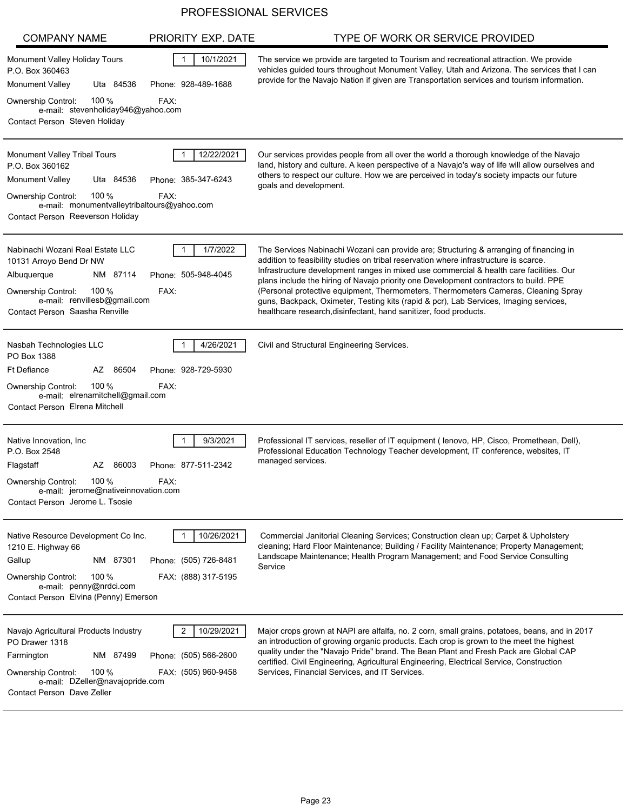| <b>COMPANY NAME</b>                                                                                                                                                                        | PRIORITY EXP. DATE                                              | TYPE OF WORK OR SERVICE PROVIDED                                                                                                                                                                                                                                                                                                                                                                                                                                                                                                                                                                                        |
|--------------------------------------------------------------------------------------------------------------------------------------------------------------------------------------------|-----------------------------------------------------------------|-------------------------------------------------------------------------------------------------------------------------------------------------------------------------------------------------------------------------------------------------------------------------------------------------------------------------------------------------------------------------------------------------------------------------------------------------------------------------------------------------------------------------------------------------------------------------------------------------------------------------|
| Monument Valley Holiday Tours<br>P.O. Box 360463<br>Uta 84536<br><b>Monument Valley</b>                                                                                                    | 10/1/2021<br>$\mathbf{1}$<br>Phone: 928-489-1688                | The service we provide are targeted to Tourism and recreational attraction. We provide<br>vehicles guided tours throughout Monument Valley, Utah and Arizona. The services that I can<br>provide for the Navajo Nation if given are Transportation services and tourism information.                                                                                                                                                                                                                                                                                                                                    |
| 100 $%$<br><b>Ownership Control:</b><br>e-mail: stevenholiday946@yahoo.com<br>Contact Person Steven Holiday                                                                                | FAX:                                                            |                                                                                                                                                                                                                                                                                                                                                                                                                                                                                                                                                                                                                         |
| <b>Monument Valley Tribal Tours</b><br>P.O. Box 360162<br>Monument Valley<br>Uta 84536<br>100 $%$<br><b>Ownership Control:</b>                                                             | 12/22/2021<br>Phone: 385-347-6243<br>FAX:                       | Our services provides people from all over the world a thorough knowledge of the Navajo<br>land, history and culture. A keen perspective of a Navajo's way of life will allow ourselves and<br>others to respect our culture. How we are perceived in today's society impacts our future<br>goals and development.                                                                                                                                                                                                                                                                                                      |
| e-mail: monumentvalleytribaltours@yahoo.com<br>Contact Person Reeverson Holiday                                                                                                            |                                                                 |                                                                                                                                                                                                                                                                                                                                                                                                                                                                                                                                                                                                                         |
| Nabinachi Wozani Real Estate LLC<br>10131 Arroyo Bend Dr NW<br>Albuquerque<br>NM 87114<br>Ownership Control:<br>100 %<br>e-mail: renvillesb@gmail.com<br>Contact Person Saasha Renville    | 1/7/2022<br>1<br>Phone: 505-948-4045<br>FAX:                    | The Services Nabinachi Wozani can provide are; Structuring & arranging of financing in<br>addition to feasibility studies on tribal reservation where infrastructure is scarce.<br>Infrastructure development ranges in mixed use commercial & health care facilities. Our<br>plans include the hiring of Navajo priority one Development contractors to build. PPE<br>(Personal protective equipment, Thermometers, Thermometers Cameras, Cleaning Spray<br>guns, Backpack, Oximeter, Testing kits (rapid & pcr), Lab Services, Imaging services,<br>healthcare research, disinfectant, hand sanitizer, food products. |
| Nasbah Technologies LLC<br>PO Box 1388<br><b>Ft Defiance</b><br>86504<br>AZ<br>100 $%$<br><b>Ownership Control:</b><br>e-mail: elrenamitchell@gmail.com<br>Contact Person Elrena Mitchell  | 4/26/2021<br>Phone: 928-729-5930<br>FAX:                        | Civil and Structural Engineering Services.                                                                                                                                                                                                                                                                                                                                                                                                                                                                                                                                                                              |
| Native Innovation, Inc.<br>P.O. Box 2548<br>Flagstaff<br>AZ<br>86003<br>100 $%$<br><b>Ownership Control:</b><br>e-mail: jerome@nativeinnovation.com<br>Contact Person Jerome L. Tsosie     | 9/3/2021<br>Phone: 877-511-2342<br>FAX:                         | Professional IT services, reseller of IT equipment (Ienovo, HP, Cisco, Promethean, Dell),<br>Professional Education Technology Teacher development, IT conference, websites, IT<br>managed services.                                                                                                                                                                                                                                                                                                                                                                                                                    |
| Native Resource Development Co Inc.<br>1210 E. Highway 66<br>Gallup<br>NM 87301<br>100 $%$<br>Ownership Control:<br>e-mail: penny@nrdci.com<br>Contact Person Elvina (Penny) Emerson       | 10/26/2021<br>Phone: (505) 726-8481<br>FAX: (888) 317-5195      | Commercial Janitorial Cleaning Services; Construction clean up; Carpet & Upholstery<br>cleaning; Hard Floor Maintenance; Building / Facility Maintenance; Property Management;<br>Landscape Maintenance; Health Program Management; and Food Service Consulting<br>Service                                                                                                                                                                                                                                                                                                                                              |
| Navajo Agricultural Products Industry<br>PO Drawer 1318<br>NM 87499<br>Farmington<br>100 $%$<br><b>Ownership Control:</b><br>e-mail: DZeller@navajopride.com<br>Contact Person Dave Zeller | 2<br>10/29/2021<br>Phone: (505) 566-2600<br>FAX: (505) 960-9458 | Major crops grown at NAPI are alfalfa, no. 2 corn, small grains, potatoes, beans, and in 2017<br>an introduction of growing organic products. Each crop is grown to the meet the highest<br>quality under the "Navajo Pride" brand. The Bean Plant and Fresh Pack are Global CAP<br>certified. Civil Engineering, Agricultural Engineering, Electrical Service, Construction<br>Services, Financial Services, and IT Services.                                                                                                                                                                                          |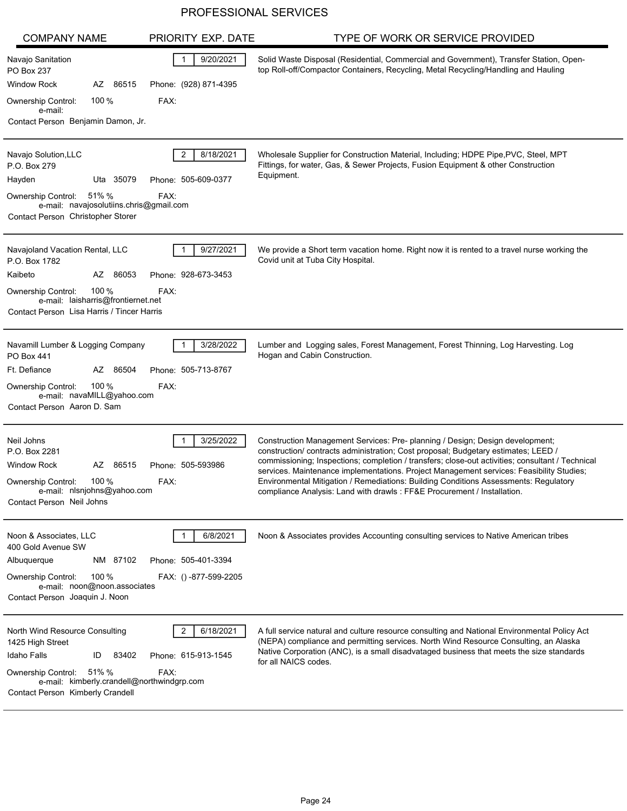| <b>COMPANY NAME</b>                                                                                                | PRIORITY EXP. DATE    | TYPE OF WORK OR SERVICE PROVIDED                                                                                                                                                       |
|--------------------------------------------------------------------------------------------------------------------|-----------------------|----------------------------------------------------------------------------------------------------------------------------------------------------------------------------------------|
| Navajo Sanitation<br>PO Box 237                                                                                    | 9/20/2021             | Solid Waste Disposal (Residential, Commercial and Government), Transfer Station, Open-<br>top Roll-off/Compactor Containers, Recycling, Metal Recycling/Handling and Hauling           |
| <b>Window Rock</b><br>AZ 86515                                                                                     | Phone: (928) 871-4395 |                                                                                                                                                                                        |
| 100 %<br>Ownership Control:<br>e-mail:                                                                             | FAX:                  |                                                                                                                                                                                        |
| Contact Person Benjamin Damon, Jr.                                                                                 |                       |                                                                                                                                                                                        |
| Navajo Solution, LLC<br>P.O. Box 279                                                                               | 2<br>8/18/2021        | Wholesale Supplier for Construction Material, Including; HDPE Pipe, PVC, Steel, MPT<br>Fittings, for water, Gas, & Sewer Projects, Fusion Equipment & other Construction<br>Equipment. |
| Uta 35079<br>Hayden                                                                                                | Phone: 505-609-0377   |                                                                                                                                                                                        |
| 51% %<br><b>Ownership Control:</b><br>e-mail: navajosolutiins.chris@gmail.com<br>Contact Person Christopher Storer | FAX:                  |                                                                                                                                                                                        |
| Navajoland Vacation Rental, LLC<br>P.O. Box 1782                                                                   | 9/27/2021             | We provide a Short term vacation home. Right now it is rented to a travel nurse working the<br>Covid unit at Tuba City Hospital.                                                       |
| AZ 86053<br>Kaibeto                                                                                                | Phone: 928-673-3453   |                                                                                                                                                                                        |
| 100%<br><b>Ownership Control:</b><br>e-mail: laisharris@frontiernet.net                                            | FAX:                  |                                                                                                                                                                                        |
| Contact Person Lisa Harris / Tincer Harris                                                                         |                       |                                                                                                                                                                                        |
| Navamill Lumber & Logging Company<br>PO Box 441                                                                    | 3/28/2022             | Lumber and Logging sales, Forest Management, Forest Thinning, Log Harvesting. Log<br>Hogan and Cabin Construction.                                                                     |
| Ft. Defiance<br>AZ 86504                                                                                           | Phone: 505-713-8767   |                                                                                                                                                                                        |
| 100 %<br><b>Ownership Control:</b><br>e-mail: navaMILL@yahoo.com<br>Contact Person Aaron D. Sam                    | FAX:                  |                                                                                                                                                                                        |
|                                                                                                                    |                       |                                                                                                                                                                                        |
| Neil Johns<br>P.O. Box 2281                                                                                        | 3/25/2022             | Construction Management Services: Pre- planning / Design; Design development;<br>construction/ contracts administration; Cost proposal; Budgetary estimates; LEED /                    |
| AZ 86515<br><b>Window Rock</b>                                                                                     | Phone: 505-593986     | commissioning; Inspections; completion / transfers; close-out activities; consultant / Technical                                                                                       |
| 100 %<br>Ownership Control:                                                                                        | FAX:                  | services. Maintenance implementations. Project Management services: Feasibility Studies;<br>Environmental Mitigation / Remediations: Building Conditions Assessments: Regulatory       |
| e-mail: nlsnjohns@yahoo.com<br>Contact Person Neil Johns                                                           |                       | compliance Analysis: Land with drawls: FF&E Procurement / Installation.                                                                                                                |
|                                                                                                                    |                       |                                                                                                                                                                                        |
| Noon & Associates, LLC<br>400 Gold Avenue SW                                                                       | 6/8/2021              | Noon & Associates provides Accounting consulting services to Native American tribes                                                                                                    |
| NM 87102<br>Albuquerque                                                                                            | Phone: 505-401-3394   |                                                                                                                                                                                        |
| 100 $%$<br><b>Ownership Control:</b><br>e-mail: noon@noon.associates                                               | FAX: ()-877-599-2205  |                                                                                                                                                                                        |
| Contact Person Joaquin J. Noon                                                                                     |                       |                                                                                                                                                                                        |
|                                                                                                                    |                       |                                                                                                                                                                                        |
| North Wind Resource Consulting                                                                                     | 6/18/2021             | A full service natural and culture resource consulting and National Environmental Policy Act<br>(NEPA) compliance and permitting services. North Wind Resource Consulting, an Alaska   |
| 1425 High Street<br><b>Idaho Falls</b><br>83402<br>ID                                                              | Phone: 615-913-1545   | Native Corporation (ANC), is a small disadvataged business that meets the size standards                                                                                               |
| <b>Ownership Control:</b><br>51% %                                                                                 | FAX:                  | for all NAICS codes.                                                                                                                                                                   |
| e-mail: kimberly.crandell@northwindgrp.com<br>Contact Person Kimberly Crandell                                     |                       |                                                                                                                                                                                        |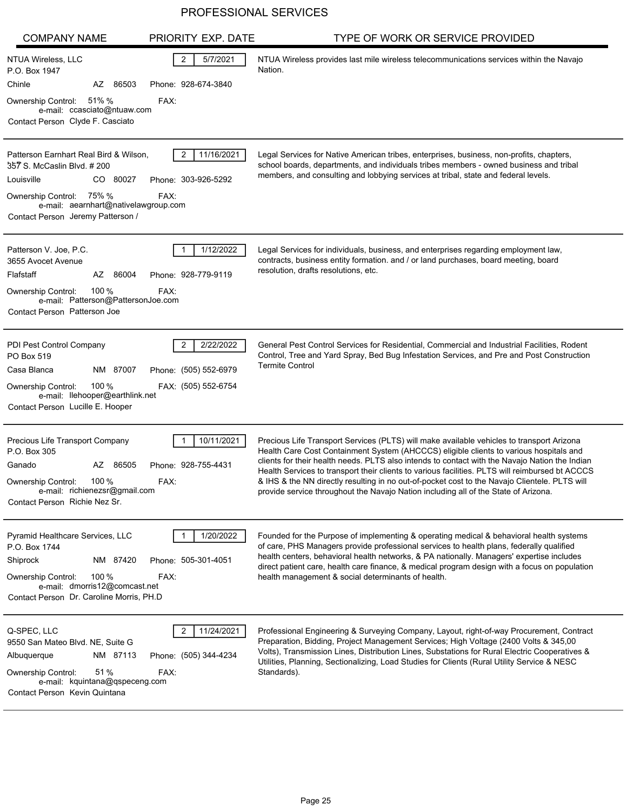| <b>COMPANY NAME</b>                                                                                                                                                                                      | PRIORITY EXP. DATE                                             | TYPE OF WORK OR SERVICE PROVIDED                                                                                                                                                                                                                                                                                                                                                                                                                                                                                                                                                 |
|----------------------------------------------------------------------------------------------------------------------------------------------------------------------------------------------------------|----------------------------------------------------------------|----------------------------------------------------------------------------------------------------------------------------------------------------------------------------------------------------------------------------------------------------------------------------------------------------------------------------------------------------------------------------------------------------------------------------------------------------------------------------------------------------------------------------------------------------------------------------------|
| NTUA Wireless, LLC<br>P.O. Box 1947                                                                                                                                                                      | 2<br>5/7/2021                                                  | NTUA Wireless provides last mile wireless telecommunications services within the Navajo<br>Nation.                                                                                                                                                                                                                                                                                                                                                                                                                                                                               |
| Chinle<br>AZ 86503                                                                                                                                                                                       | Phone: 928-674-3840                                            |                                                                                                                                                                                                                                                                                                                                                                                                                                                                                                                                                                                  |
| 51% %<br><b>Ownership Control:</b>                                                                                                                                                                       | FAX:                                                           |                                                                                                                                                                                                                                                                                                                                                                                                                                                                                                                                                                                  |
| e-mail: ccasciato@ntuaw.com<br>Contact Person Clyde F. Casciato                                                                                                                                          |                                                                |                                                                                                                                                                                                                                                                                                                                                                                                                                                                                                                                                                                  |
| Patterson Earnhart Real Bird & Wilson,<br>357 S. McCaslin Blvd. # 200<br>Louisville<br>CO 80027<br>Ownership Control: 75% %<br>e-mail: aearnhart@nativelawgroup.com<br>Contact Person Jeremy Patterson / | 11/16/2021<br>2<br>Phone: 303-926-5292<br>FAX:                 | Legal Services for Native American tribes, enterprises, business, non-profits, chapters,<br>school boards, departments, and individuals tribes members - owned business and tribal<br>members, and consulting and lobbying services at tribal, state and federal levels.                                                                                                                                                                                                                                                                                                         |
| Patterson V. Joe, P.C.<br>3655 Avocet Avenue                                                                                                                                                             | 1/12/2022                                                      | Legal Services for individuals, business, and enterprises regarding employment law,<br>contracts, business entity formation. and / or land purchases, board meeting, board<br>resolution, drafts resolutions, etc.                                                                                                                                                                                                                                                                                                                                                               |
| Flafstaff<br>AZ<br>86004                                                                                                                                                                                 | Phone: 928-779-9119                                            |                                                                                                                                                                                                                                                                                                                                                                                                                                                                                                                                                                                  |
| 100%<br><b>Ownership Control:</b><br>e-mail: Patterson@PattersonJoe.com                                                                                                                                  | FAX:                                                           |                                                                                                                                                                                                                                                                                                                                                                                                                                                                                                                                                                                  |
| Contact Person Patterson Joe                                                                                                                                                                             |                                                                |                                                                                                                                                                                                                                                                                                                                                                                                                                                                                                                                                                                  |
| PDI Pest Control Company<br>PO Box 519<br>Casa Blanca<br>NM 87007<br>100%<br><b>Ownership Control:</b>                                                                                                   | 2/22/2022<br>2<br>Phone: (505) 552-6979<br>FAX: (505) 552-6754 | General Pest Control Services for Residential, Commercial and Industrial Facilities, Rodent<br>Control, Tree and Yard Spray, Bed Bug Infestation Services, and Pre and Post Construction<br><b>Termite Control</b>                                                                                                                                                                                                                                                                                                                                                               |
| e-mail: llehooper@earthlink.net                                                                                                                                                                          |                                                                |                                                                                                                                                                                                                                                                                                                                                                                                                                                                                                                                                                                  |
| Contact Person Lucille E. Hooper                                                                                                                                                                         |                                                                |                                                                                                                                                                                                                                                                                                                                                                                                                                                                                                                                                                                  |
| Precious Life Transport Company<br>P.O. Box 305<br>Ganado<br>AZ 86505<br>100%<br>Ownership Control:<br>e-mail: richienezsr@gmail.com<br>Contact Person Richie Nez Sr.                                    | 10/11/2021<br>Phone: 928-755-4431<br>FAX:                      | Precious Life Transport Services (PLTS) will make available vehicles to transport Arizona<br>Health Care Cost Containment System (AHCCCS) eligible clients to various hospitals and<br>clients for their health needs. PLTS also intends to contact with the Navajo Nation the Indian<br>Health Services to transport their clients to various facilities. PLTS will reimbursed bt ACCCS<br>& IHS & the NN directly resulting in no out-of-pocket cost to the Navajo Clientele. PLTS will<br>provide service throughout the Navajo Nation including all of the State of Arizona. |
| Pyramid Healthcare Services, LLC<br>P.O. Box 1744<br>NM 87420<br>Shiprock<br>100 $%$<br><b>Ownership Control:</b><br>e-mail: dmorris12@comcast.net<br>Contact Person Dr. Caroline Morris, PH.D           | 1/20/2022<br>Phone: 505-301-4051<br>FAX:                       | Founded for the Purpose of implementing & operating medical & behavioral health systems<br>of care, PHS Managers provide professional services to health plans, federally qualified<br>health centers, behavioral health networks, & PA nationally. Managers' expertise includes<br>direct patient care, health care finance, & medical program design with a focus on population<br>health management & social determinants of health.                                                                                                                                          |
| Q-SPEC, LLC<br>9550 San Mateo Blvd. NE, Suite G<br>NM 87113<br>Albuquerque<br>51 %<br><b>Ownership Control:</b><br>e-mail: kquintana@qspeceng.com<br>Contact Person Kevin Quintana                       | 11/24/2021<br>2<br>Phone: (505) 344-4234<br>FAX:               | Professional Engineering & Surveying Company, Layout, right-of-way Procurement, Contract<br>Preparation, Bidding, Project Management Services; High Voltage (2400 Volts & 345,00<br>Volts), Transmission Lines, Distribution Lines, Substations for Rural Electric Cooperatives &<br>Utilities, Planning, Sectionalizing, Load Studies for Clients (Rural Utility Service & NESC<br>Standards).                                                                                                                                                                                  |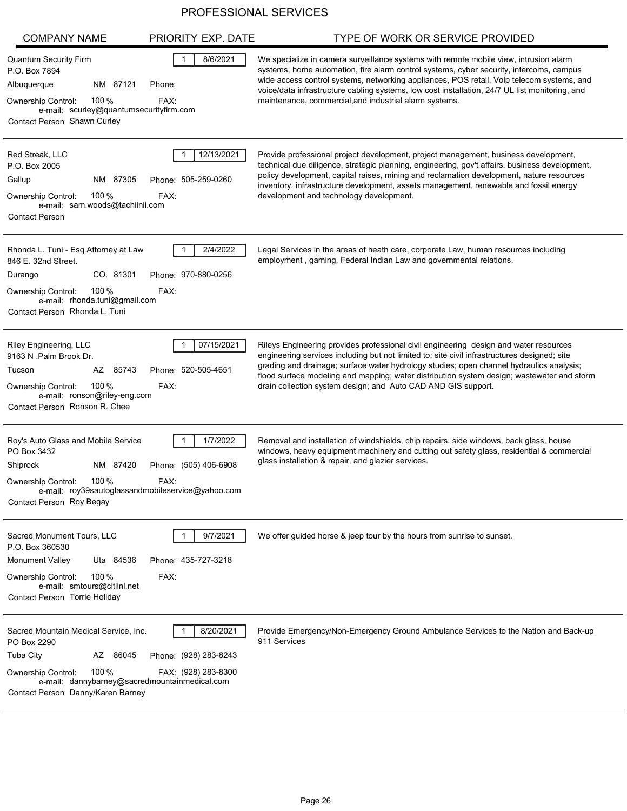| <b>COMPANY NAME</b>                                                                                                                                                                                         | PRIORITY EXP. DATE                                        | TYPE OF WORK OR SERVICE PROVIDED                                                                                                                                                                                                                                                                                                                                                                                                                 |
|-------------------------------------------------------------------------------------------------------------------------------------------------------------------------------------------------------------|-----------------------------------------------------------|--------------------------------------------------------------------------------------------------------------------------------------------------------------------------------------------------------------------------------------------------------------------------------------------------------------------------------------------------------------------------------------------------------------------------------------------------|
| <b>Quantum Security Firm</b><br>P.O. Box 7894<br>Albuquerque<br>NM 87121<br>100 $%$<br>Ownership Control:<br>e-mail: scurley@quantumsecurityfirm.com<br>Contact Person Shawn Curley                         | 8/6/2021<br>Phone:<br>FAX:                                | We specialize in camera surveillance systems with remote mobile view, intrusion alarm<br>systems, home automation, fire alarm control systems, cyber security, intercoms, campus<br>wide access control systems, networking appliances, POS retail, Volp telecom systems, and<br>voice/data infrastructure cabling systems, low cost installation, 24/7 UL list monitoring, and<br>maintenance, commercial, and industrial alarm systems.        |
| Red Streak, LLC<br>P.O. Box 2005<br>NM 87305<br>Gallup<br>100 $%$<br><b>Ownership Control:</b><br>e-mail: sam.woods@tachiinii.com<br><b>Contact Person</b>                                                  | 12/13/2021<br>Phone: 505-259-0260<br>FAX:                 | Provide professional project development, project management, business development,<br>technical due diligence, strategic planning, engineering, gov't affairs, business development,<br>policy development, capital raises, mining and reclamation development, nature resources<br>inventory, infrastructure development, assets management, renewable and fossil energy<br>development and technology development.                            |
| Rhonda L. Tuni - Esq Attorney at Law<br>846 E. 32nd Street.<br>CO. 81301<br>Durango<br>100 $%$<br><b>Ownership Control:</b><br>e-mail: rhonda.tuni@gmail.com<br>Contact Person Rhonda L. Tuni               | 2/4/2022<br>Phone: 970-880-0256<br>FAX:                   | Legal Services in the areas of heath care, corporate Law, human resources including<br>employment, gaming, Federal Indian Law and governmental relations.                                                                                                                                                                                                                                                                                        |
| Riley Engineering, LLC<br>9163 N .Palm Brook Dr.<br>AZ 85743<br>Tucson<br>100 $%$<br><b>Ownership Control:</b><br>e-mail: ronson@riley-eng.com<br>Contact Person Ronson R. Chee                             | 07/15/2021<br>Phone: 520-505-4651<br>FAX:                 | Rileys Engineering provides professional civil engineering design and water resources<br>engineering services including but not limited to: site civil infrastructures designed; site<br>grading and drainage; surface water hydrology studies; open channel hydraulics analysis;<br>flood surface modeling and mapping; water distribution system design; wastewater and storm<br>drain collection system design; and Auto CAD AND GIS support. |
| Roy's Auto Glass and Mobile Service<br>PO Box 3432<br>Shiprock<br>NM 87420<br>100 $%$<br>Ownership Control:<br>e-mail: roy39sautoglassandmobileservice@yahoo.com<br>Contact Person Roy Begay                | 1/7/2022<br>Phone: (505) 406-6908<br>FAX:                 | Removal and installation of windshields, chip repairs, side windows, back glass, house<br>windows, heavy equipment machinery and cutting out safety glass, residential & commercial<br>glass installation & repair, and glazier services.                                                                                                                                                                                                        |
| Sacred Monument Tours, LLC<br>P.O. Box 360530<br><b>Monument Valley</b><br>Uta 84536<br>100 %<br><b>Ownership Control:</b><br>e-mail: smtours@citlinl.net<br>Contact Person Torrie Holiday                  | 9/7/2021<br>Phone: 435-727-3218<br>FAX:                   | We offer guided horse & jeep tour by the hours from sunrise to sunset.                                                                                                                                                                                                                                                                                                                                                                           |
| Sacred Mountain Medical Service, Inc.<br>PO Box 2290<br><b>Tuba City</b><br>AZ 86045<br>100 $%$<br>Ownership Control:<br>e-mail: dannybarney@sacredmountainmedical.com<br>Contact Person Danny/Karen Barney | 8/20/2021<br>Phone: (928) 283-8243<br>FAX: (928) 283-8300 | Provide Emergency/Non-Emergency Ground Ambulance Services to the Nation and Back-up<br>911 Services                                                                                                                                                                                                                                                                                                                                              |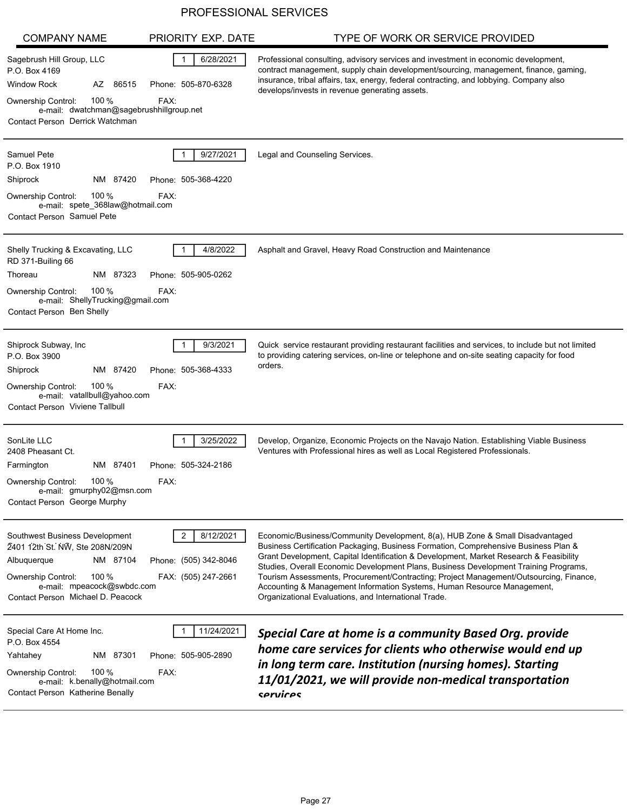| <b>COMPANY NAME</b>                                                                                                                                                                                   | PRIORITY EXP. DATE                                             | TYPE OF WORK OR SERVICE PROVIDED                                                                                                                                                                                                                                                                                                                                                                                                                                                                                                                                                    |
|-------------------------------------------------------------------------------------------------------------------------------------------------------------------------------------------------------|----------------------------------------------------------------|-------------------------------------------------------------------------------------------------------------------------------------------------------------------------------------------------------------------------------------------------------------------------------------------------------------------------------------------------------------------------------------------------------------------------------------------------------------------------------------------------------------------------------------------------------------------------------------|
| Sagebrush Hill Group, LLC<br>P.O. Box 4169<br><b>Window Rock</b><br>AZ 86515<br>100 %<br>Ownership Control:<br>e-mail: dwatchman@sagebrushhillgroup.net<br>Contact Person Derrick Watchman            | 6/28/2021<br>Phone: 505-870-6328<br>FAX:                       | Professional consulting, advisory services and investment in economic development,<br>contract management, supply chain development/sourcing, management, finance, gaming,<br>insurance, tribal affairs, tax, energy, federal contracting, and lobbying. Company also<br>develops/invests in revenue generating assets.                                                                                                                                                                                                                                                             |
| <b>Samuel Pete</b><br>P.O. Box 1910<br>NM 87420<br>Shiprock<br>100 $%$<br><b>Ownership Control:</b><br>e-mail: spete_368law@hotmail.com<br>Contact Person Samuel Pete                                 | 9/27/2021<br>Phone: 505-368-4220<br>FAX:                       | Legal and Counseling Services.                                                                                                                                                                                                                                                                                                                                                                                                                                                                                                                                                      |
|                                                                                                                                                                                                       |                                                                |                                                                                                                                                                                                                                                                                                                                                                                                                                                                                                                                                                                     |
| Shelly Trucking & Excavating, LLC<br>RD 371-Builing 66<br>Thoreau<br>NM 87323<br>100 $%$<br><b>Ownership Control:</b><br>e-mail: ShellyTrucking@gmail.com<br>Contact Person Ben Shelly                | 4/8/2022<br>Phone: 505-905-0262<br>FAX:                        | Asphalt and Gravel, Heavy Road Construction and Maintenance                                                                                                                                                                                                                                                                                                                                                                                                                                                                                                                         |
| Shiprock Subway, Inc<br>P.O. Box 3900<br>Shiprock<br>NM 87420<br>100 %<br>Ownership Control:<br>e-mail: vatallbull@yahoo.com<br><b>Contact Person Viviene Tallbull</b>                                | 9/3/2021<br>Phone: 505-368-4333<br>FAX:                        | Quick service restaurant providing restaurant facilities and services, to include but not limited<br>to providing catering services, on-line or telephone and on-site seating capacity for food<br>orders.                                                                                                                                                                                                                                                                                                                                                                          |
| SonLite LLC<br>2408 Pheasant Ct.<br>NM 87401<br>Farmington<br>100 $%$<br>Ownership Control:<br>e-mail: gmurphy02@msn.com<br>Contact Person George Murphy                                              | 3/25/2022<br>Phone: 505-324-2186<br>FAX:                       | Develop, Organize, Economic Projects on the Navajo Nation. Establishing Viable Business<br>Ventures with Professional hires as well as Local Registered Professionals.                                                                                                                                                                                                                                                                                                                                                                                                              |
| Southwest Business Development<br>2401 12th St. NW, Ste 208N/209N<br>NM 87104<br>Albuquerque<br>100 %<br><b>Ownership Control:</b><br>e-mail: mpeacock@swbdc.com<br>Contact Person Michael D. Peacock | 8/12/2021<br>2<br>Phone: (505) 342-8046<br>FAX: (505) 247-2661 | Economic/Business/Community Development, 8(a), HUB Zone & Small Disadvantaged<br>Business Certification Packaging, Business Formation, Comprehensive Business Plan &<br>Grant Development, Capital Identification & Development, Market Research & Feasibility<br>Studies, Overall Economic Development Plans, Business Development Training Programs,<br>Tourism Assessments, Procurement/Contracting; Project Management/Outsourcing, Finance,<br>Accounting & Management Information Systems, Human Resource Management,<br>Organizational Evaluations, and International Trade. |
| Special Care At Home Inc.<br>P.O. Box 4554<br>Yahtahey<br>NM 87301<br>100 %<br>Ownership Control:<br>e-mail: k.benally@hotmail.com<br>Contact Person Katherine Benally                                | 11/24/2021<br>Phone: 505-905-2890<br>FAX:                      | Special Care at home is a community Based Org. provide<br>home care services for clients who otherwise would end up<br>in long term care. Institution (nursing homes). Starting<br>11/01/2021, we will provide non-medical transportation<br>cpruirpc                                                                                                                                                                                                                                                                                                                               |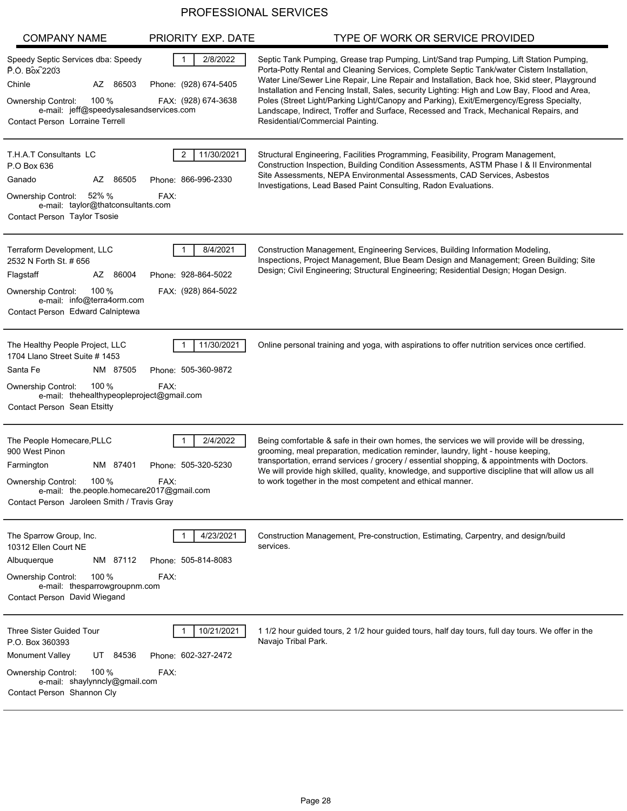| <b>COMPANY NAME</b>                                                                                                                                                                                           | PRIORITY EXP. DATE                                                       | TYPE OF WORK OR SERVICE PROVIDED                                                                                                                                                                                                                                                                                                                                                                                                                                                                                                                                                                               |
|---------------------------------------------------------------------------------------------------------------------------------------------------------------------------------------------------------------|--------------------------------------------------------------------------|----------------------------------------------------------------------------------------------------------------------------------------------------------------------------------------------------------------------------------------------------------------------------------------------------------------------------------------------------------------------------------------------------------------------------------------------------------------------------------------------------------------------------------------------------------------------------------------------------------------|
| Speedy Septic Services dba: Speedy<br>P.O. Box 2203<br>Chinle<br>AZ 86503<br>100 $%$<br><b>Ownership Control:</b><br>e-mail: jeff@speedysalesandservices.com<br>Contact Person Lorraine Terrell               | 2/8/2022<br>$\mathbf{1}$<br>Phone: (928) 674-5405<br>FAX: (928) 674-3638 | Septic Tank Pumping, Grease trap Pumping, Lint/Sand trap Pumping, Lift Station Pumping,<br>Porta-Potty Rental and Cleaning Services, Complete Septic Tank/water Cistern Installation,<br>Water Line/Sewer Line Repair, Line Repair and Installation, Back hoe, Skid steer, Playground<br>Installation and Fencing Install, Sales, security Lighting: High and Low Bay, Flood and Area,<br>Poles (Street Light/Parking Light/Canopy and Parking), Exit/Emergency/Egress Specialty,<br>Landscape, Indirect, Troffer and Surface, Recessed and Track, Mechanical Repairs, and<br>Residential/Commercial Painting. |
| T.H.A.T Consultants LC<br>P.O Box 636<br>Ganado<br>86505<br>AZ<br>52% %<br>Ownership Control:<br>e-mail: taylor@thatconsultants.com<br><b>Contact Person Taylor Tsosie</b>                                    | 11/30/2021<br>2<br>Phone: 866-996-2330<br>FAX:                           | Structural Engineering, Facilities Programming, Feasibility, Program Management,<br>Construction Inspection, Building Condition Assessments, ASTM Phase I & II Environmental<br>Site Assessments, NEPA Environmental Assessments, CAD Services, Asbestos<br>Investigations, Lead Based Paint Consulting, Radon Evaluations.                                                                                                                                                                                                                                                                                    |
| Terraform Development, LLC<br>2532 N Forth St. # 656<br>Flagstaff<br>AZ 86004<br>100 $%$<br><b>Ownership Control:</b><br>e-mail: info@terra4orm.com<br>Contact Person Edward Calniptewa                       | 8/4/2021<br>Phone: 928-864-5022<br>FAX: (928) 864-5022                   | Construction Management, Engineering Services, Building Information Modeling<br>Inspections, Project Management, Blue Beam Design and Management; Green Building; Site<br>Design; Civil Engineering; Structural Engineering; Residential Design; Hogan Design.                                                                                                                                                                                                                                                                                                                                                 |
| The Healthy People Project, LLC<br>1704 Llano Street Suite # 1453<br>Santa Fe<br>NM 87505<br>100 $%$<br><b>Ownership Control:</b><br>e-mail: thehealthypeopleproject@gmail.com<br>Contact Person Sean Etsitty | 11/30/2021<br>Phone: 505-360-9872<br>FAX:                                | Online personal training and yoga, with aspirations to offer nutrition services once certified.                                                                                                                                                                                                                                                                                                                                                                                                                                                                                                                |
| The People Homecare, PLLC<br>900 West Pinon<br>NM 87401<br>Farmington<br>100 %<br><b>Ownership Control:</b><br>e-mail: the people homecare 2017@gmail.com<br>Contact Person Jaroleen Smith / Travis Gray      | 2/4/2022<br>Phone: 505-320-5230<br>FAX:                                  | Being comfortable & safe in their own homes, the services we will provide will be dressing,<br>grooming, meal preparation, medication reminder, laundry, light - house keeping,<br>transportation, errand services / grocery / essential shopping, & appointments with Doctors.<br>We will provide high skilled, quality, knowledge, and supportive discipline that will allow us all<br>to work together in the most competent and ethical manner.                                                                                                                                                            |
| The Sparrow Group, Inc.<br>10312 Ellen Court NE<br>NM 87112<br>Albuquerque<br>100 $%$<br><b>Ownership Control:</b><br>e-mail: thesparrowgroupnm.com<br>Contact Person David Wiegand                           | 4/23/2021<br>Phone: 505-814-8083<br>FAX:                                 | Construction Management, Pre-construction, Estimating, Carpentry, and design/build<br>services.                                                                                                                                                                                                                                                                                                                                                                                                                                                                                                                |
| <b>Three Sister Guided Tour</b><br>P.O. Box 360393<br>Monument Valley<br>UT 84536<br>100 $%$<br>Ownership Control:<br>e-mail: shaylynncly@gmail.com<br>Contact Person Shannon Cly                             | 10/21/2021<br>Phone: 602-327-2472<br>FAX:                                | 1 1/2 hour guided tours, 2 1/2 hour guided tours, half day tours, full day tours. We offer in the<br>Navajo Tribal Park.                                                                                                                                                                                                                                                                                                                                                                                                                                                                                       |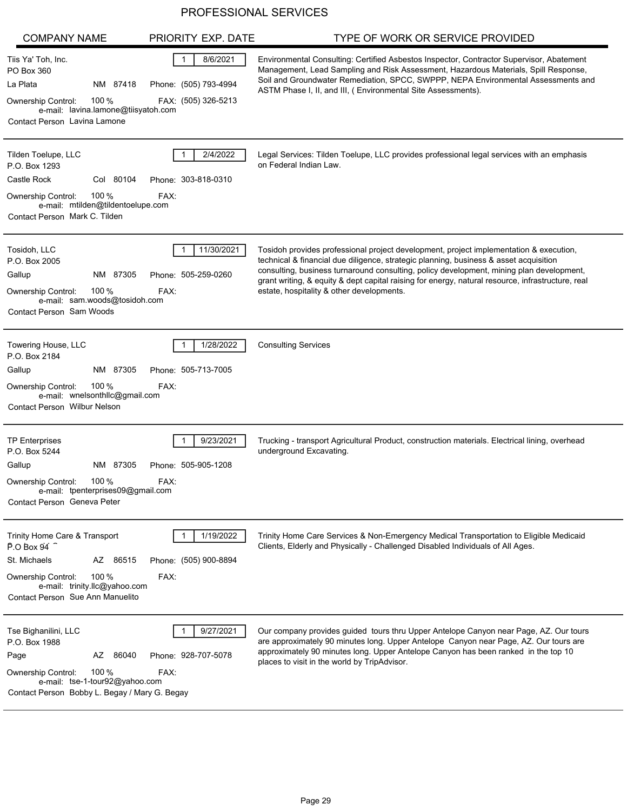| <b>COMPANY NAME</b>                                                                                                                                                                  | PRIORITY EXP. DATE                                                       | TYPE OF WORK OR SERVICE PROVIDED                                                                                                                                                                                                                                                                                                                                                                                              |
|--------------------------------------------------------------------------------------------------------------------------------------------------------------------------------------|--------------------------------------------------------------------------|-------------------------------------------------------------------------------------------------------------------------------------------------------------------------------------------------------------------------------------------------------------------------------------------------------------------------------------------------------------------------------------------------------------------------------|
| Tiis Ya' Toh, Inc.<br>PO Box 360<br>La Plata<br>NM 87418<br>100 %<br>Ownership Control:<br>e-mail: lavina.lamone@tiisyatoh.com<br>Contact Person Lavina Lamone                       | 8/6/2021<br>$\mathbf{1}$<br>Phone: (505) 793-4994<br>FAX: (505) 326-5213 | Environmental Consulting: Certified Asbestos Inspector, Contractor Supervisor, Abatement<br>Management, Lead Sampling and Risk Assessment, Hazardous Materials, Spill Response,<br>Soil and Groundwater Remediation, SPCC, SWPPP, NEPA Environmental Assessments and<br>ASTM Phase I, II, and III, (Environmental Site Assessments).                                                                                          |
| Tilden Toelupe, LLC<br>P.O. Box 1293<br>Castle Rock<br>Col 80104<br>100 %<br><b>Ownership Control:</b><br>e-mail: mtilden@tildentoelupe.com<br>Contact Person Mark C. Tilden         | 2/4/2022<br>Phone: 303-818-0310<br>FAX:                                  | Legal Services: Tilden Toelupe, LLC provides professional legal services with an emphasis<br>on Federal Indian Law.                                                                                                                                                                                                                                                                                                           |
| Tosidoh, LLC<br>P.O. Box 2005<br>87305<br>Gallup<br>NM<br>100 %<br><b>Ownership Control:</b><br>e-mail: sam.woods@tosidoh.com<br>Contact Person Sam Woods                            | 11/30/2021<br>Phone: 505-259-0260<br>FAX:                                | Tosidoh provides professional project development, project implementation & execution,<br>technical & financial due diligence, strategic planning, business & asset acquisition<br>consulting, business turnaround consulting, policy development, mining plan development,<br>grant writing, & equity & dept capital raising for energy, natural resource, infrastructure, real<br>estate, hospitality & other developments. |
| Towering House, LLC<br>P.O. Box 2184<br>Gallup<br>NM 87305<br>100 %<br><b>Ownership Control:</b><br>e-mail: wnelsonthllc@gmail.com<br><b>Contact Person Wilbur Nelson</b>            | 1/28/2022<br>Phone: 505-713-7005<br>FAX:                                 | <b>Consulting Services</b>                                                                                                                                                                                                                                                                                                                                                                                                    |
| <b>TP Enterprises</b><br>P.O. Box 5244<br>Gallup<br>NM 87305<br>100 %<br>Ownership Control:<br>e-mail: tpenterprises09@gmail.com<br>Contact Person Geneva Peter                      | 9/23/2021<br>Phone: 505-905-1208<br>FAX:                                 | Trucking - transport Agricultural Product, construction materials. Electrical lining, overhead<br>underground Excavating.                                                                                                                                                                                                                                                                                                     |
| Trinity Home Care & Transport<br>P.O Box 94<br>St. Michaels<br>AZ 86515<br>100 $%$<br><b>Ownership Control:</b><br>e-mail: trinity.llc@yahoo.com<br>Contact Person Sue Ann Manuelito | 1/19/2022<br>Phone: (505) 900-8894<br>FAX:                               | Trinity Home Care Services & Non-Emergency Medical Transportation to Eligible Medicaid<br>Clients, Elderly and Physically - Challenged Disabled Individuals of All Ages.                                                                                                                                                                                                                                                      |
| Tse Bighanilini, LLC<br>P.O. Box 1988<br>AZ 86040<br>Page<br>100 $%$<br>Ownership Control:<br>e-mail: tse-1-tour92@yahoo.com<br>Contact Person Bobby L. Begay / Mary G. Begay        | 9/27/2021<br>Phone: 928-707-5078<br>FAX:                                 | Our company provides guided tours thru Upper Antelope Canyon near Page, AZ. Our tours<br>are approximately 90 minutes long. Upper Antelope Canyon near Page, AZ. Our tours are<br>approximately 90 minutes long. Upper Antelope Canyon has been ranked in the top 10<br>places to visit in the world by TripAdvisor.                                                                                                          |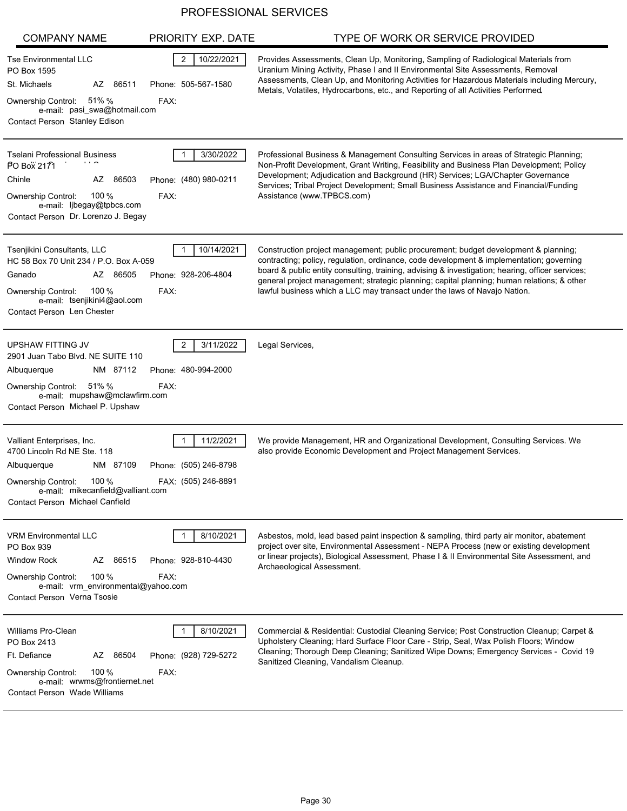| <b>COMPANY NAME</b>                                                                                                                                                                                  | PRIORITY EXP. DATE                                          | TYPE OF WORK OR SERVICE PROVIDED                                                                                                                                                                                                                                                                                                                                                                                                                               |
|------------------------------------------------------------------------------------------------------------------------------------------------------------------------------------------------------|-------------------------------------------------------------|----------------------------------------------------------------------------------------------------------------------------------------------------------------------------------------------------------------------------------------------------------------------------------------------------------------------------------------------------------------------------------------------------------------------------------------------------------------|
| <b>Tse Environmental LLC</b><br>PO Box 1595<br>St. Michaels<br>AZ 86511<br>Ownership Control: 51% %<br>e-mail: pasi swa@hotmail.com<br>Contact Person Stanley Edison                                 | $\overline{c}$<br>10/22/2021<br>Phone: 505-567-1580<br>FAX: | Provides Assessments, Clean Up, Monitoring, Sampling of Radiological Materials from<br>Uranium Mining Activity, Phase I and II Environmental Site Assessments, Removal<br>Assessments, Clean Up, and Monitoring Activities for Hazardous Materials including Mercury,<br>Metals, Volatiles, Hydrocarbons, etc., and Reporting of all Activities Performed                                                                                                      |
| <b>Tselani Professional Business</b><br>PO Box 2171<br>Chinle<br>AZ 86503<br>100 $%$<br><b>Ownership Control:</b><br>e-mail: ljbegay@tpbcs.com<br>Contact Person Dr. Lorenzo J. Begay                | 3/30/2022<br>Phone: (480) 980-0211<br>FAX:                  | Professional Business & Management Consulting Services in areas of Strategic Planning;<br>Non-Profit Development, Grant Writing, Feasibility and Business Plan Development; Policy<br>Development; Adjudication and Background (HR) Services; LGA/Chapter Governance<br>Services; Tribal Project Development; Small Business Assistance and Financial/Funding<br>Assistance (www.TPBCS.com)                                                                    |
| Tsenjikini Consultants, LLC<br>HC 58 Box 70 Unit 234 / P.O. Box A-059<br>Ganado<br>AZ 86505<br>100 $%$<br>Ownership Control:<br>e-mail: tsenjikini4@aol.com<br>Contact Person Len Chester            | 10/14/2021<br>Phone: 928-206-4804<br>FAX:                   | Construction project management; public procurement; budget development & planning;<br>contracting; policy, regulation, ordinance, code development & implementation; governing<br>board & public entity consulting, training, advising & investigation; hearing, officer services;<br>general project management; strategic planning; capital planning; human relations; & other<br>lawful business which a LLC may transact under the laws of Navajo Nation. |
| UPSHAW FITTING JV<br>2901 Juan Tabo Blvd. NE SUITE 110<br>Albuquerque<br>NM 87112<br>Ownership Control: 51% %<br>e-mail: mupshaw@mclawfirm.com<br>Contact Person Michael P. Upshaw                   | 3/11/2022<br>2<br>Phone: 480-994-2000<br>FAX:               | Legal Services,                                                                                                                                                                                                                                                                                                                                                                                                                                                |
| Valliant Enterprises, Inc.<br>4700 Lincoln Rd NE Ste. 118<br>NM 87109<br>Albuquerque<br>100 $%$<br><b>Ownership Control:</b><br>e-mail: mikecanfield@valliant.com<br>Contact Person Michael Canfield | 11/2/2021<br>Phone: (505) 246-8798<br>FAX: (505) 246-8891   | We provide Management, HR and Organizational Development, Consulting Services. We<br>also provide Economic Development and Project Management Services.                                                                                                                                                                                                                                                                                                        |
| <b>VRM Environmental LLC</b><br>PO Box 939<br><b>Window Rock</b><br>AZ 86515<br>100 $%$<br>Ownership Control:<br>e-mail: vrm environmental@yahoo.com<br>Contact Person Verna Tsosie                  | 8/10/2021<br>Phone: 928-810-4430<br>FAX:                    | Asbestos, mold, lead based paint inspection & sampling, third party air monitor, abatement<br>project over site, Environmental Assessment - NEPA Process (new or existing development<br>or linear projects), Biological Assessment, Phase I & II Environmental Site Assessment, and<br>Archaeological Assessment.                                                                                                                                             |
| Williams Pro-Clean<br>PO Box 2413<br>Ft. Defiance<br>AZ 86504<br>100 $%$<br>Ownership Control:<br>e-mail: wrwms@frontiernet.net<br><b>Contact Person Wade Williams</b>                               | 8/10/2021<br>Phone: (928) 729-5272<br>FAX:                  | Commercial & Residential: Custodial Cleaning Service; Post Construction Cleanup; Carpet &<br>Upholstery Cleaning; Hard Surface Floor Care - Strip, Seal, Wax Polish Floors; Window<br>Cleaning; Thorough Deep Cleaning; Sanitized Wipe Downs; Emergency Services - Covid 19<br>Sanitized Cleaning, Vandalism Cleanup.                                                                                                                                          |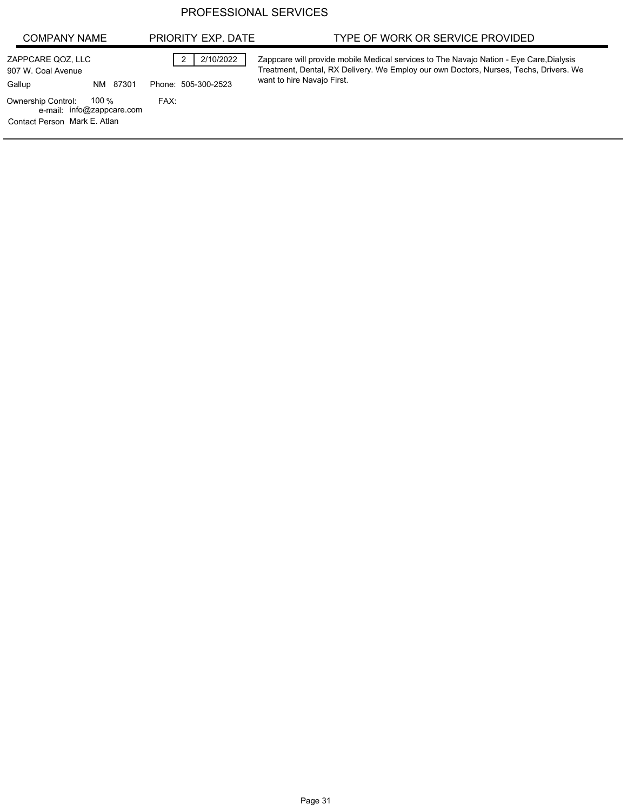| <b>COMPANY NAME</b>                                                                             | PRIORITY EXP. DATE               | TYPE OF WORK OR SERVICE PROVIDED                                                                                                                                                                               |
|-------------------------------------------------------------------------------------------------|----------------------------------|----------------------------------------------------------------------------------------------------------------------------------------------------------------------------------------------------------------|
| ZAPPCARE QOZ, LLC<br>907 W. Coal Avenue<br>Gallup<br>NM 87301                                   | 2/10/2022<br>Phone: 505-300-2523 | Zappcare will provide mobile Medical services to The Navajo Nation - Eye Care, Dialysis<br>Treatment, Dental, RX Delivery. We Employ our own Doctors, Nurses, Techs, Drivers. We<br>want to hire Navajo First. |
| 100 %<br><b>Ownership Control:</b><br>e-mail: info@zappcare.com<br>Contact Person Mark E. Atlan | FAX:                             |                                                                                                                                                                                                                |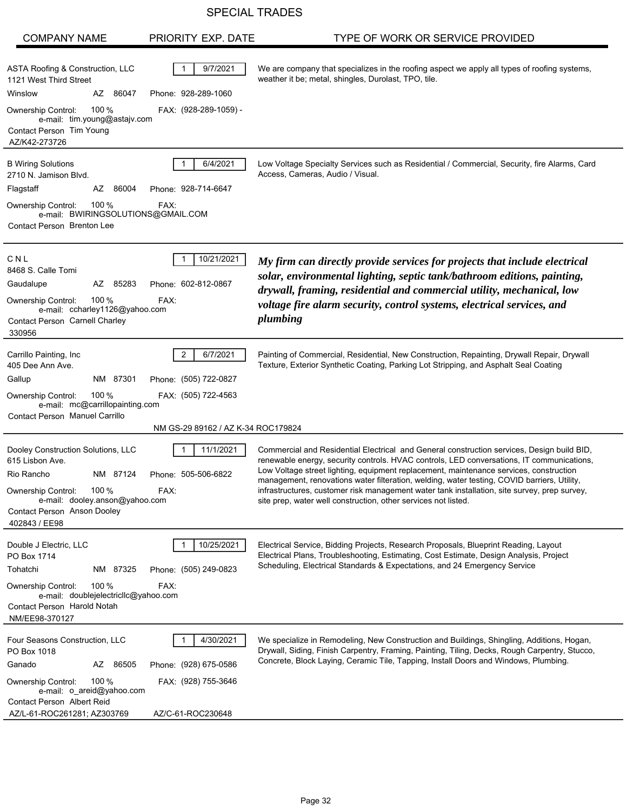## SPECIAL TRADES

| <b>COMPANY NAME</b>                                                                                                                                                                                     | PRIORITY EXP. DATE                                                                                               | TYPE OF WORK OR SERVICE PROVIDED                                                                                                                                                                                                                                                                                                                                                                                                                                                                                                                   |
|---------------------------------------------------------------------------------------------------------------------------------------------------------------------------------------------------------|------------------------------------------------------------------------------------------------------------------|----------------------------------------------------------------------------------------------------------------------------------------------------------------------------------------------------------------------------------------------------------------------------------------------------------------------------------------------------------------------------------------------------------------------------------------------------------------------------------------------------------------------------------------------------|
| ASTA Roofing & Construction, LLC<br>1121 West Third Street<br>Winslow<br>AZ 86047<br>100 $%$<br><b>Ownership Control:</b><br>e-mail: tim.young@astajv.com<br>Contact Person Tim Young<br>AZ/K42-273726  | 9/7/2021<br>Phone: 928-289-1060<br>FAX: (928-289-1059) -                                                         | We are company that specializes in the roofing aspect we apply all types of roofing systems,<br>weather it be; metal, shingles, Durolast, TPO, tile.                                                                                                                                                                                                                                                                                                                                                                                               |
| <b>B Wiring Solutions</b><br>2710 N. Jamison Blvd.<br>Flagstaff<br>AZ<br>86004<br>Ownership Control:<br>100 $%$<br>e-mail: BWIRINGSOLUTIONS@GMAIL.COM<br>Contact Person Brenton Lee                     | 6/4/2021<br>Phone: 928-714-6647<br>FAX:                                                                          | Low Voltage Specialty Services such as Residential / Commercial, Security, fire Alarms, Card<br>Access, Cameras, Audio / Visual.                                                                                                                                                                                                                                                                                                                                                                                                                   |
| CNL<br>8468 S. Calle Tomi<br>Gaudalupe<br>AZ 85283<br>100 $%$<br><b>Ownership Control:</b><br>e-mail: ccharley1126@yahoo.com<br>Contact Person Carnell Charley<br>330956                                | 10/21/2021<br>Phone: 602-812-0867<br>FAX:                                                                        | My firm can directly provide services for projects that include electrical<br>solar, environmental lighting, septic tank/bathroom editions, painting,<br>drywall, framing, residential and commercial utility, mechanical, low<br>voltage fire alarm security, control systems, electrical services, and<br>plumbing                                                                                                                                                                                                                               |
| Carrillo Painting, Inc.<br>405 Dee Ann Ave.<br>Gallup<br>NM 87301<br>100 $%$<br><b>Ownership Control:</b><br>e-mail: mc@carrillopainting.com<br>Contact Person Manuel Carrillo                          | $\overline{2}$<br>6/7/2021<br>Phone: (505) 722-0827<br>FAX: (505) 722-4563<br>NM GS-29 89162 / AZ K-34 ROC179824 | Painting of Commercial, Residential, New Construction, Repainting, Drywall Repair, Drywall<br>Texture, Exterior Synthetic Coating, Parking Lot Stripping, and Asphalt Seal Coating                                                                                                                                                                                                                                                                                                                                                                 |
| Dooley Construction Solutions, LLC<br>615 Lisbon Ave.<br>Rio Rancho<br>NM 87124<br>100 %<br><b>Ownership Control:</b><br>e-mail: dooley.anson@yahoo.com<br>Contact Person Anson Dooley<br>402843 / EE98 | 11/1/2021<br>Phone: 505-506-6822<br>FAX:                                                                         | Commercial and Residential Electrical and General construction services, Design build BID,<br>renewable energy, security controls. HVAC controls, LED conversations, IT communications,<br>Low Voltage street lighting, equipment replacement, maintenance services, construction<br>management, renovations water filteration, welding, water testing, COVID barriers, Utility,<br>infrastructures, customer risk management water tank installation, site survey, prep survey,<br>site prep, water well construction, other services not listed. |
| Double J Electric, LLC<br>PO Box 1714<br>Tohatchi<br>NM 87325<br>100 $%$<br><b>Ownership Control:</b><br>e-mail: doublejelectriclic@yahoo.com<br>Contact Person Harold Notah<br>NM/EE98-370127          | 10/25/2021<br>Phone: (505) 249-0823<br>FAX:                                                                      | Electrical Service, Bidding Projects, Research Proposals, Blueprint Reading, Layout<br>Electrical Plans, Troubleshooting, Estimating, Cost Estimate, Design Analysis, Project<br>Scheduling, Electrical Standards & Expectations, and 24 Emergency Service                                                                                                                                                                                                                                                                                         |
| Four Seasons Construction, LLC<br>PO Box 1018<br>AZ 86505<br>Ganado<br>100 $%$<br><b>Ownership Control:</b><br>e-mail: o_areid@yahoo.com<br>Contact Person Albert Reid<br>AZ/L-61-ROC261281; AZ303769   | 4/30/2021<br>Phone: (928) 675-0586<br>FAX: (928) 755-3646<br>AZ/C-61-ROC230648                                   | We specialize in Remodeling, New Construction and Buildings, Shingling, Additions, Hogan,<br>Drywall, Siding, Finish Carpentry, Framing, Painting, Tiling, Decks, Rough Carpentry, Stucco,<br>Concrete, Block Laying, Ceramic Tile, Tapping, Install Doors and Windows, Plumbing.                                                                                                                                                                                                                                                                  |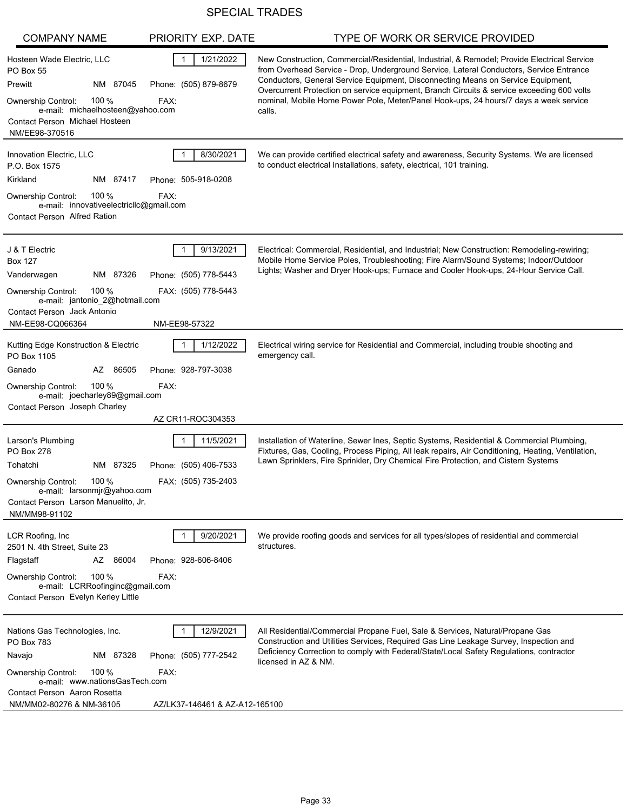# SPECIAL TRADES

| <b>COMPANY NAME</b>                                                                                                                                                                                             | PRIORITY EXP. DATE                                                           | TYPE OF WORK OR SERVICE PROVIDED                                                                                                                                                                                                                                                                                                                                                                                                                                            |
|-----------------------------------------------------------------------------------------------------------------------------------------------------------------------------------------------------------------|------------------------------------------------------------------------------|-----------------------------------------------------------------------------------------------------------------------------------------------------------------------------------------------------------------------------------------------------------------------------------------------------------------------------------------------------------------------------------------------------------------------------------------------------------------------------|
| Hosteen Wade Electric, LLC<br><b>PO Box 55</b><br>Prewitt<br>NM 87045<br>100 $%$<br><b>Ownership Control:</b><br>e-mail: michaelhosteen@yahoo.com<br>Contact Person Michael Hosteen<br>NM/EE98-370516           | 1/21/2022<br>-1<br>Phone: (505) 879-8679<br>FAX:                             | New Construction, Commercial/Residential, Industrial, & Remodel; Provide Electrical Service<br>from Overhead Service - Drop, Underground Service, Lateral Conductors, Service Entrance<br>Conductors, General Service Equipment, Disconnecting Means on Service Equipment,<br>Overcurrent Protection on service equipment, Branch Circuits & service exceeding 600 volts<br>nominal, Mobile Home Power Pole, Meter/Panel Hook-ups, 24 hours/7 days a week service<br>calls. |
| Innovation Electric, LLC<br>P.O. Box 1575<br>Kirkland<br>NM 87417<br>100 $%$<br>Ownership Control:<br>e-mail: innovativeelectricllc@gmail.com<br><b>Contact Person Alfred Ration</b>                            | 8/30/2021<br>Phone: 505-918-0208<br>FAX:                                     | We can provide certified electrical safety and awareness, Security Systems. We are licensed<br>to conduct electrical Installations, safety, electrical, 101 training.                                                                                                                                                                                                                                                                                                       |
| J & T Electric<br><b>Box 127</b><br>Vanderwagen<br>NM 87326<br>100 %<br><b>Ownership Control:</b><br>e-mail: jantonio_2@hotmail.com<br>Contact Person Jack Antonio<br>NM-EE98-CQ066364                          | 9/13/2021<br>Phone: (505) 778-5443<br>FAX: (505) 778-5443<br>NM-EE98-57322   | Electrical: Commercial, Residential, and Industrial; New Construction: Remodeling-rewiring;<br>Mobile Home Service Poles, Troubleshooting; Fire Alarm/Sound Systems; Indoor/Outdoor<br>Lights; Washer and Dryer Hook-ups; Furnace and Cooler Hook-ups, 24-Hour Service Call.                                                                                                                                                                                                |
| Kutting Edge Konstruction & Electric<br>PO Box 1105<br>Ganado<br>AZ 86505<br>100 $%$<br>Ownership Control:<br>e-mail: joecharley89@gmail.com<br>Contact Person Joseph Charley                                   | 1/12/2022<br>Phone: 928-797-3038<br>FAX:<br>AZ CR11-ROC304353                | Electrical wiring service for Residential and Commercial, including trouble shooting and<br>emergency call.                                                                                                                                                                                                                                                                                                                                                                 |
| Larson's Plumbing<br>PO Box 278<br>Tohatchi<br>NM 87325<br>100 %<br>Ownership Control:<br>e-mail: larsonmjr@yahoo.com<br>Contact Person Larson Manuelito, Jr.<br>NM/MM98-91102                                  | 11/5/2021<br>Phone: (505) 406-7533<br>FAX: (505) 735-2403                    | Installation of Waterline, Sewer Ines, Septic Systems, Residential & Commercial Plumbing,<br>Fixtures, Gas, Cooling, Process Piping, All leak repairs, Air Conditioning, Heating, Ventilation,<br>Lawn Sprinklers, Fire Sprinkler, Dry Chemical Fire Protection, and Cistern Systems                                                                                                                                                                                        |
| LCR Roofing, Inc.<br>2501 N. 4th Street, Suite 23<br>Flagstaff<br>AZ 86004<br>100 $%$<br>Ownership Control:<br>e-mail: LCRRoofinginc@gmail.com<br>Contact Person Evelyn Kerley Little                           | 9/20/2021<br>Phone: 928-606-8406<br>FAX:                                     | We provide roofing goods and services for all types/slopes of residential and commercial<br>structures.                                                                                                                                                                                                                                                                                                                                                                     |
| Nations Gas Technologies, Inc.<br><b>PO Box 783</b><br>Navajo<br>NM 87328<br>100 $%$<br><b>Ownership Control:</b><br>e-mail: www.nationsGasTech.com<br>Contact Person Aaron Rosetta<br>NM/MM02-80276 & NM-36105 | 12/9/2021<br>Phone: (505) 777-2542<br>FAX:<br>AZ/LK37-146461 & AZ-A12-165100 | All Residential/Commercial Propane Fuel, Sale & Services, Natural/Propane Gas<br>Construction and Utilities Services, Required Gas Line Leakage Survey, Inspection and<br>Deficiency Correction to comply with Federal/State/Local Safety Regulations, contractor<br>licensed in AZ & NM.                                                                                                                                                                                   |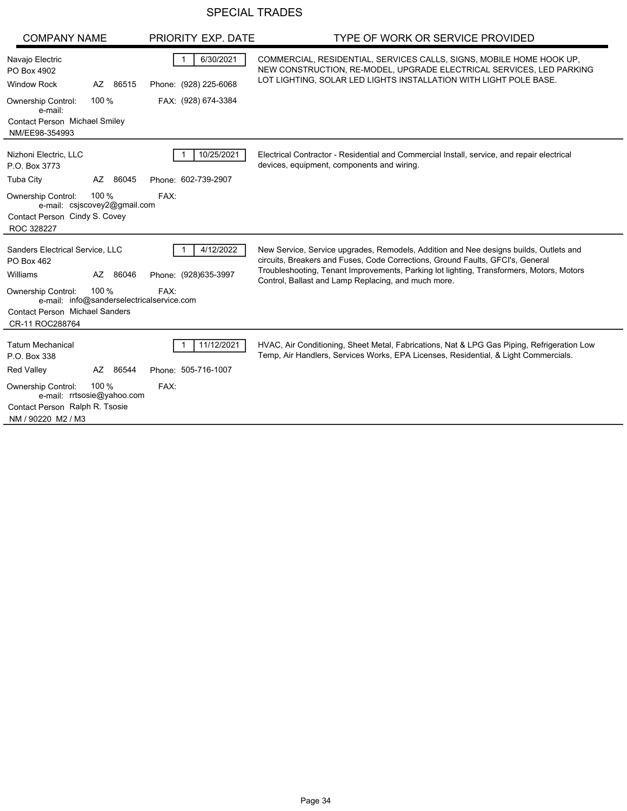# SPECIAL TRADES

| <b>COMPANY NAME</b>                                                                                                                                                                                                     | PRIORITY EXP. DATE                        | TYPE OF WORK OR SERVICE PROVIDED                                                                                                                                                                                                                                                                                           |
|-------------------------------------------------------------------------------------------------------------------------------------------------------------------------------------------------------------------------|-------------------------------------------|----------------------------------------------------------------------------------------------------------------------------------------------------------------------------------------------------------------------------------------------------------------------------------------------------------------------------|
| Navajo Electric<br>PO Box 4902<br><b>Window Rock</b><br>AZ 86515                                                                                                                                                        | 6/30/2021<br>Phone: (928) 225-6068        | COMMERCIAL, RESIDENTIAL, SERVICES CALLS, SIGNS, MOBILE HOME HOOK UP,<br>NEW CONSTRUCTION, RE-MODEL, UPGRADE ELECTRICAL SERVICES, LED PARKING<br>LOT LIGHTING, SOLAR LED LIGHTS INSTALLATION WITH LIGHT POLE BASE.                                                                                                          |
| 100 %<br><b>Ownership Control:</b><br>e-mail:<br><b>Contact Person Michael Smiley</b><br>NM/EE98-354993                                                                                                                 | FAX: (928) 674-3384                       |                                                                                                                                                                                                                                                                                                                            |
| Nizhoni Electric, LLC<br>P.O. Box 3773<br><b>Tuba City</b><br>AZ 86045                                                                                                                                                  | 10/25/2021<br>Phone: 602-739-2907         | Electrical Contractor - Residential and Commercial Install, service, and repair electrical<br>devices, equipment, components and wiring.                                                                                                                                                                                   |
| 100 %<br><b>Ownership Control:</b><br>e-mail: csjscovey2@gmail.com<br>Contact Person Cindy S. Covey<br>ROC 328227                                                                                                       | FAX:                                      |                                                                                                                                                                                                                                                                                                                            |
| Sanders Electrical Service, LLC<br>PO Box 462<br>Williams<br>86046<br>AZ<br>100 %<br><b>Ownership Control:</b><br>e-mail: info@sanderselectricalservice.com<br><b>Contact Person Michael Sanders</b><br>CR-11 ROC288764 | 4/12/2022<br>Phone: (928)635-3997<br>FAX: | New Service, Service upgrades, Remodels, Addition and Nee designs builds, Outlets and<br>circuits, Breakers and Fuses, Code Corrections, Ground Faults, GFCI's, General<br>Troubleshooting, Tenant Improvements, Parking lot lighting, Transformers, Motors, Motors<br>Control, Ballast and Lamp Replacing, and much more. |
| <b>Tatum Mechanical</b><br>P.O. Box 338<br><b>Red Valley</b><br>86544<br>AZ                                                                                                                                             | 11/12/2021<br>Phone: 505-716-1007         | HVAC, Air Conditioning, Sheet Metal, Fabrications, Nat & LPG Gas Piping, Refrigeration Low<br>Temp, Air Handlers, Services Works, EPA Licenses, Residential, & Light Commercials.                                                                                                                                          |
| 100 %<br><b>Ownership Control:</b><br>e-mail: rrtsosie@yahoo.com<br>Contact Person Ralph R. Tsosie<br>NM / 90220 M2 / M3                                                                                                | FAX:                                      |                                                                                                                                                                                                                                                                                                                            |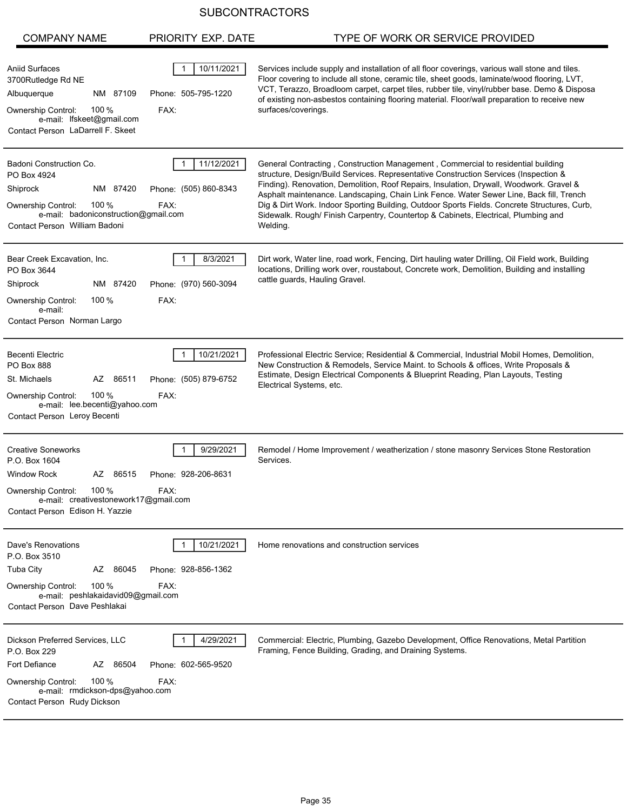| <b>COMPANY NAME</b>                                                                                                                                                                       | PRIORITY EXP. DATE                          | TYPE OF WORK OR SERVICE PROVIDED                                                                                                                                                                                                                                                                                                                                                                                                                                                                                                                                 |
|-------------------------------------------------------------------------------------------------------------------------------------------------------------------------------------------|---------------------------------------------|------------------------------------------------------------------------------------------------------------------------------------------------------------------------------------------------------------------------------------------------------------------------------------------------------------------------------------------------------------------------------------------------------------------------------------------------------------------------------------------------------------------------------------------------------------------|
| <b>Aniid Surfaces</b><br>3700Rutledge Rd NE<br>NM 87109<br>Albuquerque<br>100 $%$<br>Ownership Control:<br>e-mail: lfskeet@gmail.com<br>Contact Person LaDarrell F. Skeet                 | 10/11/2021<br>Phone: 505-795-1220<br>FAX:   | Services include supply and installation of all floor coverings, various wall stone and tiles.<br>Floor covering to include all stone, ceramic tile, sheet goods, laminate/wood flooring, LVT,<br>VCT, Terazzo, Broadloom carpet, carpet tiles, rubber tile, vinyl/rubber base. Demo & Disposa<br>of existing non-asbestos containing flooring material. Floor/wall preparation to receive new<br>surfaces/coverings.                                                                                                                                            |
| Badoni Construction Co.<br>PO Box 4924<br>Shiprock<br>NM 87420<br>100 $%$<br><b>Ownership Control:</b><br>e-mail: badoniconstruction@gmail.com<br>Contact Person William Badoni           | 11/12/2021<br>Phone: (505) 860-8343<br>FAX: | General Contracting, Construction Management, Commercial to residential building<br>structure, Design/Build Services. Representative Construction Services (Inspection &<br>Finding). Renovation, Demolition, Roof Repairs, Insulation, Drywall, Woodwork. Gravel &<br>Asphalt maintenance. Landscaping, Chain Link Fence. Water Sewer Line, Back fill, Trench<br>Dig & Dirt Work. Indoor Sporting Building, Outdoor Sports Fields. Concrete Structures, Curb,<br>Sidewalk. Rough/ Finish Carpentry, Countertop & Cabinets, Electrical, Plumbing and<br>Welding. |
| Bear Creek Excavation, Inc.<br>PO Box 3644<br>Shiprock<br>NM 87420<br>100 %<br>Ownership Control:<br>e-mail:<br>Contact Person Norman Largo                                               | 8/3/2021<br>Phone: (970) 560-3094<br>FAX:   | Dirt work, Water line, road work, Fencing, Dirt hauling water Drilling, Oil Field work, Building<br>locations, Drilling work over, roustabout, Concrete work, Demolition, Building and installing<br>cattle guards, Hauling Gravel.                                                                                                                                                                                                                                                                                                                              |
| <b>Becenti Electric</b><br><b>PO Box 888</b><br>St. Michaels<br>AZ 86511<br>100 $%$<br><b>Ownership Control:</b><br>e-mail: lee.becenti@yahoo.com<br>Contact Person Leroy Becenti         | 10/21/2021<br>Phone: (505) 879-6752<br>FAX: | Professional Electric Service; Residential & Commercial, Industrial Mobil Homes, Demolition,<br>New Construction & Remodels, Service Maint. to Schools & offices, Write Proposals &<br>Estimate, Design Electrical Components & Blueprint Reading, Plan Layouts, Testing<br>Electrical Systems, etc.                                                                                                                                                                                                                                                             |
| <b>Creative Soneworks</b><br>P.O. Box 1604<br><b>Window Rock</b><br>AZ 86515<br>Ownership Control:<br>100 $%$<br>e-mail: creativestonework17@gmail.com<br>Contact Person Edison H. Yazzie | 9/29/2021<br>Phone: 928-206-8631<br>FAX:    | Remodel / Home Improvement / weatherization / stone masonry Services Stone Restoration<br>Services.                                                                                                                                                                                                                                                                                                                                                                                                                                                              |
| Dave's Renovations<br>P.O. Box 3510<br><b>Tuba City</b><br>AZ 86045<br>Ownership Control:<br>100 $%$<br>e-mail: peshlakaidavid09@gmail.com<br>Contact Person Dave Peshlakai               | 10/21/2021<br>Phone: 928-856-1362<br>FAX:   | Home renovations and construction services                                                                                                                                                                                                                                                                                                                                                                                                                                                                                                                       |
| Dickson Preferred Services, LLC<br>P.O. Box 229<br>Fort Defiance<br>AZ 86504<br>100 $%$<br>Ownership Control:<br>e-mail: rmdickson-dps@yahoo.com<br>Contact Person Rudy Dickson           | 4/29/2021<br>Phone: 602-565-9520<br>FAX:    | Commercial: Electric, Plumbing, Gazebo Development, Office Renovations, Metal Partition<br>Framing, Fence Building, Grading, and Draining Systems.                                                                                                                                                                                                                                                                                                                                                                                                               |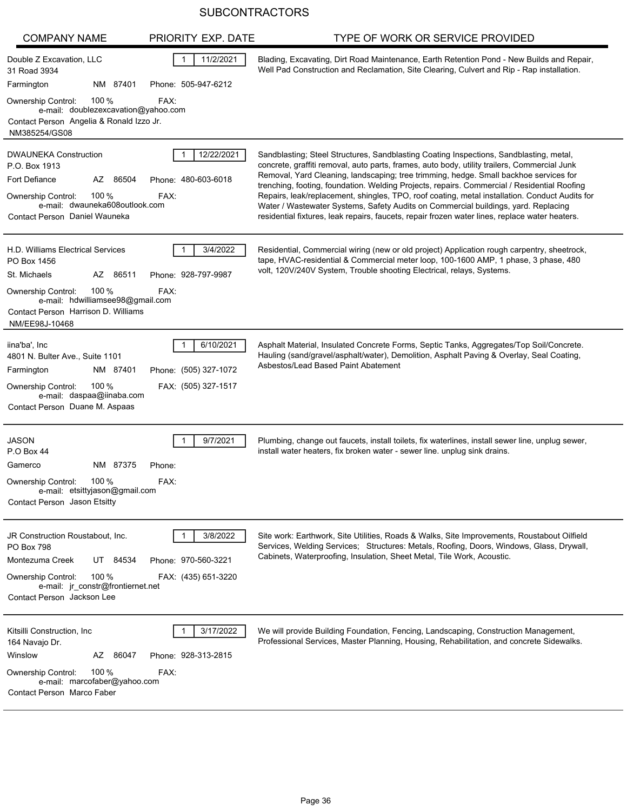| <b>COMPANY NAME</b>                                                                                                                                                                      | PRIORITY EXP. DATE                                        | TYPE OF WORK OR SERVICE PROVIDED                                                                                                                                                                                                                                                                                                                                                                                                                                                                                                                                                                                                                                         |
|------------------------------------------------------------------------------------------------------------------------------------------------------------------------------------------|-----------------------------------------------------------|--------------------------------------------------------------------------------------------------------------------------------------------------------------------------------------------------------------------------------------------------------------------------------------------------------------------------------------------------------------------------------------------------------------------------------------------------------------------------------------------------------------------------------------------------------------------------------------------------------------------------------------------------------------------------|
| Double Z Excavation, LLC<br>31 Road 3934<br>Farmington<br>NM 87401                                                                                                                       | 11/2/2021<br>Phone: 505-947-6212                          | Blading, Excavating, Dirt Road Maintenance, Earth Retention Pond - New Builds and Repair,<br>Well Pad Construction and Reclamation, Site Clearing, Culvert and Rip - Rap installation.                                                                                                                                                                                                                                                                                                                                                                                                                                                                                   |
| 100 %<br>Ownership Control:<br>e-mail: doublezexcavation@yahoo.com<br>Contact Person Angelia & Ronald Izzo Jr.<br>NM385254/GS08                                                          | FAX:                                                      |                                                                                                                                                                                                                                                                                                                                                                                                                                                                                                                                                                                                                                                                          |
| <b>DWAUNEKA Construction</b><br>P.O. Box 1913<br>Fort Defiance<br>AZ 86504<br>100 $%$<br><b>Ownership Control:</b><br>e-mail dwauneka608outlook.com<br>Contact Person Daniel Wauneka     | 12/22/2021<br>Phone: 480-603-6018<br>FAX:                 | Sandblasting; Steel Structures, Sandblasting Coating Inspections, Sandblasting, metal,<br>concrete, graffiti removal, auto parts, frames, auto body, utility trailers, Commercial Junk<br>Removal, Yard Cleaning, landscaping; tree trimming, hedge. Small backhoe services for<br>trenching, footing, foundation. Welding Projects, repairs. Commercial / Residential Roofing<br>Repairs, leak/replacement, shingles, TPO, roof coating, metal installation. Conduct Audits for<br>Water / Wastewater Systems, Safety Audits on Commercial buildings, yard. Replacing<br>residential fixtures, leak repairs, faucets, repair frozen water lines, replace water heaters. |
| H.D. Williams Electrical Services<br>PO Box 1456<br>St. Michaels<br>AZ 86511                                                                                                             | 3/4/2022<br>Phone: 928-797-9987                           | Residential, Commercial wiring (new or old project) Application rough carpentry, sheetrock,<br>tape, HVAC-residential & Commercial meter loop, 100-1600 AMP, 1 phase, 3 phase, 480<br>volt, 120V/240V System, Trouble shooting Electrical, relays, Systems.                                                                                                                                                                                                                                                                                                                                                                                                              |
| 100 $%$<br><b>Ownership Control:</b><br>e-mail: hdwilliamsee98@gmail.com<br>Contact Person Harrison D. Williams<br>NM/EE98J-10468                                                        | FAX:                                                      |                                                                                                                                                                                                                                                                                                                                                                                                                                                                                                                                                                                                                                                                          |
| iina'ba', Inc<br>4801 N. Bulter Ave., Suite 1101<br>Farmington<br>NM 87401<br>100 $%$<br><b>Ownership Control:</b><br>e-mail: daspaa@iinaba.com<br>Contact Person Duane M. Aspaas        | 6/10/2021<br>Phone: (505) 327-1072<br>FAX: (505) 327-1517 | Asphalt Material, Insulated Concrete Forms, Septic Tanks, Aggregates/Top Soil/Concrete.<br>Hauling (sand/gravel/asphalt/water), Demolition, Asphalt Paving & Overlay, Seal Coating,<br>Asbestos/Lead Based Paint Abatement                                                                                                                                                                                                                                                                                                                                                                                                                                               |
| <b>JASON</b><br>P.O Box 44<br>NM 87375<br>Gamerco<br>100 $%$<br><b>Ownership Control:</b><br>e-mail: etsittyjason@gmail.com<br>Contact Person Jason Etsitty                              | 9/7/2021<br>Phone:<br>FAX:                                | Plumbing, change out faucets, install toilets, fix waterlines, install sewer line, unplug sewer,<br>install water heaters, fix broken water - sewer line. unplug sink drains.                                                                                                                                                                                                                                                                                                                                                                                                                                                                                            |
| JR Construction Roustabout, Inc.<br><b>PO Box 798</b><br>Montezuma Creek<br>UT 84534<br>100 $%$<br>Ownership Control:<br>e-mail: jr_constr@frontiernet.net<br>Contact Person Jackson Lee | 3/8/2022<br>Phone: 970-560-3221<br>FAX: (435) 651-3220    | Site work: Earthwork, Site Utilities, Roads & Walks, Site Improvements, Roustabout Oilfield<br>Services, Welding Services; Structures: Metals, Roofing, Doors, Windows, Glass, Drywall,<br>Cabinets, Waterproofing, Insulation, Sheet Metal, Tile Work, Acoustic.                                                                                                                                                                                                                                                                                                                                                                                                        |
| Kitsilli Construction, Inc<br>164 Navajo Dr.<br>Winslow<br>AZ 86047<br>100 $%$<br>Ownership Control:<br>e-mail: marcofaber@yahoo.com<br>Contact Person Marco Faber                       | 3/17/2022<br>Phone: 928-313-2815<br>FAX:                  | We will provide Building Foundation, Fencing, Landscaping, Construction Management,<br>Professional Services, Master Planning, Housing, Rehabilitation, and concrete Sidewalks.                                                                                                                                                                                                                                                                                                                                                                                                                                                                                          |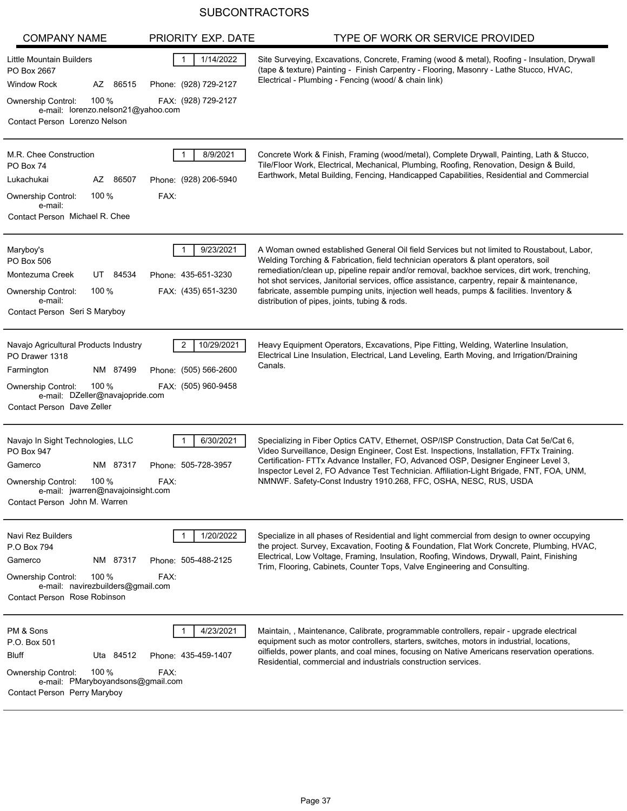| <b>COMPANY NAME</b>                                                                                                                                                                      | PRIORITY EXP. DATE                                                        | TYPE OF WORK OR SERVICE PROVIDED                                                                                                                                                                                                                                                                                                                                                                                                                                                                                              |
|------------------------------------------------------------------------------------------------------------------------------------------------------------------------------------------|---------------------------------------------------------------------------|-------------------------------------------------------------------------------------------------------------------------------------------------------------------------------------------------------------------------------------------------------------------------------------------------------------------------------------------------------------------------------------------------------------------------------------------------------------------------------------------------------------------------------|
| Little Mountain Builders<br>PO Box 2667<br><b>Window Rock</b><br>AZ 86515<br>100 $%$<br>Ownership Control:<br>e-mail: lorenzo.nelson21@yahoo.com<br>Contact Person Lorenzo Nelson        | 1/14/2022<br>$\mathbf{1}$<br>Phone: (928) 729-2127<br>FAX: (928) 729-2127 | Site Surveying, Excavations, Concrete, Framing (wood & metal), Roofing - Insulation, Drywall<br>(tape & texture) Painting - Finish Carpentry - Flooring, Masonry - Lathe Stucco, HVAC,<br>Electrical - Plumbing - Fencing (wood/ & chain link)                                                                                                                                                                                                                                                                                |
| M.R. Chee Construction<br>PO Box 74<br>Lukachukai<br>AZ<br>86507<br>100%<br><b>Ownership Control:</b><br>e-mail:<br>Contact Person Michael R. Chee                                       | 8/9/2021<br>$\mathbf 1$<br>Phone: (928) 206-5940<br>FAX:                  | Concrete Work & Finish, Framing (wood/metal), Complete Drywall, Painting, Lath & Stucco,<br>Tile/Floor Work, Electrical, Mechanical, Plumbing, Roofing, Renovation, Design & Build,<br>Earthwork, Metal Building, Fencing, Handicapped Capabilities, Residential and Commercial                                                                                                                                                                                                                                               |
| Maryboy's<br>PO Box 506<br>UT 84534<br>Montezuma Creek<br>100 %<br>Ownership Control:<br>e-mail:<br>Contact Person Seri S Maryboy                                                        | 9/23/2021<br>1<br>Phone: 435-651-3230<br>FAX: (435) 651-3230              | A Woman owned established General Oil field Services but not limited to Roustabout, Labor,<br>Welding Torching & Fabrication, field technician operators & plant operators, soil<br>remediation/clean up, pipeline repair and/or removal, backhoe services, dirt work, trenching,<br>hot shot services, Janitorial services, office assistance, carpentry, repair & maintenance,<br>fabricate, assemble pumping units, injection well heads, pumps & facilities. Inventory &<br>distribution of pipes, joints, tubing & rods. |
| Navajo Agricultural Products Industry<br>PO Drawer 1318<br>Farmington<br>NM 87499<br>100 %<br><b>Ownership Control:</b><br>e-mail: DZeller@navajopride.com<br>Contact Person Dave Zeller | 2<br>10/29/2021<br>Phone: (505) 566-2600<br>FAX: (505) 960-9458           | Heavy Equipment Operators, Excavations, Pipe Fitting, Welding, Waterline Insulation,<br>Electrical Line Insulation, Electrical, Land Leveling, Earth Moving, and Irrigation/Draining<br>Canals.                                                                                                                                                                                                                                                                                                                               |
| Navajo In Sight Technologies, LLC<br>PO Box 947<br>Gamerco<br>NM 87317<br>100 %<br><b>Ownership Control:</b><br>e-mail: jwarren@navajoinsight.com<br>Contact Person John M. Warren       | 6/30/2021<br>Phone: 505-728-3957<br>FAX:                                  | Specializing in Fiber Optics CATV, Ethernet, OSP/ISP Construction, Data Cat 5e/Cat 6,<br>Video Surveillance, Design Engineer, Cost Est. Inspections, Installation, FFTx Training.<br>Certification- FTTx Advance Installer, FO, Advanced OSP, Designer Engineer Level 3,<br>Inspector Level 2, FO Advance Test Technician. Affiliation-Light Brigade, FNT, FOA, UNM,<br>NMNWF. Safety-Const Industry 1910.268, FFC, OSHA, NESC, RUS, USDA                                                                                     |
| Navi Rez Builders<br>P.O Box 794<br>NM 87317<br>Gamerco<br>100 $%$<br><b>Ownership Control:</b><br>e-mail: navirezbuilders@gmail.com<br>Contact Person Rose Robinson                     | 1/20/2022<br>Phone: 505-488-2125<br>FAX:                                  | Specialize in all phases of Residential and light commercial from design to owner occupying<br>the project. Survey, Excavation, Footing & Foundation, Flat Work Concrete, Plumbing, HVAC,<br>Electrical, Low Voltage, Framing, Insulation, Roofing, Windows, Drywall, Paint, Finishing<br>Trim, Flooring, Cabinets, Counter Tops, Valve Engineering and Consulting.                                                                                                                                                           |
| PM & Sons<br>P.O. Box 501<br><b>Bluff</b><br>Uta 84512<br>100 $%$<br>Ownership Control:<br>e-mail: PMaryboyandsons@gmail.com<br>Contact Person Perry Maryboy                             | 4/23/2021<br>Phone: 435-459-1407<br>FAX:                                  | Maintain,, Maintenance, Calibrate, programmable controllers, repair - upgrade electrical<br>equipment such as motor controllers, starters, switches, motors in industrial, locations,<br>oilfields, power plants, and coal mines, focusing on Native Americans reservation operations.<br>Residential, commercial and industrials construction services.                                                                                                                                                                      |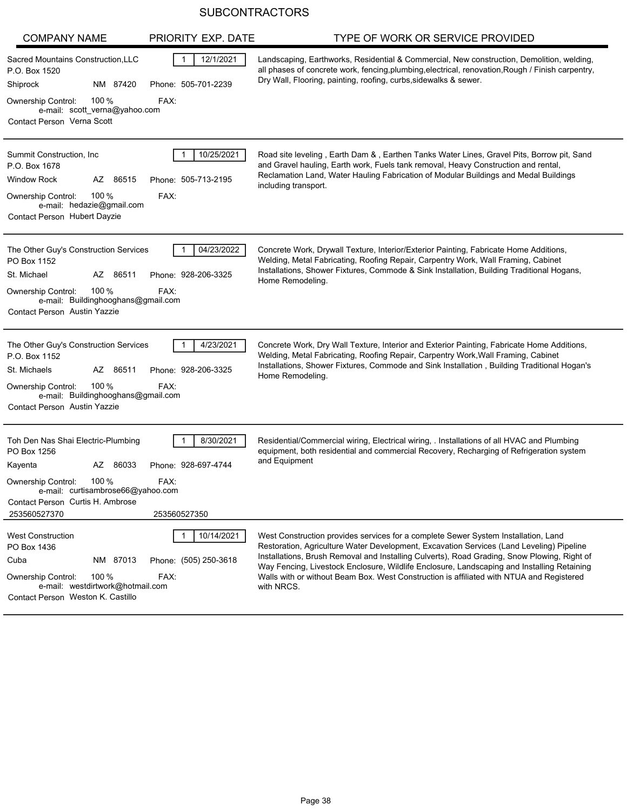| <b>COMPANY NAME</b>                                                                                                                                                                                           | PRIORITY EXP. DATE                               | TYPE OF WORK OR SERVICE PROVIDED                                                                                                                                                                                                                                                                                                                                                                                                                                                      |
|---------------------------------------------------------------------------------------------------------------------------------------------------------------------------------------------------------------|--------------------------------------------------|---------------------------------------------------------------------------------------------------------------------------------------------------------------------------------------------------------------------------------------------------------------------------------------------------------------------------------------------------------------------------------------------------------------------------------------------------------------------------------------|
| Sacred Mountains Construction, LLC<br>P.O. Box 1520<br>NM 87420<br>Shiprock<br>100 %<br>Ownership Control:<br>FAX:<br>e-mail: scott_verna@yahoo.com<br>Contact Person Verna Scott                             | 12/1/2021<br>1<br>Phone: 505-701-2239            | Landscaping, Earthworks, Residential & Commercial, New construction, Demolition, welding,<br>all phases of concrete work, fencing, plumbing, electrical, renovation, Rough / Finish carpentry,<br>Dry Wall, Flooring, painting, roofing, curbs, sidewalks & sewer.                                                                                                                                                                                                                    |
| Summit Construction, Inc.<br>P.O. Box 1678<br><b>Window Rock</b><br>AZ 86515<br>100 $%$<br><b>Ownership Control:</b><br>FAX:<br>e-mail: hedazie@gmail.com<br>Contact Person Hubert Dayzie                     | 10/25/2021<br>Phone: 505-713-2195                | Road site leveling, Earth Dam &, Earthen Tanks Water Lines, Gravel Pits, Borrow pit, Sand<br>and Gravel hauling, Earth work, Fuels tank removal, Heavy Construction and rental,<br>Reclamation Land, Water Hauling Fabrication of Modular Buildings and Medal Buildings<br>including transport.                                                                                                                                                                                       |
| The Other Guy's Construction Services<br>PO Box 1152<br>St. Michael<br>AZ 86511<br>100 %<br>Ownership Control:<br>FAX:<br>e-mail: Buildinghooghans@gmail.com<br><b>Contact Person Austin Yazzie</b>           | 04/23/2022<br>Phone: 928-206-3325                | Concrete Work, Drywall Texture, Interior/Exterior Painting, Fabricate Home Additions,<br>Welding, Metal Fabricating, Roofing Repair, Carpentry Work, Wall Framing, Cabinet<br>Installations, Shower Fixtures, Commode & Sink Installation, Building Traditional Hogans,<br>Home Remodeling.                                                                                                                                                                                           |
| The Other Guy's Construction Services<br>P.O. Box 1152<br>St. Michaels<br>AZ 86511<br>100 %<br>FAX:<br><b>Ownership Control:</b><br>e-mail: Buildinghooghans@gmail.com<br><b>Contact Person Austin Yazzie</b> | 4/23/2021<br>Phone: 928-206-3325                 | Concrete Work, Dry Wall Texture, Interior and Exterior Painting, Fabricate Home Additions,<br>Welding, Metal Fabricating, Roofing Repair, Carpentry Work, Wall Framing, Cabinet<br>Installations, Shower Fixtures, Commode and Sink Installation, Building Traditional Hogan's<br>Home Remodeling.                                                                                                                                                                                    |
| Toh Den Nas Shai Electric-Plumbing<br>PO Box 1256<br>Kayenta<br>AZ 86033<br>100 %<br>Ownership Control:<br>FAX:<br>e-mail: curtisambrose66@yahoo.com<br>Contact Person Curtis H. Ambrose<br>253560527370      | 8/30/2021<br>Phone: 928-697-4744<br>253560527350 | Residential/Commercial wiring, Electrical wiring, . Installations of all HVAC and Plumbing<br>equipment, both residential and commercial Recovery, Recharging of Refrigeration system<br>and Equipment                                                                                                                                                                                                                                                                                |
| <b>West Construction</b><br>PO Box 1436<br>Cuba<br>NM 87013<br>100 %<br>Ownership Control:<br>FAX:<br>e-mail: westdirtwork@hotmail.com<br>Contact Person Weston K. Castillo                                   | 10/14/2021<br>Phone: (505) 250-3618              | West Construction provides services for a complete Sewer System Installation, Land<br>Restoration, Agriculture Water Development, Excavation Services (Land Leveling) Pipeline<br>Installations, Brush Removal and Installing Culverts), Road Grading, Snow Plowing, Right of<br>Way Fencing, Livestock Enclosure, Wildlife Enclosure, Landscaping and Installing Retaining<br>Walls with or without Beam Box. West Construction is affiliated with NTUA and Registered<br>with NRCS. |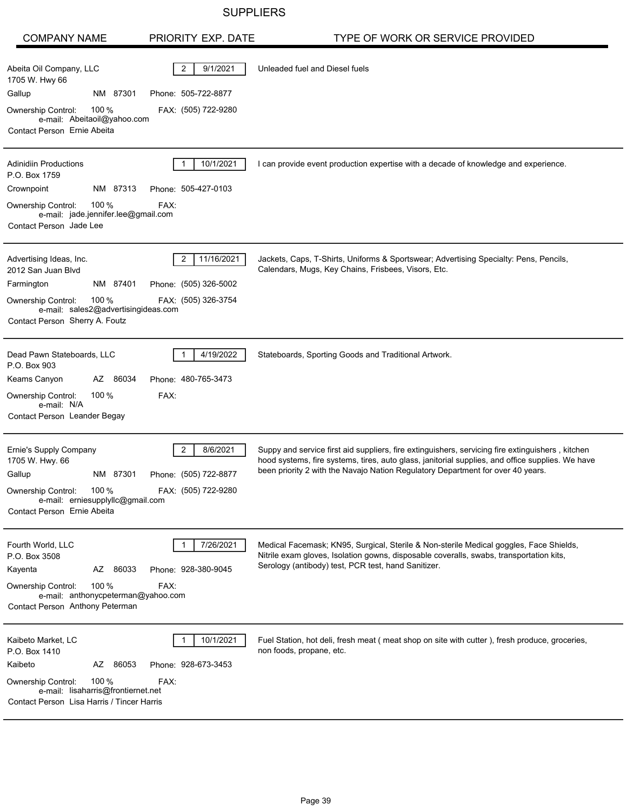## **SUPPLIERS**

| <b>COMPANY NAME</b>                                                                                                                                                                   | PRIORITY EXP. DATE                                                       | TYPE OF WORK OR SERVICE PROVIDED                                                                                                                                                                                                                                                        |
|---------------------------------------------------------------------------------------------------------------------------------------------------------------------------------------|--------------------------------------------------------------------------|-----------------------------------------------------------------------------------------------------------------------------------------------------------------------------------------------------------------------------------------------------------------------------------------|
| Abeita Oil Company, LLC<br>1705 W. Hwy 66<br>Gallup<br>NM 87301<br>100%<br><b>Ownership Control:</b><br>e-mail: Abeitaoil@yahoo.com<br>Contact Person Ernie Abeita                    | 9/1/2021<br>$\overline{2}$<br>Phone: 505-722-8877<br>FAX: (505) 722-9280 | Unleaded fuel and Diesel fuels                                                                                                                                                                                                                                                          |
| <b>Adinidiin Productions</b><br>P.O. Box 1759<br>Crownpoint<br>NM 87313<br>100 %<br>Ownership Control:<br>e-mail: jade.jennifer.lee@gmail.com<br>Contact Person Jade Lee              | 10/1/2021<br>Phone: 505-427-0103<br>FAX:                                 | I can provide event production expertise with a decade of knowledge and experience.                                                                                                                                                                                                     |
| Advertising Ideas, Inc.<br>2012 San Juan Blvd<br>NM 87401<br>Farmington<br>100%<br><b>Ownership Control:</b><br>e-mail: sales2@advertisingideas.com<br>Contact Person Sherry A. Foutz | 11/16/2021<br>2<br>Phone: (505) 326-5002<br>FAX: (505) 326-3754          | Jackets, Caps, T-Shirts, Uniforms & Sportswear; Advertising Specialty: Pens, Pencils,<br>Calendars, Mugs, Key Chains, Frisbees, Visors, Etc.                                                                                                                                            |
| Dead Pawn Stateboards, LLC<br>P.O. Box 903<br>Keams Canyon<br>AZ 86034<br>100%<br><b>Ownership Control:</b><br>e-mail: N/A<br>Contact Person Leander Begay                            | 4/19/2022<br>Phone: 480-765-3473<br>FAX:                                 | Stateboards, Sporting Goods and Traditional Artwork.                                                                                                                                                                                                                                    |
| Ernie's Supply Company<br>1705 W. Hwy. 66<br>Gallup<br>NM 87301<br>Ownership Control:<br>100 %<br>e-mail: erniesupplyllc@gmail.com<br>Contact Person Ernie Abeita                     | 8/6/2021<br>2<br>Phone: (505) 722-8877<br>FAX: (505) 722-9280            | Suppy and service first aid suppliers, fire extinguishers, servicing fire extinguishers, kitchen<br>hood systems, fire systems, tires, auto glass, janitorial supplies, and office supplies. We have<br>been priority 2 with the Navajo Nation Regulatory Department for over 40 years. |
| Fourth World, LLC<br>P.O. Box 3508<br>86033<br>Kayenta<br>AZ<br>100 %<br><b>Ownership Control:</b><br>e-mail: anthonycpeterman@yahoo.com<br>Contact Person Anthony Peterman           | 7/26/2021<br>Phone: 928-380-9045<br>FAX:                                 | Medical Facemask; KN95, Surgical, Sterile & Non-sterile Medical goggles, Face Shields,<br>Nitrile exam gloves, Isolation gowns, disposable coveralls, swabs, transportation kits,<br>Serology (antibody) test, PCR test, hand Sanitizer.                                                |
| Kaibeto Market, LC<br>P.O. Box 1410<br>AZ 86053<br>Kaibeto<br>100%<br><b>Ownership Control:</b><br>e-mail: lisaharris@frontiernet.net<br>Contact Person Lisa Harris / Tincer Harris   | 10/1/2021<br>Phone: 928-673-3453<br>FAX:                                 | Fuel Station, hot deli, fresh meat (meat shop on site with cutter), fresh produce, groceries,<br>non foods, propane, etc.                                                                                                                                                               |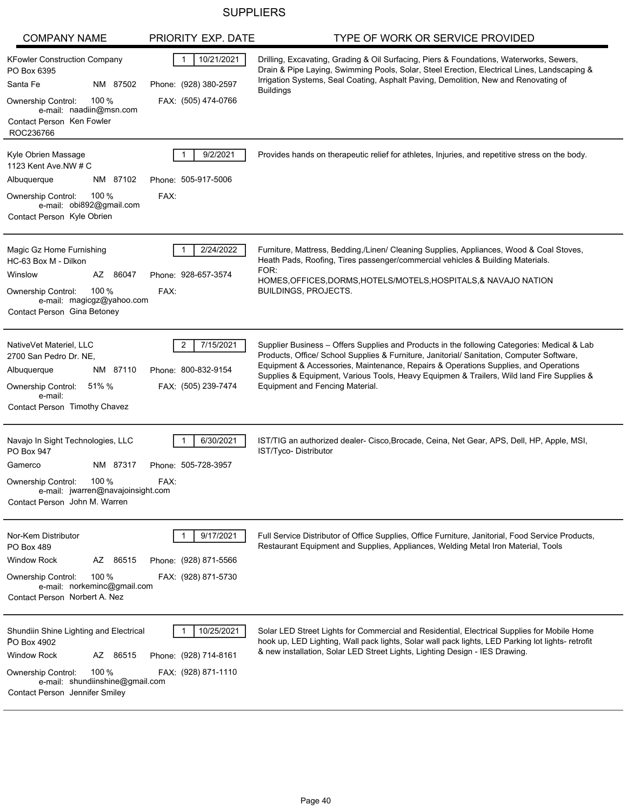## **SUPPLIERS**

| <b>COMPANY NAME</b>                                                                                                                                                                                  | PRIORITY EXP. DATE                                           | TYPE OF WORK OR SERVICE PROVIDED                                                                                                                                                                                                                                                                                                                                                                                |
|------------------------------------------------------------------------------------------------------------------------------------------------------------------------------------------------------|--------------------------------------------------------------|-----------------------------------------------------------------------------------------------------------------------------------------------------------------------------------------------------------------------------------------------------------------------------------------------------------------------------------------------------------------------------------------------------------------|
| <b>KFowler Construction Company</b><br>PO Box 6395<br>Santa Fe<br>NM 87502<br>Ownership Control:<br>100 $%$<br>e-mail: naadiin@msn.com                                                               | 10/21/2021<br>Phone: (928) 380-2597<br>FAX: (505) 474-0766   | Drilling, Excavating, Grading & Oil Surfacing, Piers & Foundations, Waterworks, Sewers,<br>Drain & Pipe Laying, Swimming Pools, Solar, Steel Erection, Electrical Lines, Landscaping &<br>Irrigation Systems, Seal Coating, Asphalt Paving, Demolition, New and Renovating of<br><b>Buildings</b>                                                                                                               |
| Contact Person Ken Fowler<br>ROC236766                                                                                                                                                               |                                                              |                                                                                                                                                                                                                                                                                                                                                                                                                 |
| Kyle Obrien Massage<br>1123 Kent Ave. NW # C<br>Albuquerque<br>NM 87102<br>100 $%$<br>Ownership Control:<br>e-mail: obi892@gmail.com<br>Contact Person Kyle Obrien                                   | 9/2/2021<br>Phone: 505-917-5006<br>FAX:                      | Provides hands on therapeutic relief for athletes, Injuries, and repetitive stress on the body.                                                                                                                                                                                                                                                                                                                 |
| Magic Gz Home Furnishing<br>HC-63 Box M - Dilkon<br>Winslow<br>AZ 86047<br>100 $%$<br><b>Ownership Control:</b><br>e-mail: magicgz@yahoo.com<br>Contact Person Gina Betoney                          | 2/24/2022<br>Phone: 928-657-3574<br>FAX:                     | Furniture, Mattress, Bedding,/Linen/ Cleaning Supplies, Appliances, Wood & Coal Stoves,<br>Heath Pads, Roofing, Tires passenger/commercial vehicles & Building Materials.<br>FOR:<br>HOMES, OF FICES, DORMS, HOTELS/MOTELS, HOSPITALS, & NAVAJO NATION<br>BUILDINGS, PROJECTS.                                                                                                                                  |
| NativeVet Materiel, LLC<br>2700 San Pedro Dr. NE,<br>Albuquerque<br>NM 87110<br>Ownership Control:<br>51% %<br>e-mail:<br>Contact Person Timothy Chavez                                              | 7/15/2021<br>2<br>Phone: 800-832-9154<br>FAX: (505) 239-7474 | Supplier Business - Offers Supplies and Products in the following Categories: Medical & Lab<br>Products, Office/ School Supplies & Furniture, Janitorial/ Sanitation, Computer Software,<br>Equipment & Accessories, Maintenance, Repairs & Operations Supplies, and Operations<br>Supplies & Equipment, Various Tools, Heavy Equipmen & Trailers, Wild land Fire Supplies &<br>Equipment and Fencing Material. |
| Navajo In Sight Technologies, LLC<br>PO Box 947<br>NM 87317<br>Gamerco<br>100 %<br>Ownership Control:<br>e-mail: jwarren@navajoinsight.com<br>Contact Person John M. Warren                          | 6/30/2021<br>Phone: 505-728-3957<br>FAX:                     | IST/TIG an authorized dealer- Cisco, Brocade, Ceina, Net Gear, APS, Dell, HP, Apple, MSI,<br>IST/Tyco-Distributor                                                                                                                                                                                                                                                                                               |
| Nor-Kem Distributor<br><b>PO Box 489</b><br><b>Window Rock</b><br>AZ 86515<br>100 $%$<br>Ownership Control:<br>e-mail: norkeminc@gmail.com<br>Contact Person Norbert A. Nez                          | 9/17/2021<br>Phone: (928) 871-5566<br>FAX: (928) 871-5730    | Full Service Distributor of Office Supplies, Office Furniture, Janitorial, Food Service Products,<br>Restaurant Equipment and Supplies, Appliances, Welding Metal Iron Material, Tools                                                                                                                                                                                                                          |
| Shundiin Shine Lighting and Electrical<br>PO Box 4902<br><b>Window Rock</b><br>AZ 86515<br>100 $%$<br><b>Ownership Control:</b><br>e-mail: shundiinshine@gmail.com<br>Contact Person Jennifer Smiley | 10/25/2021<br>Phone: (928) 714-8161<br>FAX: (928) 871-1110   | Solar LED Street Lights for Commercial and Residential, Electrical Supplies for Mobile Home<br>hook up, LED Lighting, Wall pack lights, Solar wall pack lights, LED Parking lot lights- retrofit<br>& new installation, Solar LED Street Lights, Lighting Design - IES Drawing.                                                                                                                                 |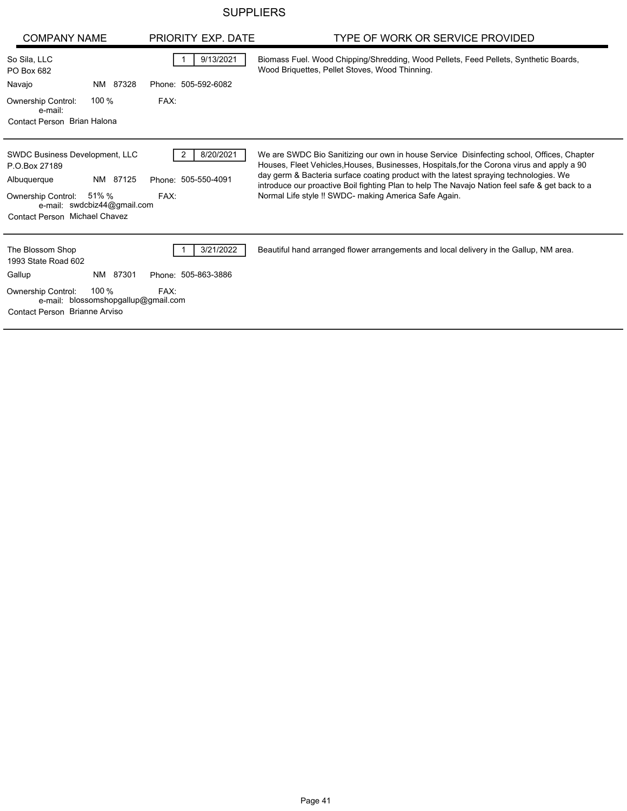## **SUPPLIERS**

| <b>COMPANY NAME</b>                                                                                                                                                              | PRIORITY EXP. DATE                            | TYPE OF WORK OR SERVICE PROVIDED                                                                                                                                                                                                                                                                                                                                                                                                            |
|----------------------------------------------------------------------------------------------------------------------------------------------------------------------------------|-----------------------------------------------|---------------------------------------------------------------------------------------------------------------------------------------------------------------------------------------------------------------------------------------------------------------------------------------------------------------------------------------------------------------------------------------------------------------------------------------------|
| So Sila, LLC<br>PO Box 682                                                                                                                                                       | 9/13/2021                                     | Biomass Fuel. Wood Chipping/Shredding, Wood Pellets, Feed Pellets, Synthetic Boards,<br>Wood Briquettes, Pellet Stoves, Wood Thinning.                                                                                                                                                                                                                                                                                                      |
| NM 87328<br>Navajo                                                                                                                                                               | Phone: 505-592-6082                           |                                                                                                                                                                                                                                                                                                                                                                                                                                             |
| 100 $%$<br><b>Ownership Control:</b><br>e-mail:                                                                                                                                  | FAX:                                          |                                                                                                                                                                                                                                                                                                                                                                                                                                             |
| Contact Person Brian Halona                                                                                                                                                      |                                               |                                                                                                                                                                                                                                                                                                                                                                                                                                             |
| SWDC Business Development, LLC<br>P.O.Box 27189<br>NM 87125<br>Albuquerque<br>51% %<br><b>Ownership Control:</b><br>e-mail: swdcbiz44@gmail.com<br>Contact Person Michael Chavez | 8/20/2021<br>2<br>Phone: 505-550-4091<br>FAX: | We are SWDC Bio Sanitizing our own in house Service Disinfecting school, Offices, Chapter<br>Houses, Fleet Vehicles, Houses, Businesses, Hospitals, for the Corona virus and apply a 90<br>day germ & Bacteria surface coating product with the latest spraying technologies. We<br>introduce our proactive Boil fighting Plan to help The Navajo Nation feel safe & get back to a<br>Normal Life style !! SWDC- making America Safe Again. |
| The Blossom Shop<br>1993 State Road 602                                                                                                                                          | 3/21/2022                                     | Beautiful hand arranged flower arrangements and local delivery in the Gallup, NM area.                                                                                                                                                                                                                                                                                                                                                      |
| Gallup<br>NM 87301                                                                                                                                                               | Phone: 505-863-3886                           |                                                                                                                                                                                                                                                                                                                                                                                                                                             |
| 100 %<br><b>Ownership Control:</b><br>e-mail: blossomshopgallup@gmail.com<br>Contact Person Brianne Arviso                                                                       | FAX:                                          |                                                                                                                                                                                                                                                                                                                                                                                                                                             |